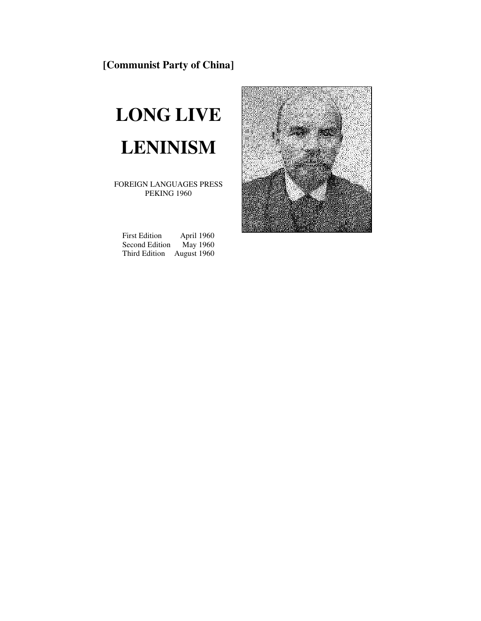# **[Communist Party of China]**

# **LONG LIVE LENINISM**

FOREIGN LANGUAGES PRESS PEKING 1960

| <b>First Edition</b> | April 1960  |
|----------------------|-------------|
| Second Edition       | May 1960    |
| Third Edition        | August 1960 |

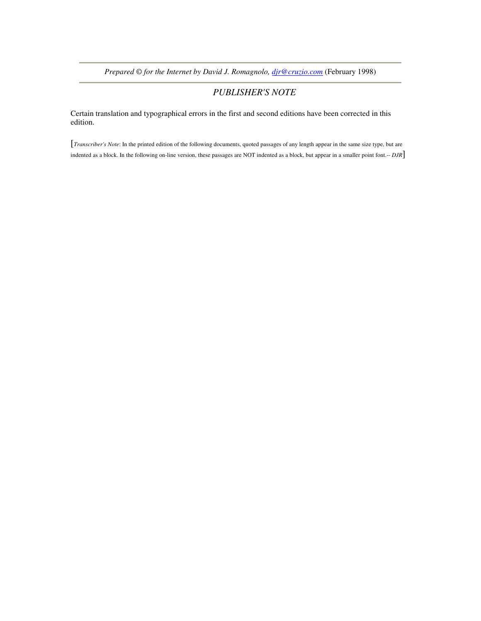*Prepared © for the Internet by David J. Romagnolo, djr@cruzio.com* (February 1998)

## *PUBLISHER'S NOTE*

Certain translation and typographical errors in the first and second editions have been corrected in this edition.

[*Transcriber's Note*: In the printed edition of the following documents, quoted passages of any length appear in the same size type, but are indented as a block. In the following on-line version, these passages are NOT indented as a block, but appear in a smaller point font.-- *DJR*]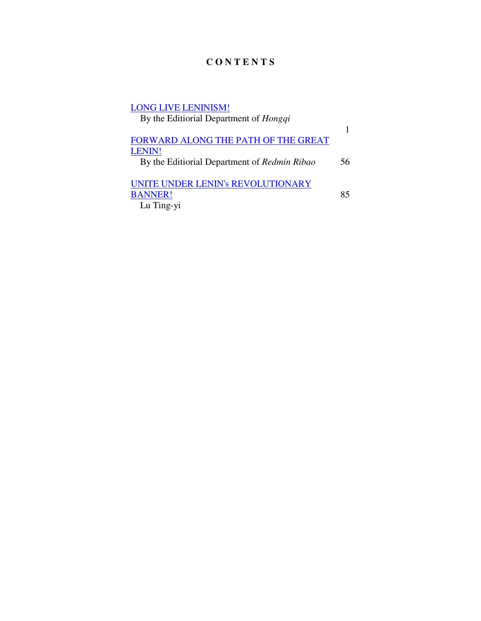## **C O N T E N T S**

| <b>LONG LIVE LENINISM!</b><br>By the Editiorial Department of <i>Hongqi</i> |    |
|-----------------------------------------------------------------------------|----|
| <b>FORWARD ALONG THE PATH OF THE GREAT</b><br>LENIN!                        |    |
| By the Editiorial Department of Redmin Ribao                                | 56 |
| UNITE UNDER LENIN's REVOLUTIONARY<br><b>BANNER!</b><br>Lu Ting-yi           | 85 |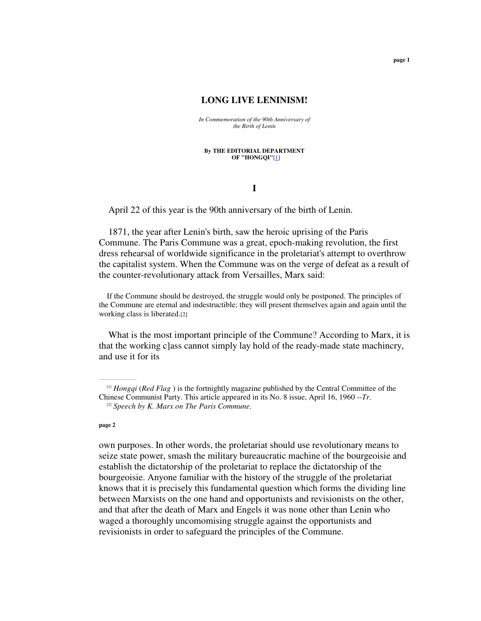## **LONG LIVE LENINISM!**

*In Commemoration of the 90th Anniversary of the Birth of Lenin*

**By THE EDITORIAL DEPARTMENT OF "HONGQI"**[1]

**I** 

April 22 of this year is the 90th anniversary of the birth of Lenin.

 1871, the year after Lenin's birth, saw the heroic uprising of the Paris Commune. The Paris Commune was a great, epoch-making revolution, the first dress rehearsal of worldwide significance in the proletariat's attempt to overthrow the capitalist system. When the Commune was on the verge of defeat as a result of the counter-revolutionary attack from Versailles, Marx said:

 If the Commune should be destroyed, the struggle would only be postponed. The principles of the Commune are eternal and indestructible; they will present themselves again and again until the working class is liberated.[2]

 What is the most important principle of the Commune? According to Marx, it is that the working c]ass cannot simply lay hold of the ready-made state machincry, and use it for its

#### **page 2**

own purposes. In other words, the proletariat should use revolutionary means to seize state power, smash the military bureaucratic machine of the bourgeoisie and establish the dictatorship of the proletariat to replace the dictatorship of the bourgeoisie. Anyone familiar with the history of the struggle of the proletariat knows that it is precisely this fundamental question which forms the dividing line between Marxists on the one hand and opportunists and revisionists on the other, and that after the death of Marx and Engels it was none other than Lenin who waged a thoroughly uncomomising struggle against the opportunists and revisionists in order to safeguard the principles of the Commune.

**page 1**

<sup>[1]</sup> *Hongqi* (*Red Flag* ) is the fortnightly magazine published by the Central Committee of the Chinese Communist Party. This article appeared in its No. 8 issue, April 16, 1960 --*Tr*. [2] *Speech by K. Marx on The Paris Commune.*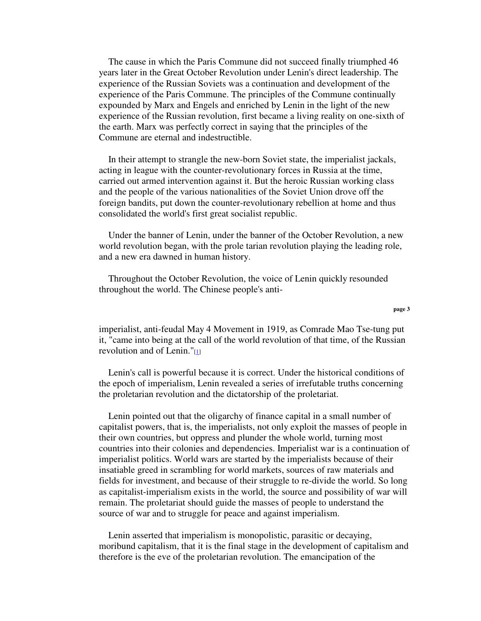The cause in which the Paris Commune did not succeed finally triumphed 46 years later in the Great October Revolution under Lenin's direct leadership. The experience of the Russian Soviets was a continuation and development of the experience of the Paris Commune. The principles of the Commune continually expounded by Marx and Engels and enriched by Lenin in the light of the new experience of the Russian revolution, first became a living reality on one-sixth of the earth. Marx was perfectly correct in saying that the principles of the Commune are eternal and indestructible.

 In their attempt to strangle the new-born Soviet state, the imperialist jackals, acting in league with the counter-revolutionary forces in Russia at the time, carried out armed intervention against it. But the heroic Russian working class and the people of the various nationalities of the Soviet Union drove off the foreign bandits, put down the counter-revolutionary rebellion at home and thus consolidated the world's first great socialist republic.

 Under the banner of Lenin, under the banner of the October Revolution, a new world revolution began, with the prole tarian revolution playing the leading role, and a new era dawned in human history.

 Throughout the October Revolution, the voice of Lenin quickly resounded throughout the world. The Chinese people's anti-

imperialist, anti-feudal May 4 Movement in 1919, as Comrade Mao Tse-tung put it, "came into being at the call of the world revolution of that time, of the Russian revolution and of Lenin." $\mu$ 

 Lenin's call is powerful because it is correct. Under the historical conditions of the epoch of imperialism, Lenin revealed a series of irrefutable truths concerning the proletarian revolution and the dictatorship of the proletariat.

 Lenin pointed out that the oligarchy of finance capital in a small number of capitalist powers, that is, the imperialists, not only exploit the masses of people in their own countries, but oppress and plunder the whole world, turning most countries into their colonies and dependencies. Imperialist war is a continuation of imperialist politics. World wars are started by the imperialists because of their insatiable greed in scrambling for world markets, sources of raw materials and fields for investment, and because of their struggle to re-divide the world. So long as capitalist-imperialism exists in the world, the source and possibility of war will remain. The proletariat should guide the masses of people to understand the source of war and to struggle for peace and against imperialism.

 Lenin asserted that imperialism is monopolistic, parasitic or decaying, moribund capitalism, that it is the final stage in the development of capitalism and therefore is the eve of the proletarian revolution. The emancipation of the

**page 3**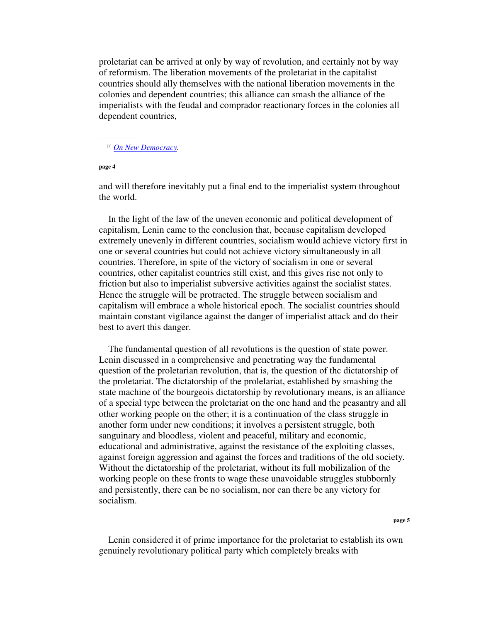proletariat can be arrived at only by way of revolution, and certainly not by way of reformism. The liberation movements of the proletariat in the capitalist countries should ally themselves with the national liberation movements in the colonies and dependent countries; this alliance can smash the alliance of the imperialists with the feudal and comprador reactionary forces in the colonies all dependent countries,

## [1] *On New Democracy.*

**page 4**

and will therefore inevitably put a final end to the imperialist system throughout the world.

 In the light of the law of the uneven economic and political development of capitalism, Lenin came to the conclusion that, because capitalism developed extremely unevenly in different countries, socialism would achieve victory first in one or several countries but could not achieve victory simultaneously in all countries. Therefore, in spite of the victory of socialism in one or several countries, other capitalist countries still exist, and this gives rise not only to friction but also to imperialist subversive activities against the socialist states. Hence the struggle will be protracted. The struggle between socialism and capitalism will embrace a whole historical epoch. The socialist countries should maintain constant vigilance against the danger of imperialist attack and do their best to avert this danger.

 The fundamental question of all revolutions is the question of state power. Lenin discussed in a comprehensive and penetrating way the fundamental question of the proletarian revolution, that is, the question of thc dictatorship of the proletariat. The dictatorship of the prolelariat, established by smashing the state machine of the bourgeois dictatorship by revolutionary means, is an alliance of a special type between the proletariat on the one hand and the peasantry and all other working people on the other; it is a continuation of the class struggle in another form under new conditions; it involves a persistent struggle, both sanguinary and bloodless, violent and peaceful, military and economic, educational and administrative, against the resistance of the exploiting classes, against foreign aggression and against the forces and traditions of the old society. Without the dictatorship of the proletariat, without its full mobilizalion of the working people on these fronts to wage these unavoidable struggles stubbornly and persistently, there can be no socialism, nor can there be any victory for socialism.

**page 5**

 Lenin considered it of prime importance for the proletariat to establish its own genuinely revolutionary political party which completely breaks with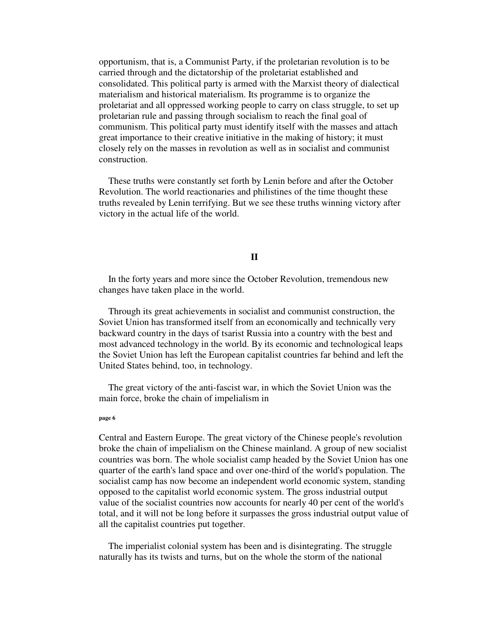opportunism, that is, a Communist Party, if the proletarian revolution is to be carried through and the dictatorship of the proletariat established and consolidated. This political party is armed with the Marxist theory of dialectical materialism and historical materialism. Its programme is to organize the proletariat and all oppressed working people to carry on class struggle, to set up proletarian rule and passing through socialism to reach the final goal of communism. This political party must identify itself with the masses and attach great importance to their creative initiative in the making of history; it must closely rely on the masses in revolution as well as in socialist and communist construction.

 These truths were constantly set forth by Lenin before and after the October Revolution. The world reactionaries and philistines of the time thought these truths revealed by Lenin terrifying. But we see these truths winning victory after victory in the actual life of the world.

## **II**

 In the forty years and more since the October Revolution, tremendous new changes have taken place in the world.

 Through its great achievements in socialist and communist construction, the Soviet Union has transformed itself from an economically and technically very backward country in the days of tsarist Russia into a country with the best and most advanced technology in the world. By its economic and technological leaps the Soviet Union has left the European capitalist countries far behind and left the United States behind, too, in technology.

 The great victory of the anti-fascist war, in which the Soviet Union was the main force, broke the chain of impelialism in

## **page 6**

Central and Eastern Europe. The great victory of the Chinese people's revolution broke the chain of impelialism on the Chinese mainland. A group of new socialist countries was born. The whole socialist camp headed by the Soviet Union has one quarter of the earth's land space and over one-third of the world's population. The socialist camp has now become an independent world economic system, standing opposed to the capitalist world economic system. The gross industrial output value of the socialist countries now accounts for nearly 40 per cent of the world's total, and it will not be long before it surpasses the gross industrial output value of all the capitalist countries put together.

 The imperialist colonial system has been and is disintegrating. The struggle naturally has its twists and turns, but on the whole the storm of the national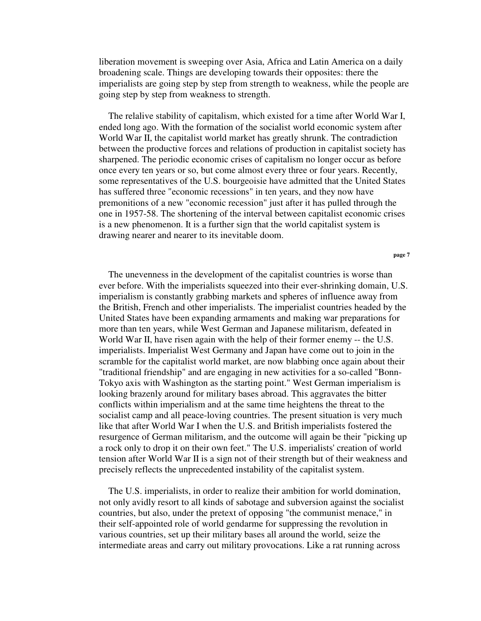liberation movement is sweeping over Asia, Africa and Latin America on a daily broadening scale. Things are developing towards their opposites: there the imperialists are going step by step from strength to weakness, while the people are going step by step from weakness to strength.

 The relalive stability of capitalism, which existed for a time after World War I, ended long ago. With the formation of the socialist world economic system after World War II, the capitalist world market has greatly shrunk. The contradiction between the productive forces and relations of production in capitalist society has sharpened. The periodic economic crises of capitalism no longer occur as before once every ten years or so, but come almost every three or four years. Recently, some representatives of the U.S. bourgeoisie have admitted that the United States has suffered three "economic recessions" in ten years, and they now have premonitions of a new "economic recession" just after it has pulled through the one in 1957-58. The shortening of the interval between capitalist economic crises is a new phenomenon. It is a further sign that the world capitalist system is drawing nearer and nearer to its inevitable doom.

**page 7**

 The unevenness in the development of the capitalist countries is worse than ever before. With the imperialists squeezed into their ever-shrinking domain, U.S. imperialism is constantly grabbing markets and spheres of influence away from the British, French and other imperialists. The imperialist countries headed by the United States have been expanding armaments and making war preparations for more than ten years, while West German and Japanese militarism, defeated in World War II, have risen again with the help of their former enemy -- the U.S. imperialists. Imperialist West Germany and Japan have come out to join in the scramble for the capitalist world market, are now blabbing once again about their "traditional friendship" and are engaging in new activities for a so-called "Bonn-Tokyo axis with Washington as the starting point." West German imperialism is looking brazenly around for military bases abroad. This aggravates the bitter conflicts within imperialism and at the same time heightens the threat to the socialist camp and all peace-loving countries. The present situation is very much like that after World War I when the U.S. and British imperialists fostered the resurgence of German militarism, and the outcome will again be their "picking up a rock only to drop it on their own feet." The U.S. imperialists' creation of world tension after World War II is a sign not of their strength but of their weakness and precisely reflects the unprecedented instability of the capitalist system.

 The U.S. imperialists, in order to realize their ambition for world domination, not only avidly resort to all kinds of sabotage and subversion against the socialist countries, but also, under the pretext of opposing "the communist menace," in their self-appointed role of world gendarme for suppressing the revolution in various countries, set up their military bases all around the world, seize the intermediate areas and carry out military provocations. Like a rat running across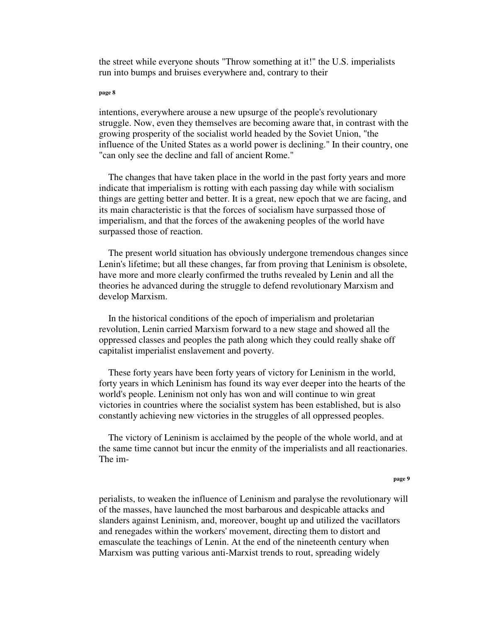the street while everyone shouts "Throw something at it!" the U.S. imperialists run into bumps and bruises everywhere and, contrary to their

#### **page 8**

intentions, everywhere arouse a new upsurge of the people's revolutionary struggle. Now, even they themselves are becoming aware that, in contrast with the growing prosperity of the socialist world headed by the Soviet Union, "the influence of the United States as a world power is declining." In their country, one "can only see the decline and fall of ancient Rome."

 The changes that have taken place in the world in the past forty years and more indicate that imperialism is rotting with each passing day while with socialism things are getting better and better. It is a great, new epoch that we are facing, and its main characteristic is that the forces of socialism have surpassed those of imperialism, and that the forces of the awakening peoples of the world have surpassed those of reaction.

 The present world situation has obviously undergone tremendous changes since Lenin's lifetime; but all these changes, far from proving that Leninism is obsolete, have more and more clearly confirmed the truths revealed by Lenin and all the theories he advanced during the struggle to defend revolutionary Marxism and develop Marxism.

 In the historical conditions of the epoch of imperialism and proletarian revolution, Lenin carried Marxism forward to a new stage and showed all the oppressed classes and peoples the path along which they could really shake off capitalist imperialist enslavement and poverty.

 These forty years have been forty years of victory for Leninism in the world, forty years in which Leninism has found its way ever deeper into the hearts of the world's people. Leninism not only has won and will continue to win great victories in countries where the socialist system has been established, but is also constantly achieving new victories in the struggles of all oppressed peoples.

 The victory of Leninism is acclaimed by the people of the whole world, and at the same time cannot but incur the enmity of the imperialists and all reactionaries. The im-

**page 9**

perialists, to weaken the influence of Leninism and paralyse the revolutionary will of the masses, have launched the most barbarous and despicable attacks and slanders against Leninism, and, moreover, bought up and utilized the vacillators and renegades within the workers' movement, directing them to distort and emasculate the teachings of Lenin. At the end of the nineteenth century when Marxism was putting various anti-Marxist trends to rout, spreading widely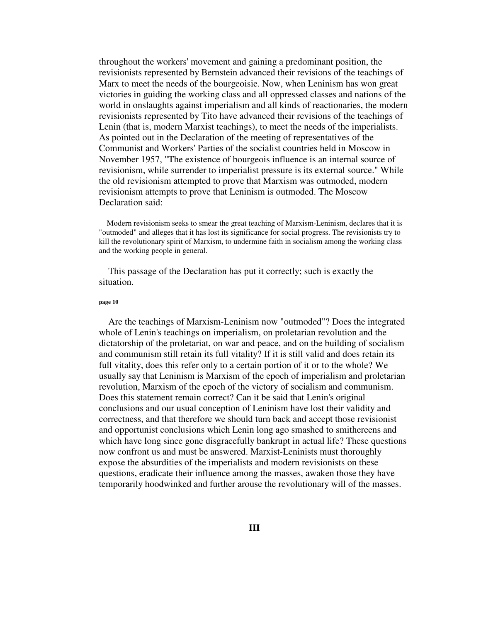throughout the workers' movement and gaining a predominant position, the revisionists represented by Bernstein advanced their revisions of the teachings of Marx to meet the needs of the bourgeoisie. Now, when Leninism has won great victories in guiding the working class and all oppressed classes and nations of the world in onslaughts against imperialism and all kinds of reactionaries, the modern revisionists represented by Tito have advanced their revisions of the teachings of Lenin (that is, modern Marxist teachings), to meet the needs of the imperialists. As pointed out in the Declaration of the meeting of representatives of the Communist and Workers' Parties of the socialist countries held in Moscow in November 1957, "The existence of bourgeois influence is an internal source of revisionism, while surrender to imperialist pressure is its external source." While the old revisionism attempted to prove that Marxism was outmoded, modern revisionism attempts to prove that Leninism is outmoded. The Moscow Declaration said:

 Modern revisionism seeks to smear the great teaching of Marxism-Leninism, declares that it is "outmoded" and alleges that it has lost its significance for social progress. The revisionists try to kill the revolutionary spirit of Marxism, to undermine faith in socialism among the working class and the working people in general.

 This passage of the Declaration has put it correctly; such is exactly the situation.

## **page 10**

 Are the teachings of Marxism-Leninism now "outmoded"? Does the integrated whole of Lenin's teachings on imperialism, on proletarian revolution and the dictatorship of the proletariat, on war and peace, and on the building of socialism and communism still retain its full vitality? If it is still valid and does retain its full vitality, does this refer only to a certain portion of it or to the whole? We usually say that Leninism is Marxism of the epoch of imperialism and proletarian revolution, Marxism of the epoch of the victory of socialism and communism. Does this statement remain correct? Can it be said that Lenin's original conclusions and our usual conception of Leninism have lost their validity and correctness, and that therefore we should turn back and accept those revisionist and opportunist conclusions which Lenin long ago smashed to smithereens and which have long since gone disgracefully bankrupt in actual life? These questions now confront us and must be answered. Marxist-Leninists must thoroughly expose the absurdities of the imperialists and modern revisionists on these questions, eradicate their influence among the masses, awaken those they have temporarily hoodwinked and further arouse the revolutionary will of the masses.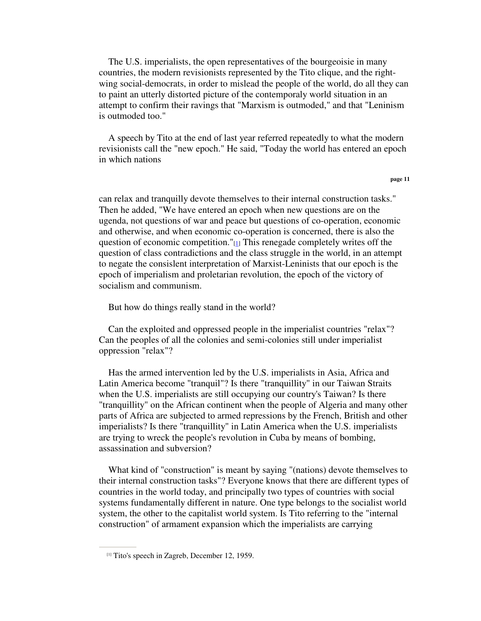The U.S. imperialists, the open representatives of the bourgeoisie in many countries, the modern revisionists represented by the Tito clique, and the rightwing social-democrats, in order to mislead the people of the world, do all they can to paint an utterly distorted picture of the contemporaly world situation in an attempt to confirm their ravings that "Marxism is outmoded," and that "Leninism is outmoded too."

 A speech by Tito at the end of last year referred repeatedly to what the modern revisionists call the "new epoch." He said, "Today the world has entered an epoch in which nations

#### **page 11**

can relax and tranquilly devote themselves to their internal construction tasks." Then he added, "We have entered an epoch when new questions are on the ugenda, not questions of war and peace but questions of co-operation, economic and otherwise, and when economic co-operation is concerned, there is also the question of economic competition."[1] This renegade completely writes off the question of class contradictions and the class struggle in the world, in an attempt to negate the consislent interpretation of Marxist-Leninists that our epoch is the epoch of imperialism and proletarian revolution, the epoch of the victory of socialism and communism.

But how do things really stand in the world?

 Can the exploited and oppressed people in the imperialist countries "relax"? Can the peoples of all the colonies and semi-colonies still under imperialist oppression "relax"?

 Has the armed intervention led by the U.S. imperialists in Asia, Africa and Latin America become "tranquil"? Is there "tranquillity" in our Taiwan Straits when the U.S. imperialists are still occupying our country's Taiwan? Is there "tranquillity" on the African continent when the people of Algeria and many other parts of Africa are subjected to armed repressions by the French, British and other imperialists? Is there "tranquillity" in Latin America when the U.S. imperialists are trying to wreck the people's revolution in Cuba by means of bombing, assassination and subversion?

 What kind of "construction" is meant by saying "(nations) devote themselves to their internal construction tasks"? Everyone knows that there are different types of countries in the world today, and principally two types of countries with social systems fundamentally different in nature. One type belongs to the socialist world system, the other to the capitalist world system. Is Tito referring to the "internal construction" of armament expansion which the imperialists are carrying

<sup>&</sup>lt;sup>[1]</sup> Tito's speech in Zagreb, December 12, 1959.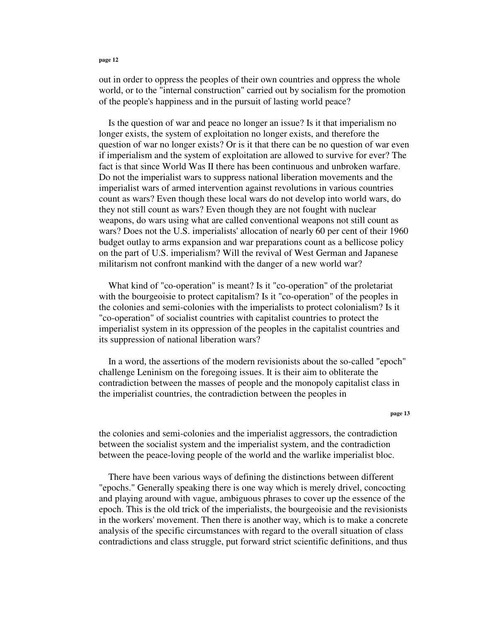#### **page 12**

out in order to oppress the peoples of their own countries and oppress the whole world, or to the "internal construction" carried out by socialism for the promotion of the people's happiness and in the pursuit of lasting world peace?

 Is the question of war and peace no longer an issue? Is it that imperialism no longer exists, the system of exploitation no longer exists, and therefore the question of war no longer exists? Or is it that there can be no question of war even if imperialism and the system of exploitation are allowed to survive for ever? The fact is that since World Was II there has been continuous and unbroken warfare. Do not the imperialist wars to suppress national liberation movements and the imperialist wars of armed intervention against revolutions in various countries count as wars? Even though these local wars do not develop into world wars, do they not still count as wars? Even though they are not fought with nuclear weapons, do wars using what are called conventional weapons not still count as wars? Does not the U.S. imperialists' allocation of nearly 60 per cent of their 1960 budget outlay to arms expansion and war preparations count as a bellicose policy on the part of U.S. imperialism? Will the revival of West German and Japanese militarism not confront mankind with the danger of a new world war?

 What kind of "co-operation" is meant? Is it "co-operation" of the proletariat with the bourgeoisie to protect capitalism? Is it "co-operation" of the peoples in the colonies and semi-colonies with the imperialists to protect colonialism? Is it "co-operation" of socialist countries with capitalist countries to protect the imperialist system in its oppression of the peoples in the capitalist countries and its suppression of national liberation wars?

 In a word, the assertions of the modern revisionists about the so-called "epoch" challenge Leninism on the foregoing issues. It is their aim to obliterate the contradiction between the masses of people and the monopoly capitalist class in the imperialist countries, the contradiction between the peoples in

**page 13**

the colonies and semi-colonies and the imperialist aggressors, the contradiction between the socialist system and the imperialist system, and the contradiction between the peace-loving people of the world and the warlike imperialist bloc.

 There have been various ways of defining the distinctions between different "epochs." Generally speaking there is one way which is merely drivel, concocting and playing around with vague, ambiguous phrases to cover up the essence of the epoch. This is the old trick of the imperialists, the bourgeoisie and the revisionists in the workers' movement. Then there is another way, which is to make a concrete analysis of the specific circumstances with regard to the overall situation of class contradictions and class struggle, put forward strict scientific definitions, and thus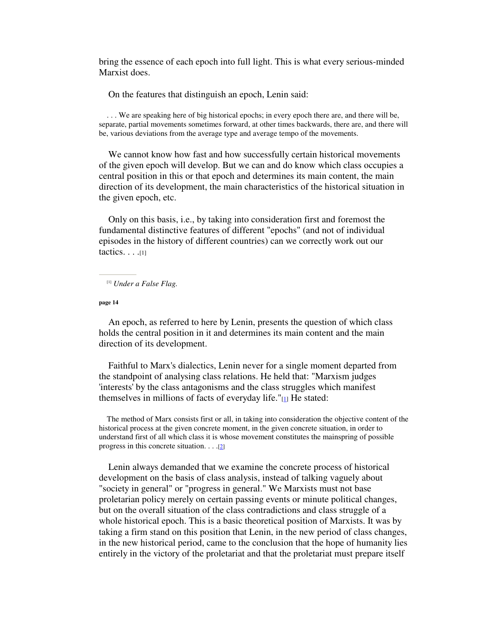bring the essence of each epoch into full light. This is what every serious-minded Marxist does.

On the features that distinguish an epoch, Lenin said:

 . . . We are speaking here of big historical epochs; in every epoch there are, and there will be, separate, partial movements sometimes forward, at other times backwards, there are, and there will be, various deviations from the average type and average tempo of the movements.

 We cannot know how fast and how successfully certain historical movements of the given epoch will develop. But we can and do know which class occupies a central position in this or that epoch and determines its main content, the main direction of its development, the main characteristics of the historical situation in the given epoch, etc.

 Only on this basis, i.e., by taking into consideration first and foremost the fundamental distinctive features of different "epochs" (and not of individual episodes in the history of different countries) can we correctly work out our tactics.  $\ldots$ .  $\ldots$ 

[1] *Under a False Flag.*

**page 14**

 An epoch, as referred to here by Lenin, presents the question of which class holds the central position in it and determines its main content and the main direction of its development.

 Faithful to Marx's dialectics, Lenin never for a single moment departed from the standpoint of analysing class relations. He held that: "Marxism judges 'interests' by the class antagonisms and the class struggles which manifest themselves in millions of facts of everyday life."[1] He stated:

 The method of Marx consists first or all, in taking into consideration the objective content of the historical process at the given concrete moment, in the given concrete situation, in order to understand first of all which class it is whose movement constitutes the mainspring of possible progress in this concrete situation. . . .[2]

 Lenin always demanded that we examine the concrete process of historical development on the basis of class analysis, instead of talking vaguely about "society in general" or "progress in general." We Marxists must not base proletarian policy merely on certain passing events or minute political changes, but on the overall situation of the class contradictions and class struggle of a whole historical epoch. This is a basic theoretical position of Marxists. It was by taking a firm stand on this position that Lenin, in the new period of class changes, in the new historical period, came to the conclusion that the hope of humanity lies entirely in the victory of the proletariat and that the proletariat must prepare itself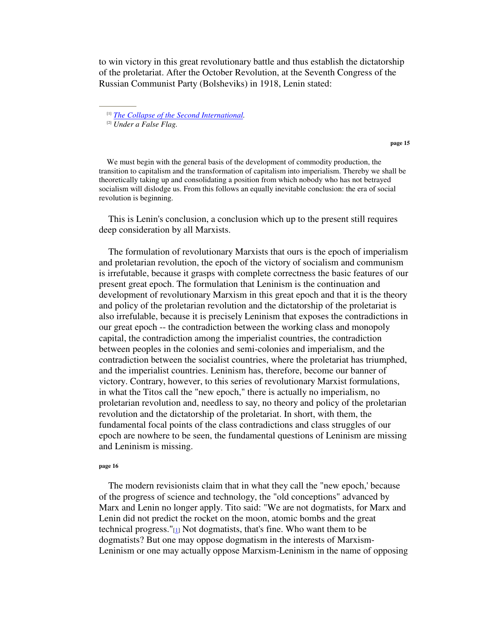to win victory in this great revolutionary battle and thus establish the dictatorship of the proletariat. After the October Revolution, at the Seventh Congress of the Russian Communist Party (Bolsheviks) in 1918, Lenin stated:

[1] *The Collapse of the Second International.*

**page 15**

 We must begin with the general basis of the development of commodity production, the transition to capitalism and the transformation of capitalism into imperialism. Thereby we shall be theoretically taking up and consolidating a position from which nobody who has not betrayed socialism will dislodge us. From this follows an equally inevitable conclusion: the era of social revolution is beginning.

 This is Lenin's conclusion, a conclusion which up to the present still requires deep consideration by all Marxists.

 The formulation of revolutionary Marxists that ours is the epoch of imperialism and proletarian revolution, the epoch of the victory of socialism and communism is irrefutable, because it grasps with complete correctness the basic features of our present great epoch. The formulation that Leninism is the continuation and development of revolutionary Marxism in this great epoch and that it is the theory and policy of the proletarian revolution and the dictatorship of the proletariat is also irrefulable, because it is precisely Leninism that exposes the contradictions in our great epoch -- the contradiction between the working class and monopoly capital, the contradiction among the imperialist countries, the contradiction between peoples in the colonies and semi-colonies and imperialism, and the contradiction between the socialist countries, where the proletariat has triumphed, and the imperialist countries. Leninism has, therefore, become our banner of victory. Contrary, however, to this series of revolutionary Marxist formulations, in what the Titos call the "new epoch," there is actually no imperialism, no proletarian revolution and, needless to say, no theory and policy of the proletarian revolution and the dictatorship of the proletariat. In short, with them, the fundamental focal points of the class contradictions and class struggles of our epoch are nowhere to be seen, the fundamental questions of Leninism are missing and Leninism is missing.

## **page 16**

 The modern revisionists claim that in what they call the "new epoch,' because of the progress of science and technology, the "old conceptions" advanced by Marx and Lenin no longer apply. Tito said: "We are not dogmatists, for Marx and Lenin did not predict the rocket on the moon, atomic bombs and the great technical progress." $\mu$  Not dogmatists, that's fine. Who want them to be dogmatists? But one may oppose dogmatism in the interests of Marxism-Leninism or one may actually oppose Marxism-Leninism in the name of opposing

<sup>[2]</sup> *Under a False Flag.*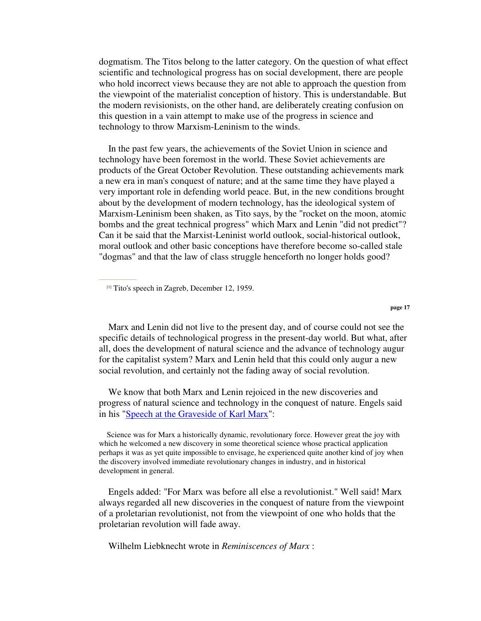dogmatism. The Titos belong to the latter category. On the question of what effect scientific and technological progress has on social development, there are people who hold incorrect views because they are not able to approach the question from the viewpoint of the materialist conception of history. This is understandable. But the modern revisionists, on the other hand, are deliberately creating confusion on this question in a vain attempt to make use of the progress in science and technology to throw Marxism-Leninism to the winds.

 In the past few years, the achievements of the Soviet Union in science and technology have been foremost in the world. These Soviet achievements are products of the Great October Revolution. These outstanding achievements mark a new era in man's conquest of nature; and at the same time they have played a very important role in defending world peace. But, in the new conditions brought about by the development of modern technology, has the ideological system of Marxism-Leninism been shaken, as Tito says, by the "rocket on the moon, atomic bombs and the great technical progress" which Marx and Lenin "did not predict"? Can it be said that the Marxist-Leninist world outlook, social-historical outlook, moral outlook and other basic conceptions have therefore become so-called stale "dogmas" and that the law of class struggle henceforth no longer holds good?

**page 17**

 Marx and Lenin did not live to the present day, and of course could not see the specific details of technological progress in the present-day world. But what, after all, does the development of natural science and the advance of technology augur for the capitalist system? Marx and Lenin held that this could only augur a new social revolution, and certainly not the fading away of social revolution.

 We know that both Marx and Lenin rejoiced in the new discoveries and progress of natural science and technology in the conquest of nature. Engels said in his "Speech at the Graveside of Karl Marx":

 Engels added: "For Marx was before all else a revolutionist." Well said! Marx always regarded all new discoveries in the conquest of nature from the viewpoint of a proletarian revolutionist, not from the viewpoint of one who holds that the proletarian revolution will fade away.

Wilhelm Liebknecht wrote in *Reminiscences of Marx* :

 $[1]$  Tito's speech in Zagreb, December 12, 1959.

Science was for Marx a historically dynamic, revolutionary force. However great the joy with which he welcomed a new discovery in some theoretical science whose practical application perhaps it was as yet quite impossible to envisage, he experienced quite another kind of joy when the discovery involved immediate revolutionary changes in industry, and in historical development in general.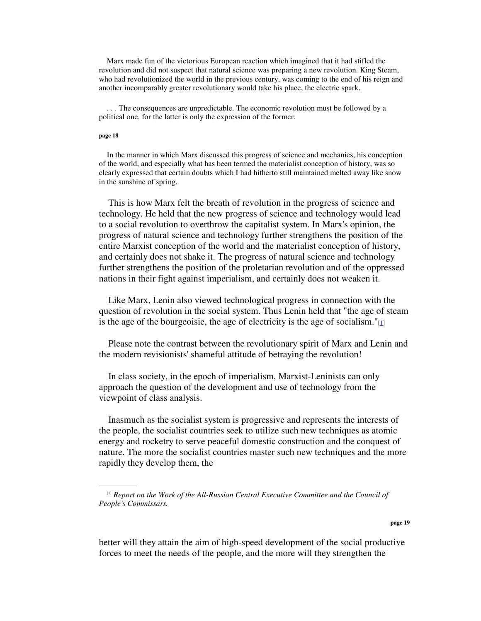Marx made fun of the victorious European reaction which imagined that it had stifled the revolution and did not suspect that natural science was preparing a new revolution. King Steam, who had revolutionized the world in the previous century, was coming to the end of his reign and another incomparably greater revolutionary would take his place, the electric spark.

 . . . The consequences are unpredictable. The economic revolution must be followed by a political one, for the latter is only the expression of the former.

#### **page 18**

 In the manner in which Marx discussed this progress of science and mechanics, his conception of the world, and especially what has been termed the materialist conception of history, was so clearly expressed that certain doubts which I had hitherto still maintained melted away like snow in the sunshine of spring.

 This is how Marx felt the breath of revolution in the progress of science and technology. He held that the new progress of science and technology would lead to a social revolution to overthrow the capitalist system. In Marx's opinion, the progress of natural science and technology further strengthens the position of the entire Marxist conception of the world and the materialist conception of history, and certainly does not shake it. The progress of natural science and technology further strengthens the position of the proletarian revolution and of the oppressed nations in their fight against imperialism, and certainly does not weaken it.

 Like Marx, Lenin also viewed technological progress in connection with the question of revolution in the social system. Thus Lenin held that "the age of steam is the age of the bourgeoisie, the age of electricity is the age of socialism." $\Box$ 

 Please note the contrast between the revolutionary spirit of Marx and Lenin and the modern revisionists' shameful attitude of betraying the revolution!

 In class society, in the epoch of imperialism, Marxist-Leninists can only approach the question of the development and use of technology from the viewpoint of class analysis.

 Inasmuch as the socialist system is progressive and represents the interests of the people, the socialist countries seek to utilize such new techniques as atomic energy and rocketry to serve peaceful domestic construction and the conquest of nature. The more the socialist countries master such new techniques and the more rapidly they develop them, the

#### **page 19**

better will they attain the aim of high-speed development of the social productive forces to meet the needs of the people, and the more will they strengthen the

<sup>[1]</sup> *Report on the Work of the All-Russian Central Executive Committee and the Council of People's Commissars.*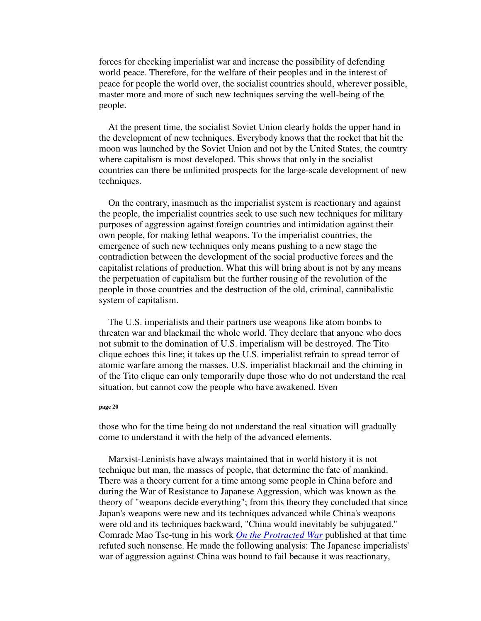forces for checking imperialist war and increase the possibility of defending world peace. Therefore, for the welfare of their peoples and in the interest of peace for people the world over, the socialist countries should, wherever possible, master more and more of such new techniques serving the well-being of the people.

 At the present time, the socialist Soviet Union clearly holds the upper hand in the development of new techniques. Everybody knows that the rocket that hit the moon was launched by the Soviet Union and not by the United States, the country where capitalism is most developed. This shows that only in the socialist countries can there be unlimited prospects for the large-scale development of new techniques.

 On the contrary, inasmuch as the imperialist system is reactionary and against the people, the imperialist countries seek to use such new techniques for military purposes of aggression against foreign countries and intimidation against their own people, for making lethal weapons. To the imperialist countries, the emergence of such new techniques only means pushing to a new stage the contradiction between the development of the social productive forces and the capitalist relations of production. What this will bring about is not by any means the perpetuation of capitalism but the further rousing of the revolution of the people in those countries and the destruction of the old, criminal, cannibalistic system of capitalism.

 The U.S. imperialists and their partners use weapons like atom bombs to threaten war and blackmail the whole world. They declare that anyone who does not submit to the domination of U.S. imperialism will be destroyed. The Tito clique echoes this line; it takes up the U.S. imperialist refrain to spread terror of atomic warfare among the masses. U.S. imperialist blackmail and the chiming in of the Tito clique can only temporarily dupe those who do not understand the real situation, but cannot cow the people who have awakened. Even

## **page 20**

those who for the time being do not understand the real situation will gradually come to understand it with the help of the advanced elements.

 Marxist-Leninists have always maintained that in world history it is not technique but man, the masses of people, that determine the fate of mankind. There was a theory current for a time among some people in China before and during the War of Resistance to Japanese Aggression, which was known as the theory of "weapons decide everything"; from this theory they concluded that since Japan's weapons were new and its techniques advanced while China's weapons were old and its techniques backward, "China would inevitably be subjugated." Comrade Mao Tse-tung in his work *On the Protracted War* published at that time refuted such nonsense. He made the following analysis: The Japanese imperialists' war of aggression against China was bound to fail because it was reactionary,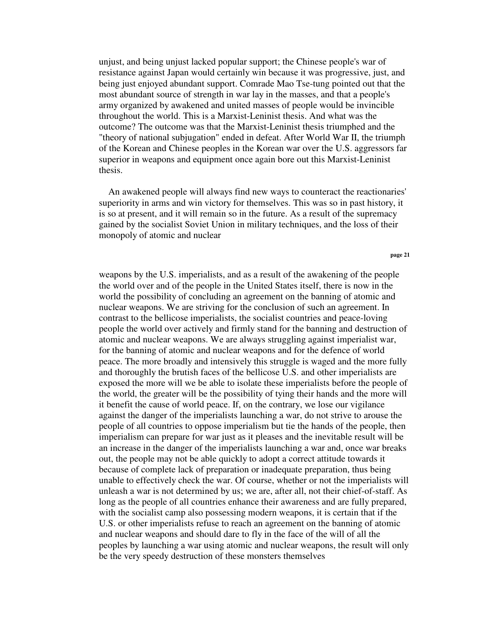unjust, and being unjust lacked popular support; the Chinese people's war of resistance against Japan would certainly win because it was progressive, just, and being just enjoyed abundant support. Comrade Mao Tse-tung pointed out that the most abundant source of strength in war lay in the masses, and that a people's army organized by awakened and united masses of people would be invincible throughout the world. This is a Marxist-Leninist thesis. And what was the outcome? The outcome was that the Marxist-Leninist thesis triumphed and the "theory of national subjugation" ended in defeat. After World War II, the triumph of the Korean and Chinese peoples in the Korean war over the U.S. aggressors far superior in weapons and equipment once again bore out this Marxist-Leninist thesis.

 An awakened people will always find new ways to counteract the reactionaries' superiority in arms and win victory for themselves. This was so in past history, it is so at present, and it will remain so in the future. As a result of the supremacy gained by the socialist Soviet Union in military techniques, and the loss of their monopoly of atomic and nuclear

## **page 21**

weapons by the U.S. imperialists, and as a result of the awakening of the people the world over and of the people in the United States itself, there is now in the world the possibility of concluding an agreement on the banning of atomic and nuclear weapons. We are striving for the conclusion of such an agreement. In contrast to the bellicose imperialists, the socialist countries and peace-loving people the world over actively and firmly stand for the banning and destruction of atomic and nuclear weapons. We are always struggling against imperialist war, for the banning of atomic and nuclear weapons and for the defence of world peace. The more broadly and intensively this struggle is waged and the more fully and thoroughly the brutish faces of the bellicose U.S. and other imperialists are exposed the more will we be able to isolate these imperialists before the people of the world, the greater will be the possibility of tying their hands and the more will it benefit the cause of world peace. If, on the contrary, we lose our vigilance against the danger of the imperialists launching a war, do not strive to arouse the people of all countries to oppose imperialism but tie the hands of the people, then imperialism can prepare for war just as it pleases and the inevitable result will be an increase in the danger of the imperialists launching a war and, once war breaks out, the people may not be able quickly to adopt a correct attitude towards it because of complete lack of preparation or inadequate preparation, thus being unable to effectively check the war. Of course, whether or not the imperialists will unleash a war is not determined by us; we are, after all, not their chief-of-staff. As long as the people of all countries enhance their awareness and are fully prepared, with the socialist camp also possessing modern weapons, it is certain that if the U.S. or other imperialists refuse to reach an agreement on the banning of atomic and nuclear weapons and should dare to fly in the face of the will of all the peoples by launching a war using atomic and nuclear weapons, the result will only be the very speedy destruction of these monsters themselves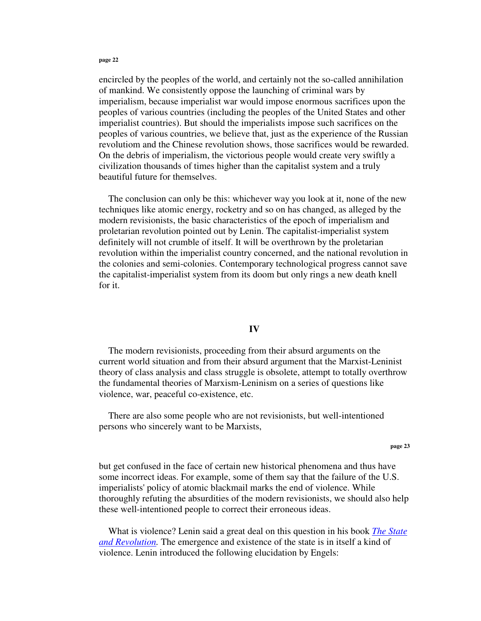## **page 22**

encircled by the peoples of the world, and certainly not the so-called annihilation of mankind. We consistently oppose the launching of criminal wars by imperialism, because imperialist war would impose enormous sacrifices upon the peoples of various countries (including the peoples of the United States and other imperialist countries). But should the imperialists impose such sacrifices on the peoples of various countries, we believe that, just as the experience of the Russian revolutiom and the Chinese revolution shows, those sacrifices would be rewarded. On the debris of imperialism, the victorious people would create very swiftly a civilization thousands of times higher than the capitalist system and a truly beautiful future for themselves.

 The conclusion can only be this: whichever way you look at it, none of the new techniques like atomic energy, rocketry and so on has changed, as alleged by the modern revisionists, the basic characteristics of the epoch of imperialism and proletarian revolution pointed out by Lenin. The capitalist-imperialist system definitely will not crumble of itself. It will be overthrown by the proletarian revolution within the imperialist country concerned, and the national revolution in the colonies and semi-colonies. Contemporary technological progress cannot save the capitalist-imperialist system from its doom but only rings a new death knell for it.

## **IV**

 The modern revisionists, proceeding from their absurd arguments on the current world situation and from their absurd argument that the Marxist-Leninist theory of class analysis and class struggle is obsolete, attempt to totally overthrow the fundamental theories of Marxism-Leninism on a series of questions like violence, war, peaceful co-existence, etc.

 There are also some people who are not revisionists, but well-intentioned persons who sincerely want to be Marxists,

#### **page 23**

but get confused in the face of certain new historical phenomena and thus have some incorrect ideas. For example, some of them say that the failure of the U.S. imperialists' policy of atomic blackmail marks the end of violence. While thoroughly refuting the absurdities of the modern revisionists, we should also help these well-intentioned people to correct their erroneous ideas.

 What is violence? Lenin said a great deal on this question in his book *The State and Revolution.* The emergence and existence of the state is in itself a kind of violence. Lenin introduced the following elucidation by Engels: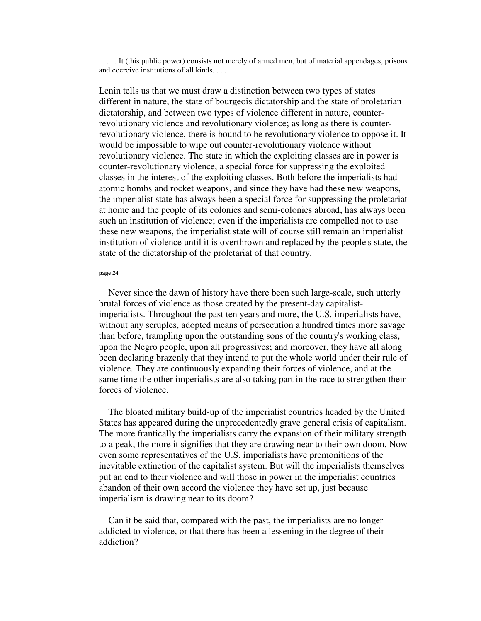. . . It (this public power) consists not merely of armed men, but of material appendages, prisons and coercive institutions of all kinds. . . .

Lenin tells us that we must draw a distinction between two types of states different in nature, the state of bourgeois dictatorship and the state of proletarian dictatorship, and between two types of violence different in nature, counterrevolutionary violence and revolutionary violence; as long as there is counterrevolutionary violence, there is bound to be revolutionary violence to oppose it. It would be impossible to wipe out counter-revolutionary violence without revolutionary violence. The state in which the exploiting classes are in power is counter-revolutionary violence, a special force for suppressing the exploited classes in the interest of the exploiting classes. Both before the imperialists had atomic bombs and rocket weapons, and since they have had these new weapons, the imperialist state has always been a special force for suppressing the proletariat at home and the people of its colonies and semi-colonies abroad, has always been such an institution of violence; even if the imperialists are compelled not to use these new weapons, the imperialist state will of course still remain an imperialist institution of violence until it is overthrown and replaced by the people's state, the state of the dictatorship of the proletariat of that country.

## **page 24**

 Never since the dawn of history have there been such large-scale, such utterly brutal forces of violence as those created by the present-day capitalistimperialists. Throughout the past ten years and more, the U.S. imperialists have, without any scruples, adopted means of persecution a hundred times more savage than before, trampling upon the outstanding sons of the country's working class, upon the Negro people, upon all progressives; and moreover, they have all along been declaring brazenly that they intend to put the whole world under their rule of violence. They are continuously expanding their forces of violence, and at the same time the other imperialists are also taking part in the race to strengthen their forces of violence.

 The bloated military build-up of the imperialist countries headed by the United States has appeared during the unprecedentedly grave general crisis of capitalism. The more frantically the imperialists carry the expansion of their military strength to a peak, the more it signifies that they are drawing near to their own doom. Now even some representatives of the U.S. imperialists have premonitions of the inevitable extinction of the capitalist system. But will the imperialists themselves put an end to their violence and will those in power in the imperialist countries abandon of their own accord the violence they have set up, just because imperialism is drawing near to its doom?

 Can it be said that, compared with the past, the imperialists are no longer addicted to violence, or that there has been a lessening in the degree of their addiction?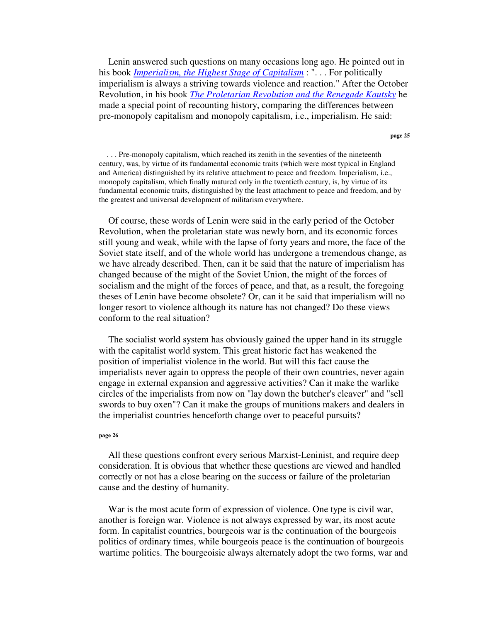Lenin answered such questions on many occasions long ago. He pointed out in his book *Imperialism, the Highest Stage of Capitalism* : ". . . For politically imperialism is always a striving towards violence and reaction." After the October Revolution, in his book *The Proletarian Revolution and the Renegade Kautsky* he made a special point of recounting history, comparing the differences between pre-monopoly capitalism and monopoly capitalism, i.e., imperialism. He said:

#### **page 25**

 . . . Pre-monopoly capitalism, which reached its zenith in the seventies of the nineteenth century, was, by virtue of its fundamental economic traits (which were most typical in England and America) distinguished by its relative attachment to peace and freedom. Imperialism, i.e., monopoly capitalism, which finally matured only in the twentieth century, is, by virtue of its fundamental economic traits, distinguished by the least attachment to peace and freedom, and by the greatest and universal development of militarism everywhere.

 Of course, these words of Lenin were said in the early period of the October Revolution, when the proletarian state was newly born, and its economic forces still young and weak, while with the lapse of forty years and more, the face of the Soviet state itself, and of the whole world has undergone a tremendous change, as we have already described. Then, can it be said that the nature of imperialism has changed because of the might of the Soviet Union, the might of the forces of socialism and the might of the forces of peace, and that, as a result, the foregoing theses of Lenin have become obsolete? Or, can it be said that imperialism will no longer resort to violence although its nature has not changed? Do these views conform to the real situation?

 The socialist world system has obviously gained the upper hand in its struggle with the capitalist world system. This great historic fact has weakened the position of imperialist violence in the world. But will this fact cause the imperialists never again to oppress the people of their own countries, never again engage in external expansion and aggressive activities? Can it make the warlike circles of the imperialists from now on "lay down the butcher's cleaver" and "sell swords to buy oxen"? Can it make the groups of munitions makers and dealers in the imperialist countries henceforth change over to peaceful pursuits?

## **page 26**

 All these questions confront every serious Marxist-Leninist, and require deep consideration. It is obvious that whether these questions are viewed and handled correctly or not has a close bearing on the success or failure of the proletarian cause and the destiny of humanity.

 War is the most acute form of expression of violence. One type is civil war, another is foreign war. Violence is not always expressed by war, its most acute form. In capitalist countries, bourgeois war is the continuation of the bourgeois politics of ordinary times, while bourgeois peace is the continuation of bourgeois wartime politics. The bourgeoisie always alternately adopt the two forms, war and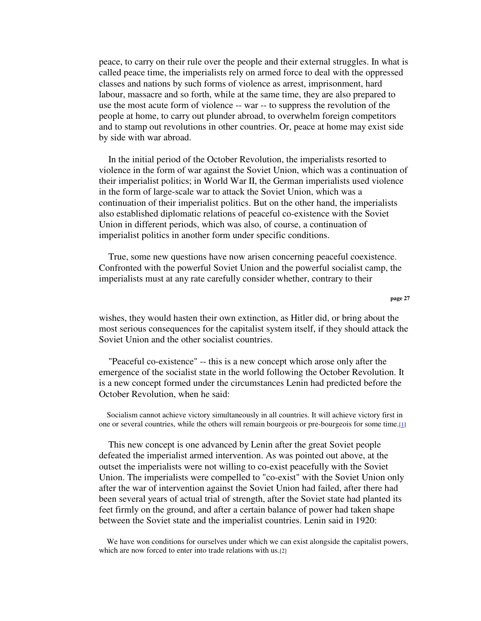peace, to carry on their rule over the people and their external struggles. In what is called peace time, the imperialists rely on armed force to deal with the oppressed classes and nations by such forms of violence as arrest, imprisonment, hard labour, massacre and so forth, while at the same time, they are also prepared to use the most acute form of violence -- war -- to suppress the revolution of the people at home, to carry out plunder abroad, to overwhelm foreign competitors and to stamp out revolutions in other countries. Or, peace at home may exist side by side with war abroad.

 In the initial period of the October Revolution, the imperialists resorted to violence in the form of war against the Soviet Union, which was a continuation of their imperialist politics; in World War II, the German imperialists used violence in the form of large-scale war to attack the Soviet Union, which was a continuation of their imperialist politics. But on the other hand, the imperialists also established diplomatic relations of peaceful co-existence with the Soviet Union in different periods, which was also, of course, a continuation of imperialist politics in another form under specific conditions.

 True, some new questions have now arisen concerning peaceful coexistence. Confronted with the powerful Soviet Union and the powerful socialist camp, the imperialists must at any rate carefully consider whether, contrary to their

wishes, they would hasten their own extinction, as Hitler did, or bring about the most serious consequences for the capitalist system itself, if they should attack the Soviet Union and the other socialist countries.

 "Peaceful co-existence" -- this is a new concept which arose only after the emergence of the socialist state in the world following the October Revolution. It is a new concept formed under the circumstances Lenin had predicted before the October Revolution, when he said:

 Socialism cannot achieve victory simultaneously in all countries. It will achieve victory first in one or several countries, while the others will remain bourgeois or pre-bourgeois for some time.[1]

 This new concept is one advanced by Lenin after the great Soviet people defeated the imperialist armed intervention. As was pointed out above, at the outset the imperialists were not willing to co-exist peacefully with the Soviet Union. The imperialists were compelled to "co-exist" with the Soviet Union only after the war of intervention against the Soviet Union had failed, after there had been several years of actual trial of strength, after the Soviet state had planted its feet firmly on the ground, and after a certain balance of power had taken shape between the Soviet state and the imperialist countries. Lenin said in 1920:

 We have won conditions for ourselves under which we can exist alongside the capitalist powers, which are now forced to enter into trade relations with us.[2]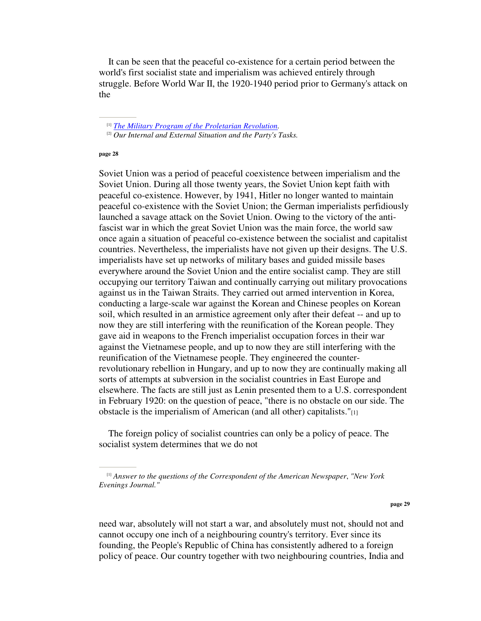It can be seen that the peaceful co-existence for a certain period between the world's first socialist state and imperialism was achieved entirely through struggle. Before World War II, the 1920-1940 period prior to Germany's attack on the

[1] *The Military Program of the Proletarian Revolution.* [2] *Our Internal and External Situation and the Party's Tasks.*

## **page 28**

Soviet Union was a period of peaceful coexistence between imperialism and the Soviet Union. During all those twenty years, the Soviet Union kept faith with peaceful co-existence. However, by 1941, Hitler no longer wanted to maintain peaceful co-existence with the Soviet Union; the German imperialists perfidiously launched a savage attack on the Soviet Union. Owing to the victory of the antifascist war in which the great Soviet Union was the main force, the world saw once again a situation of peaceful co-existence between the socialist and capitalist countries. Nevertheless, the imperialists have not given up their designs. The U.S. imperialists have set up networks of military bases and guided missile bases everywhere around the Soviet Union and the entire socialist camp. They are still occupying our territory Taiwan and continually carrying out military provocations against us in the Taiwan Straits. They carried out armed intervention in Korea, conducting a large-scale war against the Korean and Chinese peoples on Korean soil, which resulted in an armistice agreement only after their defeat -- and up to now they are still interfering with the reunification of the Korean people. They gave aid in weapons to the French imperialist occupation forces in their war against the Vietnamese people, and up to now they are still interfering with the reunification of the Vietnamese people. They engineered the counterrevolutionary rebellion in Hungary, and up to now they are continually making all sorts of attempts at subversion in the socialist countries in East Europe and elsewhere. The facts are still just as Lenin presented them to a U.S. correspondent in February 1920: on the question of peace, "there is no obstacle on our side. The obstacle is the imperialism of American (and all other) capitalists."[1]

 The foreign policy of socialist countries can only be a policy of peace. The socialist system determines that we do not

**page 29**

need war, absolutely will not start a war, and absolutely must not, should not and cannot occupy one inch of a neighbouring country's territory. Ever since its founding, the People's Republic of China has consistently adhered to a foreign policy of peace. Our country together with two neighbouring countries, India and

<sup>[1]</sup> *Answer to the questions of the Correspondent of the American Newspaper*, *"New York Evenings Journal."*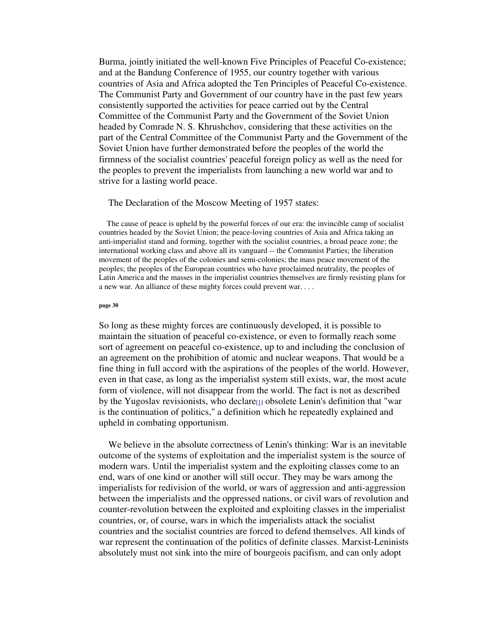Burma, jointly initiated the well-known Five Principles of Peaceful Co-existence; and at the Bandung Conference of 1955, our country together with various countries of Asia and Africa adopted the Ten Principles of Peaceful Co-existence. The Communist Party and Government of our country have in the past few years consistently supported the activities for peace carried out by the Central Committee of the Communist Party and the Government of the Soviet Union headed by Comrade N. S. Khrushchov, considering that these activities on the part of the Central Committee of the Communist Party and the Government of the Soviet Union have further demonstrated before the peoples of the world the firmness of the socialist countries' peaceful foreign policy as well as the need for the peoples to prevent the imperialists from launching a new world war and to strive for a lasting world peace.

## The Declaration of the Moscow Meeting of 1957 states:

 The cause of peace is upheld by the powerful forces of our era: the invincible camp of socialist countries headed by the Soviet Union; the peace-loving countries of Asia and Africa taking an anti-imperialist stand and forming, together with the socialist countries, a broad peace zone; the international working class and above all its vanguard -- the Communist Parties; the liberation movement of the peoples of the colonies and semi-colonies; the mass peace movement of the peoples; the peoples of the European countries who have proclaimed neutrality, the peoples of Latin America and the masses in the imperialist countries themselves are firmly resisting plans for a new war. An alliance of these mighty forces could prevent war. . . .

## **page 30**

So long as these mighty forces are continuously developed, it is possible to maintain the situation of peaceful co-existence, or even to formally reach some sort of agreement on peaceful co-existence, up to and including the conclusion of an agreement on the prohibition of atomic and nuclear weapons. That would be a fine thing in full accord with the aspirations of the peoples of the world. However, even in that case, as long as the imperialist system still exists, war, the most acute form of violence, will not disappear from the world. The fact is not as described by the Yugoslav revisionists, who declare[1] obsolete Lenin's definition that "war is the continuation of politics," a definition which he repeatedly explained and upheld in combating opportunism.

 We believe in the absolute correctness of Lenin's thinking: War is an inevitable outcome of the systems of exploitation and the imperialist system is the source of modern wars. Until the imperialist system and the exploiting classes come to an end, wars of one kind or another will still occur. They may be wars among the imperialists for redivision of the world, or wars of aggression and anti-aggression between the imperialists and the oppressed nations, or civil wars of revolution and counter-revolution between the exploited and exploiting classes in the imperialist countries, or, of course, wars in which the imperialists attack the socialist countries and the socialist countries are forced to defend themselves. All kinds of war represent the continuation of the politics of definite classes. Marxist-Leninists absolutely must not sink into the mire of bourgeois pacifism, and can only adopt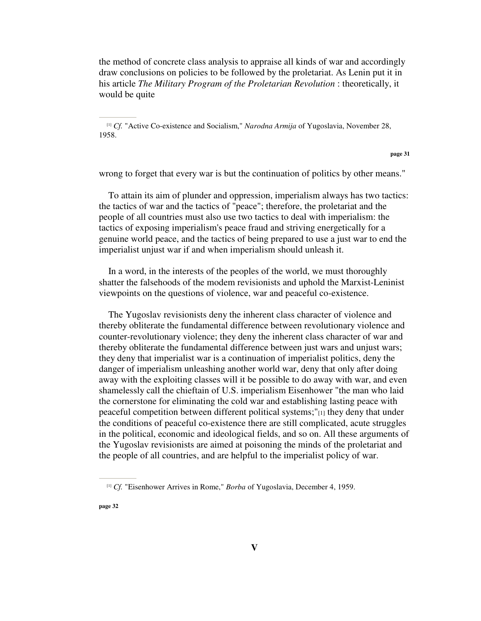the method of concrete class analysis to appraise all kinds of war and accordingly draw conclusions on policies to be followed by the proletariat. As Lenin put it in his article *The Military Program of the Proletarian Revolution* : theoretically, it would be quite

**page 31**

wrong to forget that every war is but the continuation of politics by other means."

 To attain its aim of plunder and oppression, imperialism always has two tactics: the tactics of war and the tactics of "peace"; therefore, the proletariat and the people of all countries must also use two tactics to deal with imperialism: the tactics of exposing imperialism's peace fraud and striving energetically for a genuine world peace, and the tactics of being prepared to use a just war to end the imperialist unjust war if and when imperialism should unleash it.

 In a word, in the interests of the peoples of the world, we must thoroughly shatter the falsehoods of the modem revisionists and uphold the Marxist-Leninist viewpoints on the questions of violence, war and peaceful co-existence.

 The Yugoslav revisionists deny the inherent class character of violence and thereby obliterate the fundamental difference between revolutionary violence and counter-revolutionary violence; they deny the inherent class character of war and thereby obliterate the fundamental difference between just wars and unjust wars; they deny that imperialist war is a continuation of imperialist politics, deny the danger of imperialism unleashing another world war, deny that only after doing away with the exploiting classes will it be possible to do away with war, and even shamelessly call the chieftain of U.S. imperialism Eisenhower "the man who laid the cornerstone for eliminating the cold war and establishing lasting peace with peaceful competition between different political systems;"[1] they deny that under the conditions of peaceful co-existence there are still complicated, acute struggles in the political, economic and ideological fields, and so on. All these arguments of the Yugoslav revisionists are aimed at poisoning the minds of the proletariat and the people of all countries, and are helpful to the imperialist policy of war.

**page 32**

<sup>[1]</sup> *Cf.* "Active Co-existence and Socialism," *Narodna Armija* of Yugoslavia, November 28, 1958.

<sup>[1]</sup> *Cf.* "Eisenhower Arrives in Rome," *Borba* of Yugoslavia, December 4, 1959.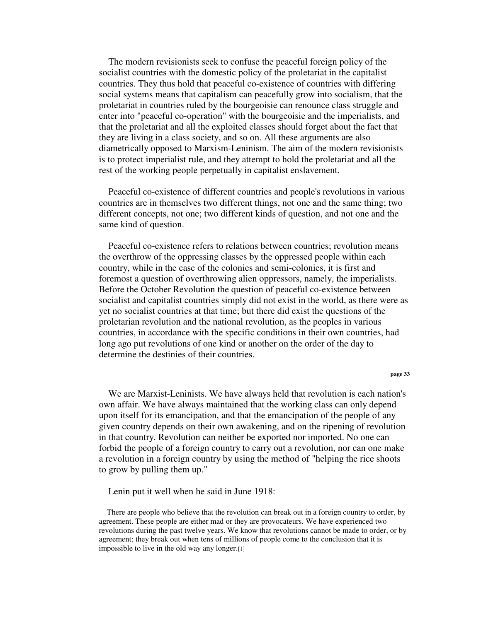The modern revisionists seek to confuse the peaceful foreign policy of the socialist countries with the domestic policy of the proletariat in the capitalist countries. They thus hold that peaceful co-existence of countries with differing social systems means that capitalism can peacefully grow into socialism, that the proletariat in countries ruled by the bourgeoisie can renounce class struggle and enter into "peaceful co-operation" with the bourgeoisie and the imperialists, and that the proletariat and all the exploited classes should forget about the fact that they are living in a class society, and so on. All these arguments are also diametrically opposed to Marxism-Leninism. The aim of the modern revisionists is to protect imperialist rule, and they attempt to hold the proletariat and all the rest of the working people perpetually in capitalist enslavement.

 Peaceful co-existence of different countries and people's revolutions in various countries are in themselves two different things, not one and the same thing; two different concepts, not one; two different kinds of question, and not one and the same kind of question.

 Peaceful co-existence refers to relations between countries; revolution means the overthrow of the oppressing classes by the oppressed people within each country, while in the case of the colonies and semi-colonies, it is first and foremost a question of overthrowing alien oppressors, namely, the imperialists. Before the October Revolution the question of peaceful co-existence between socialist and capitalist countries simply did not exist in the world, as there were as yet no socialist countries at that time; but there did exist the questions of the proletarian revolution and the national revolution, as the peoples in various countries, in accordance with the specific conditions in their own countries, had long ago put revolutions of one kind or another on the order of the day to determine the destinies of their countries.

**page 33**

 We are Marxist-Leninists. We have always held that revolution is each nation's own affair. We have always maintained that the working class can only depend upon itself for its emancipation, and that the emancipation of the people of any given country depends on their own awakening, and on the ripening of revolution in that country. Revolution can neither be exported nor imported. No one can forbid the people of a foreign country to carry out a revolution, nor can one make a revolution in a foreign country by using the method of "helping the rice shoots to grow by pulling them up."

Lenin put it well when he said in June 1918:

 There are people who believe that the revolution can break out in a foreign country to order, by agreement. These people are either mad or they are provocateurs. We have experienced two revolutions during the past twelve years. We know that revolutions cannot be made to order, or by agreement; they break out when tens of millions of people come to the conclusion that it is impossible to live in the old way any longer.[1]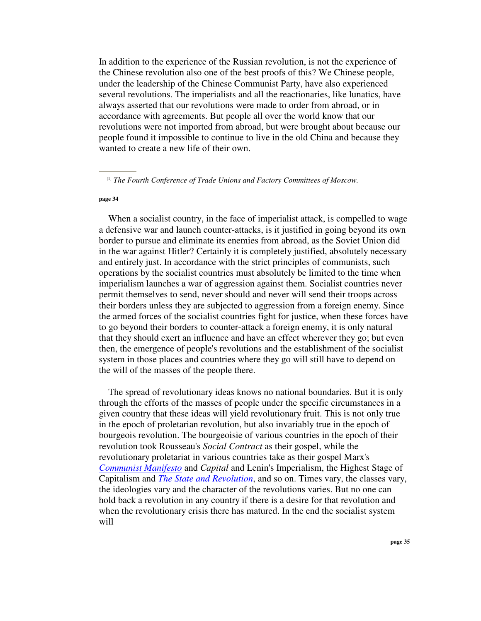In addition to the experience of the Russian revolution, is not the experience of the Chinese revolution also one of the best proofs of this? We Chinese people, under the leadership of the Chinese Communist Party, have also experienced several revolutions. The imperialists and all the reactionaries, like lunatics, have always asserted that our revolutions were made to order from abroad, or in accordance with agreements. But people all over the world know that our revolutions were not imported from abroad, but were brought about because our people found it impossible to continue to live in the old China and because they wanted to create a new life of their own.

## **page 34**

 When a socialist country, in the face of imperialist attack, is compelled to wage a defensive war and launch counter-attacks, is it justified in going beyond its own border to pursue and eliminate its enemies from abroad, as the Soviet Union did in the war against Hitler? Certainly it is completely justified, absolutely necessary and entirely just. In accordance with the strict principles of communists, such operations by the socialist countries must absolutely be limited to the time when imperialism launches a war of aggression against them. Socialist countries never permit themselves to send, never should and never will send their troops across their borders unless they are subjected to aggression from a foreign enemy. Since the armed forces of the socialist countries fight for justice, when these forces have to go beyond their borders to counter-attack a foreign enemy, it is only natural that they should exert an influence and have an effect wherever they go; but even then, the emergence of people's revolutions and the establishment of the socialist system in those places and countries where they go will still have to depend on the will of the masses of the people there.

 The spread of revolutionary ideas knows no national boundaries. But it is only through the efforts of the masses of people under the specific circumstances in a given country that these ideas will yield revolutionary fruit. This is not only true in the epoch of proletarian revolution, but also invariably true in the epoch of bourgeois revolution. The bourgeoisie of various countries in the epoch of their revolution took Rousseau's *Social Contract* as their gospel, while the revolutionary proletariat in various countries take as their gospel Marx's *Communist Manifesto* and *Capital* and Lenin's Imperialism, the Highest Stage of Capitalism and *The State and Revolution*, and so on. Times vary, the classes vary, the ideologies vary and the character of the revolutions varies. But no one can hold back a revolution in any country if there is a desire for that revolution and when the revolutionary crisis there has matured. In the end the socialist system will

<sup>[1]</sup> *The Fourth Conference of Trade Unions and Factory Committees of Moscow.*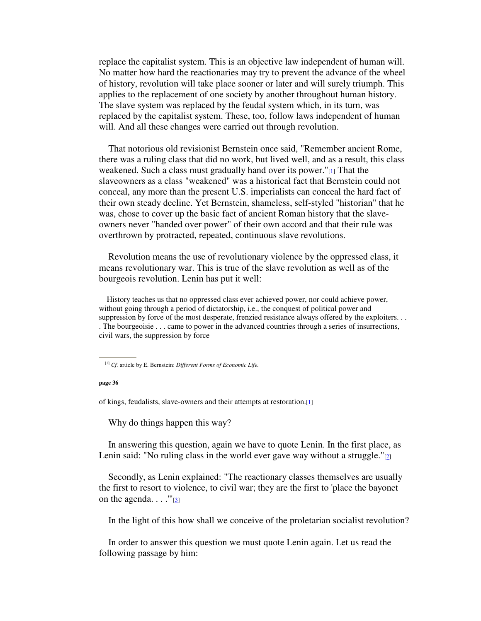replace the capitalist system. This is an objective law independent of human will. No matter how hard the reactionaries may try to prevent the advance of the wheel of history, revolution will take place sooner or later and will surely triumph. This applies to the replacement of one society by another throughout human history. The slave system was replaced by the feudal system which, in its turn, was replaced by the capitalist system. These, too, follow laws independent of human will. And all these changes were carried out through revolution.

 That notorious old revisionist Bernstein once said, "Remember ancient Rome, there was a ruling class that did no work, but lived well, and as a result, this class weakened. Such a class must gradually hand over its power."[1] That the slaveowners as a class "weakened" was a historical fact that Bernstein could not conceal, any more than the present U.S. imperialists can conceal the hard fact of their own steady decline. Yet Bernstein, shameless, self-styled "historian" that he was, chose to cover up the basic fact of ancient Roman history that the slaveowners never "handed over power" of their own accord and that their rule was overthrown by protracted, repeated, continuous slave revolutions.

 Revolution means the use of revolutionary violence by the oppressed class, it means revolutionary war. This is true of the slave revolution as well as of the bourgeois revolution. Lenin has put it well:

 History teaches us that no oppressed class ever achieved power, nor could achieve power, without going through a period of dictatorship, i.e., the conquest of political power and suppression by force of the most desperate, frenzied resistance always offered by the exploiters. . . . The bourgeoisie . . . came to power in the advanced countries through a series of insurrections, civil wars, the suppression by force

**page 36**

of kings, feudalists, slave-owners and their attempts at restoration.[1]

Why do things happen this way?

 In answering this question, again we have to quote Lenin. In the first place, as Lenin said: "No ruling class in the world ever gave way without a struggle."[2]

 Secondly, as Lenin explained: "The reactionary classes themselves are usually the first to resort to violence, to civil war; they are the first to 'place the bayonet on the agenda.  $\ldots$ <sup>"</sup>[3]

In the light of this how shall we conceive of the proletarian socialist revolution?

 In order to answer this question we must quote Lenin again. Let us read the following passage by him:

<sup>[1]</sup> *Cf.* article by E. Bernstein: *Different Forms of Economic Life.*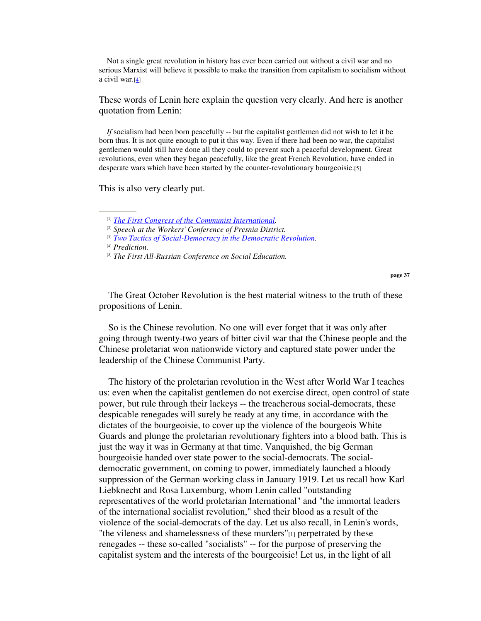Not a single great revolution in history has ever been carried out without a civil war and no serious Marxist will believe it possible to make the transition from capitalism to socialism without a civil war.[4]

These words of Lenin here explain the question very clearly. And here is another quotation from Lenin:

*If* socialism had been born peacefully -- but the capitalist gentlemen did not wish to let it be born thus. It is not quite enough to put it this way. Even if there had been no war, the capitalist gentlemen would still have done all they could to prevent such a peaceful development. Great revolutions, even when they began peacefully, like the great French Revolution, have ended in desperate wars which have been started by the counter-revolutionary bourgeoisie.[5]

This is also very clearly put.

[4] *Prediction.*

**page 37**

 The Great October Revolution is the best material witness to the truth of these propositions of Lenin.

 So is the Chinese revolution. No one will ever forget that it was only after going through twenty-two years of bitter civil war that the Chinese people and the Chinese proletariat won nationwide victory and captured state power under the leadership of the Chinese Communist Party.

 The history of the proletarian revolution in the West after World War I teaches us: even when the capitalist gentlemen do not exercise direct, open control of state power, but rule through their lackeys -- the treacherous social-democrats, these despicable renegades will surely be ready at any time, in accordance with the dictates of the bourgeoisie, to cover up the violence of the bourgeois White Guards and plunge the proletarian revolutionary fighters into a blood bath. This is just the way it was in Germany at that time. Vanquished, the big German bourgeoisie handed over state power to the social-democrats. The socialdemocratic government, on coming to power, immediately launched a bloody suppression of the German working class in January 1919. Let us recall how Karl Liebknecht and Rosa Luxemburg, whom Lenin called "outstanding representatives of the world proletarian International" and "the immortal leaders of the international socialist revolution," shed their blood as a result of the violence of the social-democrats of the day. Let us also recall, in Lenin's words, "the vileness and shamelessness of these murders"[1] perpetrated by these renegades -- these so-called "socialists" -- for the purpose of preserving the capitalist system and the interests of the bourgeoisie! Let us, in the light of all

<sup>[1]</sup> *The First Congress of the Communist International.*

<sup>[2]</sup> *Speech at the Workers' Conference of Presnia District.*

<sup>[3]</sup> *Two Tactics of Social-Democracy in the Democratic Revolution.*

<sup>[5]</sup> *The First All-Russian Conference on Social Education.*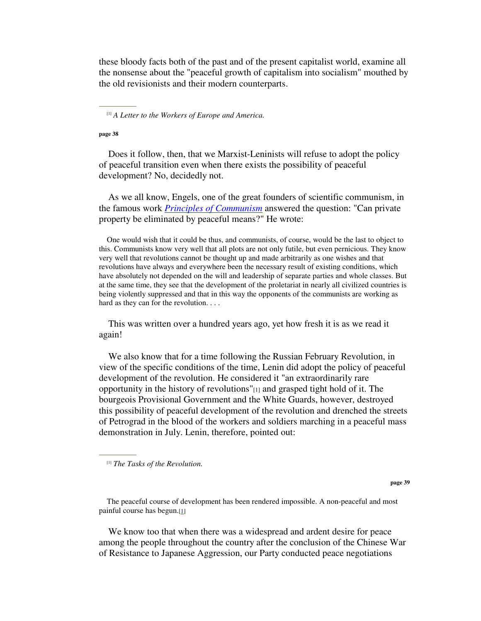these bloody facts both of the past and of the present capitalist world, examine all the nonsense about the "peaceful growth of capitalism into socialism" mouthed by the old revisionists and their modern counterparts.

[1] *A Letter to the Workers of Europe and America.*

#### **page 38**

 Does it follow, then, that we Marxist-Leninists will refuse to adopt the policy of peaceful transition even when there exists the possibility of peaceful development? No, decidedly not.

 As we all know, Engels, one of the great founders of scientific communism, in the famous work *Principles of Communism* answered the question: "Can private property be eliminated by peaceful means?" He wrote:

 One would wish that it could be thus, and communists, of course, would be the last to object to this. Communists know very well that all plots are not only futile, but even pernicious. They know very well that revolutions cannot be thought up and made arbitrarily as one wishes and that revolutions have always and everywhere been the necessary result of existing conditions, which have absolutely not depended on the will and leadership of separate parties and whole classes. But at the same time, they see that the development of the proletariat in nearly all civilized countries is being violently suppressed and that in this way the opponents of the communists are working as hard as they can for the revolution. . . .

 This was written over a hundred years ago, yet how fresh it is as we read it again!

 We also know that for a time following the Russian February Revolution, in view of the specific conditions of the time, Lenin did adopt the policy of peaceful development of the revolution. He considered it "an extraordinarily rare opportunity in the history of revolutions"[1] and grasped tight hold of it. The bourgeois Provisional Government and the White Guards, however, destroyed this possibility of peaceful development of the revolution and drenched the streets of Petrograd in the blood of the workers and soldiers marching in a peaceful mass demonstration in July. Lenin, therefore, pointed out:

[1] *The Tasks of the Revolution.*

**page 39**

 The peaceful course of development has been rendered impossible. A non-peaceful and most painful course has begun.[1]

 We know too that when there was a widespread and ardent desire for peace among the people throughout the country after the conclusion of the Chinese War of Resistance to Japanese Aggression, our Party conducted peace negotiations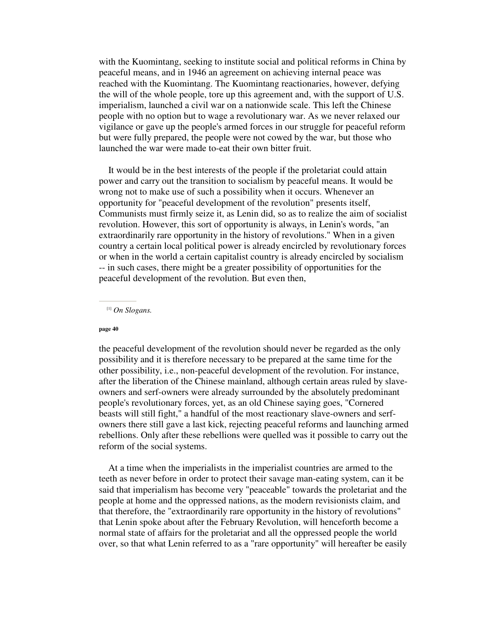with the Kuomintang, seeking to institute social and political reforms in China by peaceful means, and in 1946 an agreement on achieving internal peace was reached with the Kuomintang. The Kuomintang reactionaries, however, defying the will of the whole people, tore up this agreement and, with the support of U.S. imperialism, launched a civil war on a nationwide scale. This left the Chinese people with no option but to wage a revolutionary war. As we never relaxed our vigilance or gave up the people's armed forces in our struggle for peaceful reform but were fully prepared, the people were not cowed by the war, but those who launched the war were made to-eat their own bitter fruit.

 It would be in the best interests of the people if the proletariat could attain power and carry out the transition to socialism by peaceful means. It would be wrong not to make use of such a possibility when it occurs. Whenever an opportunity for "peaceful development of the revolution" presents itself, Communists must firmly seize it, as Lenin did, so as to realize the aim of socialist revolution. However, this sort of opportunity is always, in Lenin's words, "an extraordinarily rare opportunity in the history of revolutions." When in a given country a certain local political power is already encircled by revolutionary forces or when in the world a certain capitalist country is already encircled by socialism -- in such cases, there might be a greater possibility of opportunities for the peaceful development of the revolution. But even then,

[1] *On Slogans.*

#### **page 40**

the peaceful development of the revolution should never be regarded as the only possibility and it is therefore necessary to be prepared at the same time for the other possibility, i.e., non-peaceful development of the revolution. For instance, after the liberation of the Chinese mainland, although certain areas ruled by slaveowners and serf-owners were already surrounded by the absolutely predominant people's revolutionary forces, yet, as an old Chinese saying goes, "Cornered beasts will still fight," a handful of the most reactionary slave-owners and serfowners there still gave a last kick, rejecting peaceful reforms and launching armed rebellions. Only after these rebellions were quelled was it possible to carry out the reform of the social systems.

 At a time when the imperialists in the imperialist countries are armed to the teeth as never before in order to protect their savage man-eating system, can it be said that imperialism has become very "peaceable" towards the proletariat and the people at home and the oppressed nations, as the modern revisionists claim, and that therefore, the "extraordinarily rare opportunity in the history of revolutions" that Lenin spoke about after the February Revolution, will henceforth become a normal state of affairs for the proletariat and all the oppressed people the world over, so that what Lenin referred to as a "rare opportunity" will hereafter be easily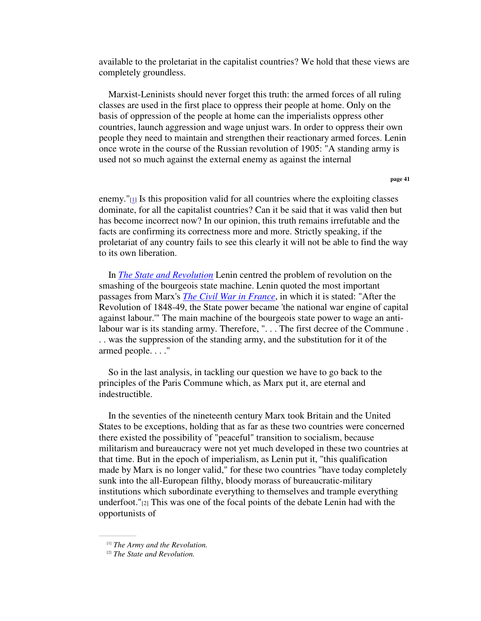available to the proletariat in the capitalist countries? We hold that these views are completely groundless.

 Marxist-Leninists should never forget this truth: the armed forces of all ruling classes are used in the first place to oppress their people at home. Only on the basis of oppression of the people at home can the imperialists oppress other countries, launch aggression and wage unjust wars. In order to oppress their own people they need to maintain and strengthen their reactionary armed forces. Lenin once wrote in the course of the Russian revolution of 1905: "A standing army is used not so much against the external enemy as against the internal

**page 41**

enemy." $\mu$  Is this proposition valid for all countries where the exploiting classes dominate, for all the capitalist countries? Can it be said that it was valid then but has become incorrect now? In our opinion, this truth remains irrefutable and the facts are confirming its correctness more and more. Strictly speaking, if the proletariat of any country fails to see this clearly it will not be able to find the way to its own liberation.

 In *The State and Revolution* Lenin centred the problem of revolution on the smashing of the bourgeois state machine. Lenin quoted the most important passages from Marx's *The Civil War in France*, in which it is stated: "After the Revolution of 1848-49, the State power became 'the national war engine of capital against labour.'" The main machine of the bourgeois state power to wage an antilabour war is its standing army. Therefore, ". . . The first decree of the Commune . . . was the suppression of the standing army, and the substitution for it of the armed people. . . ."

 So in the last analysis, in tackling our question we have to go back to the principles of the Paris Commune which, as Marx put it, are eternal and indestructible.

 In the seventies of the nineteenth century Marx took Britain and the United States to be exceptions, holding that as far as these two countries were concerned there existed the possibility of "peaceful" transition to socialism, because militarism and bureaucracy were not yet much developed in these two countries at that time. But in the epoch of imperialism, as Lenin put it, "this qualification made by Marx is no longer valid," for these two countries "have today completely sunk into the all-European filthy, bloody morass of bureaucratic-military institutions which subordinate everything to themselves and trample everything underfoot."[2] This was one of the focal points of the debate Lenin had with the opportunists of

<sup>[1]</sup> *The Army and the Revolution.*

<sup>[2]</sup> *The State and Revolution.*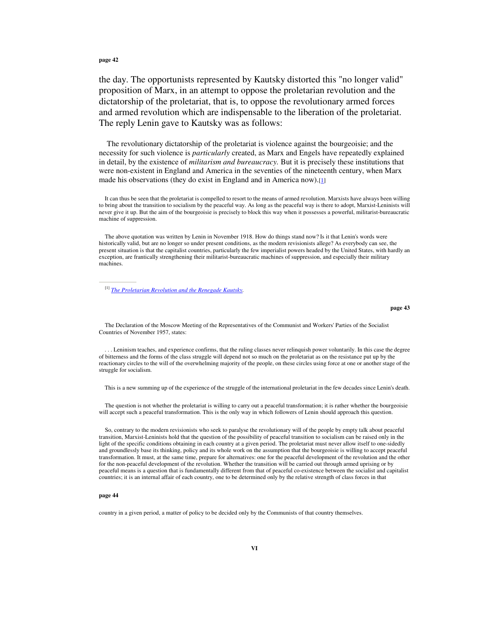#### **page 42**

the day. The opportunists represented by Kautsky distorted this "no longer valid" proposition of Marx, in an attempt to oppose the proletarian revolution and the dictatorship of the proletariat, that is, to oppose the revolutionary armed forces and armed revolution which are indispensable to the liberation of the proletariat. The reply Lenin gave to Kautsky was as follows:

 The revolutionary dictatorship of the proletariat is violence against the bourgeoisie; and the necessity for such violence is *particularly* created, as Marx and Engels have repeatedly explained in detail, by the existence of *militarism and bureaucracy.* But it is precisely these institutions that were non-existent in England and America in the seventies of the nineteenth century, when Marx made his observations (they do exist in England and in America now).[1]

 It can thus be seen that the proletariat is compelled to resort to the means of armed revolution. Marxists have always been willing to bring about the transition to socialism by the peaceful way. As long as the peaceful way is there to adopt, Marxist-Leninists will never give it up. But the aim of the bourgeoisie is precisely to block this way when it possesses a powerful, militarist-bureaucratic machine of suppression.

 The above quotation was written by Lenin in November 1918. How do things stand now? Is it that Lenin's words were historically valid, but are no longer so under present conditions, as the modern revisionists allege? As everybody can see, the present situation is that the capitalist countries, particularly the few imperialist powers headed by the United States, with hardly an exception, are frantically strengthening their militarist-bureaucratic machines of suppression, and especially their military machines.

[1] *The Proletarian Revolution and the Renegade Kautsky.*

**page 43**

 The Declaration of the Moscow Meeting of the Representatives of the Communist and Workers' Parties of the Socialist Countries of November 1957, states:

 . . . Leninism teaches, and experience confirms, that the ruling classes never relinquish power voluntarily. In this case the degree of bitterness and the forms of the class struggle will depend not so much on the proletariat as on the resistance put up by the reactionary circles to the will of the overwhelming majority of the people, on these circles using force at one or another stage of the struggle for socialism.

This is a new summing up of the experience of the struggle of the international proletariat in the few decades since Lenin's death.

 The question is not whether the proletariat is willing to carry out a peaceful transformation; it is rather whether the bourgeoisie will accept such a peaceful transformation. This is the only way in which followers of Lenin should approach this question.

 So, contrary to the modern revisionists who seek to paralyse the revolutionary will of the people by empty talk about peaceful transition, Marxist-Leninists hold that the question of the possibility of peaceful transition to socialism can be raised only in the light of the specific conditions obtaining in each country at a given period. The proletariat must never allow itself to one-sidedly and groundlessly base its thinking, policy and its whole work on the assumption that the bourgeoisie is willing to accept peaceful transformation. It must, at the same time, prepare for alternatives: one for the peaceful development of the revolution and the other for the non-peaceful development of the revolution. Whether the transition will be carried out through armed uprising or by peaceful means is a question that is fundamentally different from that of peaceful co-existence between the socialist and capitalist countries; it is an internal affair of each country, one to be determined only by the relative strength of class forces in that

#### **page 44**

country in a given period, a matter of policy to be decided only by the Communists of that country themselves.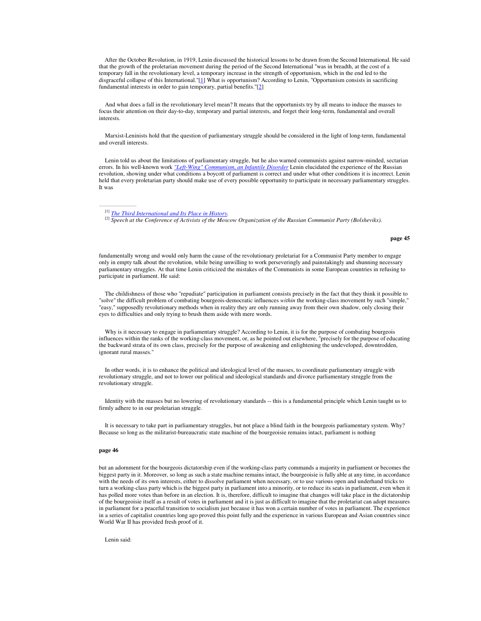After the October Revolution, in 1919, Lenin discussed the historical lessons to be drawn from the Second International. He said that the growth of the proletarian movement during the period of the Second International "was in breadth, at the cost of a temporary fall in the revolutionary level, a temporary increase in the strength of opportunism, which in the end led to the disgraceful collapse of this International."[1] What is opportunism? According to Lenin, "Opportunism consists in sacrificing fundamental interests in order to gain temporary, partial benefits."[2]

 And what does a fall in the revolutionary level mean? It means that the opportunists try by all means to induce the masses to focus their attention on their day-to-day, temporary and partial interests, and forget their long-term, fundamental and overall interests.

 Marxist-Leninists hold that the question of parliamentary struggle should be considered in the light of long-term, fundamental and overall interests.

 Lenin told us about the limitations of parliamentary struggle, but he also warned communists against narrow-minded, sectarian errors. In his well-known work *"Left-Wing" Communism*, *an Infantile Disorder* Lenin elucidated the experience of the Russian revolution, showing under what conditions a boycott of parliament is correct and under what other conditions it is incorrect. Lenin held that every proletarian party should make use of every possible opportunity to participate in necessary parliamentary struggles. It was

#### **page 45**

fundamentally wrong and would only harm the cause of the revolutionary proletariat for a Communist Party member to engage only in empty talk about the revolution, while being unwilling to work perseveringly and painstakingly and shunning necessary parliamentary struggles. At that time Lenin criticized the mistakes of the Communists in some European countries in refusing to participate in parliament. He said:

 The childishness of those who "repudiate" participation in parliament consists precisely in the fact that they think it possible to "solve" the difficult problem of combating bourgeois-democratic influences *within* the working-class movement by such "simple," "easy," supposedly revolutionary methods when in reality they are only running away from their own shadow, only closing their eyes to difficulties and only trying to brush them aside with mere words.

 Why is it necessary to engage in parliamentary struggle? According to Lenin, it is for the purpose of combating bourgeois influences within the ranks of the working-class movement, or, as he pointed out elsewhere, "precisely for the purpose of educating the backward strata of its own class, precisely for the purpose of awakening and enlightening the undeveloped, downtrodden, ignorant rural masses."

 In other words, it is to enhance the political and ideological level of the masses, to coordinate parliamentary struggle with revolutionary struggle, and not to lower our political and ideological standards and divorce parliamentary struggle from the revolutionary struggle.

 Identity with the masses but no lowering of revolutionary standards -- this is a fundamental principle which Lenin taught us to firmly adhere to in our proletarian struggle.

 It is necessary to take part in parliamentary struggles, but not place a blind faith in the bourgeois parliamentary system. Why? Because so long as the militarist-bureaucratic state machine of the bourgeoisie remains intact, parliament is nothing

#### **page 46**

but an adornment for the bourgeois dictatorship even if the working-class party commands a majority in parliament or becomes the biggest party in it. Moreover, so long as such a state machine remains intact, the bourgeoisie is fully able at any time, in accordance with the needs of its own interests, either to dissolve parliament when necessary, or to use various open and underhand tricks to turn a working-class party which is the biggest party in parliament into a minority, or to reduce its seats in parliament, even when it has polled more votes than before in an election. It is, therefore, difficult to imagine that changes will take place in the dictatorship of the bourgeoisie itself as a result of votes in parliament and it is just as difficult to imagine that the proletariat can adopt measures in parliament for a peaceful transition to socialism just because it has won a certain number of votes in parliament. The experience in a series of capitalist countries long ago proved this point fully and the experience in various European and Asian countries since World War II has provided fresh proof of it.

Lenin said:

<sup>[1]</sup> *The Third International and Its Place in History.*

<sup>&</sup>lt;sup>[2]</sup> Speech at the Conference of Activists of the Moscow Organization of the Russian Communist Party (Bolsheviks).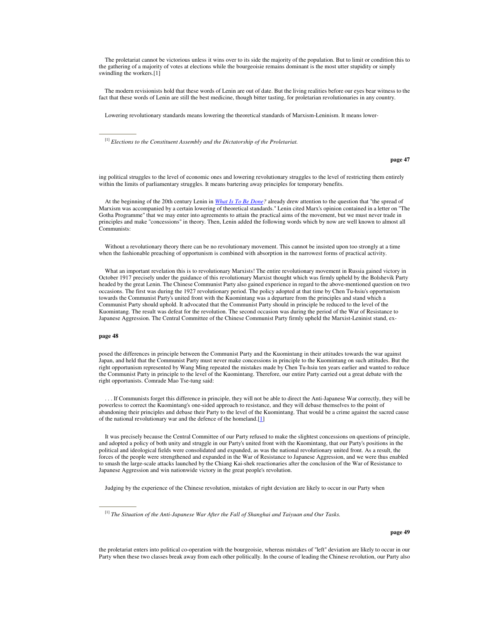The proletariat cannot be victorious unless it wins over to its side the majority of the population. But to limit or condition this to the gathering of a majority of votes at elections while the bourgeoisie remains dominant is the most utter stupidity or simply swindling the workers.[1]

 The modern revisionists hold that these words of Lenin are out of date. But the living realities before our eyes bear witness to the fact that these words of Lenin are still the best medicine, though bitter tasting, for proletarian revolutionaries in any country.

Lowering revolutionary standards means lowering the theoretical standards of Marxism-Leninism. It means lower-

[1] *Elections to the Constituent Assembly and the Dictatorship of the Proletariat.*

**page 47**

ing political struggles to the level of economic ones and lowering revolutionary struggles to the level of restricting them entirely within the limits of parliamentary struggles. It means bartering away principles for temporary benefits.

 At the beginning of the 20th century Lenin in *What Is To Be Done?* already drew attention to the question that "the spread of Marxism was accompanied by a certain lowering of theoretical standards." Lenin cited Marx's opinion contained in a letter on "The Gotha Programme" that we may enter into agreements to attain the practical aims of the movement, but we must never trade in principles and make "concessions" in theory. Then, Lenin added the following words which by now are well known to almost all Communists:

 Without a revolutionary theory there can be no revolutionary movement. This cannot be insisted upon too strongly at a time when the fashionable preaching of opportunism is combined with absorption in the narrowest forms of practical activity.

 What an important revelation this is to revolutionary Marxists! The entire revolutionary movement in Russia gained victory in October 1917 precisely under the guidance of this revolutionary Marxist thought which was firmly upheld by the Bolshevik Party headed by the great Lenin. The Chinese Communist Party also gained experience in regard to the above-mentioned question on two occasions. The first was during the 1927 revolutionary period. The policy adopted at that time by Chen Tu-hsiu's opportunism towards the Communist Party's united front with the Kuomintang was a departure from the principles and stand which a Communist Party should uphold. It advocated that the Communist Party should in principle be reduced to the level of the Kuomintang. The result was defeat for the revolution. The second occasion was during the period of the War of Resistance to Japanese Aggression. The Central Committee of the Chinese Communist Party firmly upheld the Marxist-Leninist stand, ex-

#### **page 48**

posed the differences in principle between the Communist Party and the Kuomintang in their attitudes towards the war against Japan, and held that the Communist Party must never make concessions in principle to the Kuomintang on such attitudes. But the right opportunism represented by Wang Ming repeated the mistakes made by Chen Tu-hsiu ten years earlier and wanted to reduce the Communist Party in principle to the level of the Kuomintang. Therefore, our entire Party carried out a great debate with the right opportunists. Comrade Mao Tse-tung said:

 . . . If Communists forget this difference in principle, they will not be able to direct the Anti-Japanese War correctly, they will be powerless to correct the Kuomintang's one-sided approach to resistance, and they will debase themselves to the point of abandoning their principles and debase their Party to the level of the Kuomintang. That would be a crime against the sacred cause of the national revolutionary war and the defence of the homeland.[1]

 It was precisely because the Central Committee of our Party refused to make the slightest concessions on questions of principle, and adopted a policy of both unity and struggle in our Party's united front with the Kuomintang, that our Party's positions in the political and ideological fields were consolidated and expanded, as was the national revolutionary united front. As a result, the forces of the people were strengthened and expanded in the War of Resistance to Japanese Aggression, and we were thus enabled to smash the large-scale attacks launched by the Chiang Kai-shek reactionaries after the conclusion of the War of Resistance to Japanese Aggression and win nationwide victory in the great people's revolution.

Judging by the experience of the Chinese revolution, mistakes of right deviation are likely to occur in our Party when

#### **page 49**

<sup>[1]</sup> *The Situation of the Anti-Japanese War After the Fall of Shanghai and Taiyuan and Our Tasks.*

the proletariat enters into political co-operation with the bourgeoisie, whereas mistakes of "left" deviation are likely to occur in our Party when these two classes break away from each other politically. In the course of leading the Chinese revolution, our Party also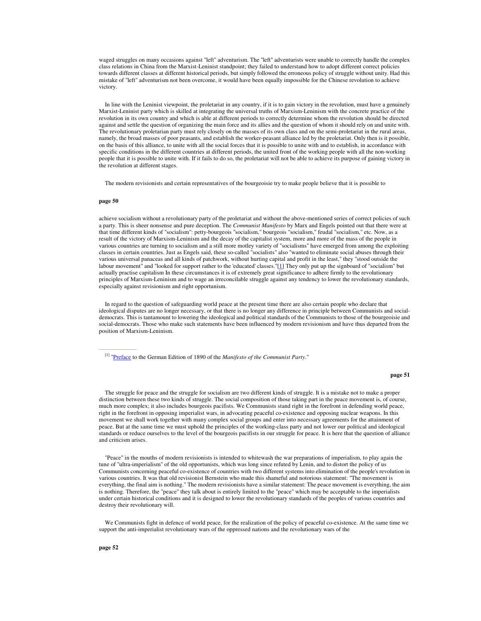waged struggles on many occasions against "left" adventurism. The "left" adventurists were unable to correctly handle the complex class relations in China from the Marxist-Leninist standpoint; they failed to understand how to adopt different correct policies towards different classes at different historical periods, but simply followed the erroneous policy of struggle without unity. Had this mistake of "left" adventurism not been overcome, it would have been equally impossible for the Chinese revolution to achieve victory.

 In line with the Leninist viewpoint, the proletariat in any country, if it is to gain victory in the revolution, must have a genuinely Marxist-Leninist party which is skilled at integrating the universal truths of Marxism-Leninism with the concrete practice of the revolution in its own country and which is able at different periods to correctly determine whom the revolution should be directed against and settle the question of organizing the main force and its allies and the question of whom it should rely on and unite with. The revolutionary proletarian party must rely closely on the masses of its own class and on the semi-proletariat in the rural areas, namely, the broad masses of poor peasants, and establish the worker-peasant alliance led by the proletariat. Only then is it possible, on the basis of this alliance, to unite with all the social forces that it is possible to unite with and to establish, in accordance with specific conditions in the different countries at different periods, the united front of the working people with all the non-working people that it is possible to unite with. If it fails to do so, the proletariat will not be able to achieve its purpose of gaining victory in the revolution at different stages.

The modern revisionists and certain representatives of the bourgeoisie try to make people believe that it is possible to

#### **page 50**

achieve socialism without a revolutionary party of the proletariat and without the above-mentioned series of correct policies of such a party. This is sheer nonsense and pure deception. The *Communist Manifesto* by Marx and Engels pointed out that there were at that time different kinds of "socialism": petty-bourgeois "socialism," bourgeois "socialism," feudal "socialism," etc. Now, as a result of the victory of Marxism-Leninism and the decay of the capitalist system, more and more of the mass of the people in various countries are turning to socialism and a still more motley variety of "socialisms" have emerged from among the exploiting classes in certain countries. Just as Engels said, these so-called "socialists" also "wanted to eliminate social abuses through their various universal panaceas and all kinds of patchwork, without hurting capital and profit in the least," they "stood outside the labour movement" and "looked for support rather to the 'educated' classes."[1] They only put up the signboard of "socialism" but actually practise capitalism In these circumstances it is of extremely great significance to adhere firmly to the revolutionary principles of Marxism-Leninism and to wage an irreconcilable struggle against any tendency to lower the revolutionary standards, especially against revisionism and right opportunism.

 In regard to the question of safeguarding world peace at the present time there are also certain people who declare that ideological disputes are no longer necessary, or that there is no longer any difference in principle between Communists and socialdemocrats. This is tantamount to lowering the ideological and political standards of the Communists to those of the bourgeoisie and social-democrats. Those who make such statements have been influenced by modern revisionism and have thus departed from the position of Marxism-Leninism.

[1] "Preface to the German Edition of 1890 of the *Manifesto of the Communist Party*."

#### **page 51**

 The struggle for peace and the struggle for socialism are two different kinds of struggle. It is a mistake not to make a proper distinction between these two kinds of struggle. The social composition of those taking part in the peace movement is, of course, much more complex; it also includes bourgeois pacifists. We Communists stand right in the forefront in defending world peace, right in the forefront in opposing imperialist wars, in advocating peaceful co-existence and opposing nuclear weapons. In this movement we shall work together with many complex social groups and enter into necessary agreements for the attainment of peace. But at the same time we must uphold the principles of the working-class party and not lower our political and ideological standards or reduce ourselves to the level of the bourgeois pacifists in our struggle for peace. It is here that the question of alliance and criticism arises.

 "Peace" in the mouths of modern revisionists is intended to whitewash the war preparations of imperialism, to play again the tune of "ultra-imperialism" of the old opportunists, which was long since refuted by Lenin, and to distort the policy of us Communists concerning peaceful co-existence of countries with two different systems into elimination of the people's revolution in various countries. It was that old revisionist Bernstein who made this shameful and notorious statement: "The movement is everything, the final aim is nothing." The modern revisionists have a similar statement: The peace movement is everything, the aim is nothing. Therefore, the "peace" they talk about is entirely limited to the "peace" which may be acceptable to the imperialists under certain historical conditions and it is designed to lower the revolutionary standards of the peoples of various countries and destroy their revolutionary will.

 We Communists fight in defence of world peace, for the realization of the policy of peaceful co-existence. At the same time we support the anti-imperialist revolutionary wars of the oppressed nations and the revolutionary wars of the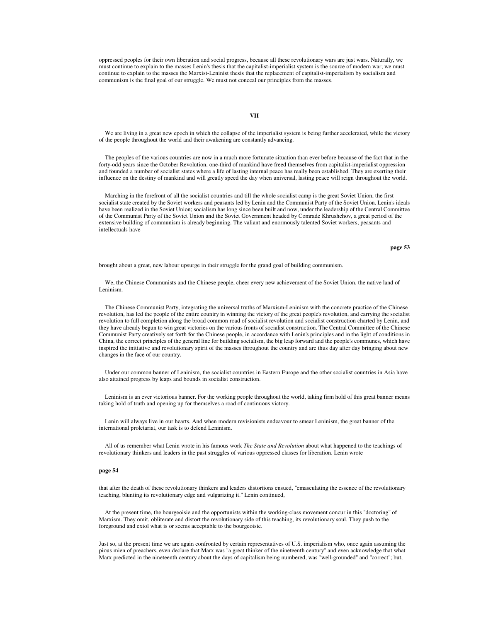oppressed peoples for their own liberation and social progress, because all these revolutionary wars are just wars. Naturally, we must continue to explain to the masses Lenin's thesis that the capitalist-imperialist system is the source of modern war; we must continue to explain to the masses the Marxist-Leninist thesis that the replacement of capitalist-imperialism by socialism and communism is the final goal of our struggle. We must not conceal our principles from the masses.

**VII** 

 We are living in a great new epoch in which the collapse of the imperialist system is being further accelerated, while the victory of the people throughout the world and their awakening are constantly advancing.

 The peoples of the various countries are now in a much more fortunate situation than ever before because of the fact that in the forty-odd years since the October Revolution, one-third of mankind have freed themselves from capitalist-imperialist oppression and founded a number of socialist states where a life of lasting internal peace has really been established. They are exerting their influence on the destiny of mankind and will greatly speed the day when universal, lasting peace will reign throughout the world.

 Marching in the forefront of all the socialist countries and till the whole socialist camp is the great Soviet Union, the first socialist state created by the Soviet workers and peasants led by Lenin and the Communist Party of the Soviet Union. Lenin's ideals have been realized in the Soviet Union; socialism has long since been built and now, under the leadership of the Central Committee of the Communist Party of the Soviet Union and the Soviet Government headed by Comrade Khrushchov, a great period of the extensive building of communism is already beginning. The valiant and enormously talented Soviet workers, peasants and intellectuals have

**page 53**

brought about a great, new labour upsurge in their struggle for the grand goal of building communism.

 We, the Chinese Communists and the Chinese people, cheer every new achievement of the Soviet Union, the native land of Leninism.

 The Chinese Communist Party, integrating the universal truths of Marxism-Leninism with the concrete practice of the Chinese revolution, has led the people of the entire country in winning the victory of the great people's revolution, and carrying the socialist revolution to full completion along the broad common road of socialist revolution and socialist construction charted by Lenin, and they have already begun to win great victories on the various fronts of socialist construction. The Central Committee of the Chinese Communist Party creatively set forth for the Chinese people, in accordance with Lenin's principles and in the light of conditions in China, the correct principles of the general line for building socialism, the big leap forward and the people's communes, which have inspired the initiative and revolutionary spirit of the masses throughout the country and are thus day after day bringing about new changes in the face of our country.

 Under our common banner of Leninism, the socialist countries in Eastern Europe and the other socialist countries in Asia have also attained progress by leaps and bounds in socialist construction.

 Leninism is an ever victorious banner. For the working people throughout the world, taking firm hold of this great banner means taking hold of truth and opening up for themselves a road of continuous victory.

 Lenin will always live in our hearts. And when modern revisionists endeavour to smear Leninism, the great banner of the international proletariat, our task is to defend Leninism.

 All of us remember what Lenin wrote in his famous work *The State and Revolution* about what happened to the teachings of revolutionary thinkers and leaders in the past struggles of various oppressed classes for liberation. Lenin wrote

#### **page 54**

that after the death of these revolutionary thinkers and leaders distortions ensued, "emasculating the essence of the revolutionary teaching, blunting its revolutionary edge and vulgarizing it." Lenin continued,

 At the present time, the bourgeoisie and the opportunists within the working-class movement concur in this "doctoring" of Marxism. They omit, obliterate and distort the revolutionary side of this teaching, its revolutionary soul. They push to the foreground and extol what is or seems acceptable to the bourgeoisie.

Just so, at the present time we are again confronted by certain representatives of U.S. imperialism who, once again assuming the pious mien of preachers, even declare that Marx was "a great thinker of the nineteenth century" and even acknowledge that what Marx predicted in the nineteenth century about the days of capitalism being numbered, was "well-grounded" and "correct"; but,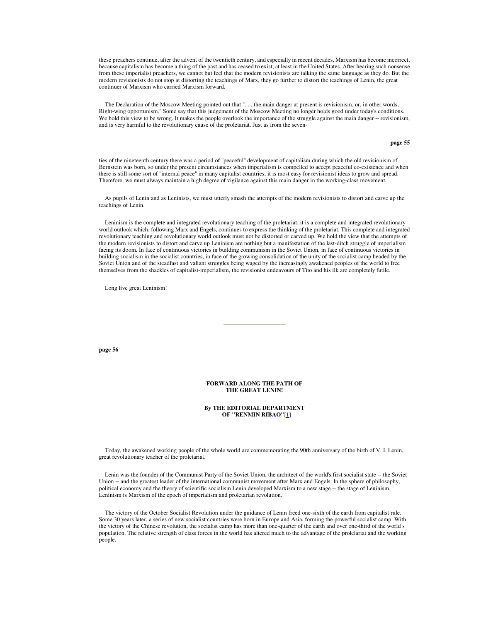these preachers continue, after the advent of the twentieth century, and especially in recent decades, Marxism has become incorrect, because capitalism has become a thing of the past and has ceased to exist, at least in the United States. After hearing such nonsense from these imperialist preachers, we cannot but feel that the modern revisionists are talking the same language as they do. But the modern revisionists do not stop at distorting the teachings of Marx, they go further to distort the teachings of Lenin, the great continuer of Marxism who carried Marxism forward.

 The Declaration of the Moscow Meeting pointed out that ". . . the main danger at present is revisionism, or, in other words, Right-wing opportunism." Some say that this judgement of the Moscow Meeting no longer holds good under today's conditions. We hold this view to be wrong. It makes the people overlook the importance of the struggle against the main danger -- revisionism, and is very harmful to the revolutionary cause of the proletariat. Just as from the seven-

#### **page 55**

ties of the nineteenth century there was a period of "peaceful" development of capitalism during which the old revisionism of Bernstein was born, so under the present circumstances when imperialism is compelled to accept peaceful co-existence and when there is still some sort of "internal peace" in many capitalist countries, it is most easy for revisionist ideas to grow and spread. Therefore, we must always maintain a high degree of vigilance against this main danger in the working-class movement.

 As pupils of Lenin and as Leninists, we must utterly smash the attempts of the modern revisionists to distort and carve up the teachings of Lenin.

 Leninism is the complete and integrated revolutionary teaching of the proletariat, it is a complete and integrated revolutionary world outlook which, following Marx and Engels, continues to express the thinking of the proletariat. This complete and integrated revolutionary teaching and revolutionary world outlook must not be distorted or carved up. We hold the view that the attempts of the modern revisionists to distort and carve up Leninism are nothing but a manifestation of the last-ditch struggle of imperialism facing its doom. In face of continuous victories in building communism in the Soviet Union, in face of continuous victories in building socialism in the socialist countries, in face of the growing consolidation of the unity of the socialist camp headed by the Soviet Union and of the steadfast and valiant struggles being waged by the increasingly awakened peoples of the world to free themselves from the shackles of capitalist-imperialism, the revisionist endeavours of Tito and his ilk are completely futile.

Long live great Leninism!

**page 56**

#### **FORWARD ALONG THE PATH OF THE GREAT LENIN!**

#### **By THE EDITORIAL DEPARTMENT OF "RENMIN RIBAO"**[1]

 Today, the awakened working people of the whole world are commemorating the 90th anniversary of the birth of V. I. Lenin, great revolutionary teacher of the proletariat.

 Lenin was the founder of the Communist Party of the Soviet Union, the architect of the world's first socialist state -- the Soviet Union -- and the greatest leader of the international communist movement after Marx and Engels. In the sphere of philosophy, political economy and the theory of scientific socialism Lenin developed Marxism to a new stage -- the stage of Leninism. Leninism is Marxism of the epoch of imperialism and proletarian revolution.

 The victory of the October Socialist Revolution under the guidance of Lenin freed one-sixth of the earth from capitalist rule. Some 30 years later, a series of new socialist countries were born in Europe and Asia, forming the powerful socialist camp. With the victory of the Chinese revolution, the socialist camp has more than one-quarter of the earth and over one-third of the world s population. The relative strength of class forces in the world has altered much to the advantage of the prolelariat and the working people.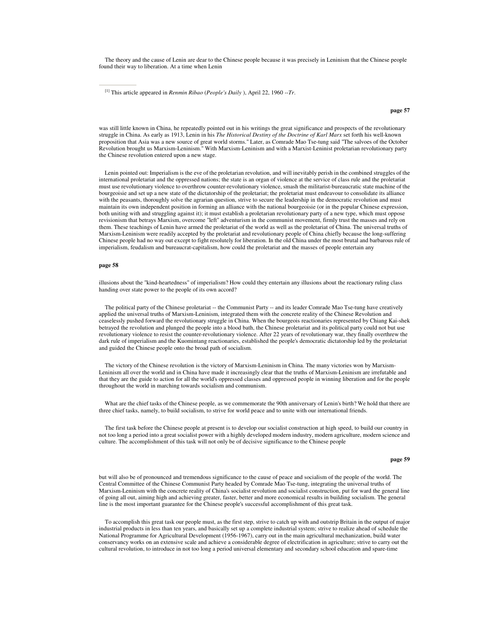The theory and the cause of Lenin are dear to the Chinese people because it was precisely in Leninism that the Chinese people found their way to liberation. At a time when Lenin

#### **page 57**

was still little known in China, he repeatedly pointed out in his writings the great significance and prospects of the revolutionary struggle in China. As early as 1913, Lenin in his *The Historical Destiny of the Doctrine of Karl Marx* set forth his well-known proposition that Asia was a new source of great world storms." Later, as Comrade Mao Tse-tung said "The salvoes of the October Revolution brought us Marxism-Leninism." With Marxism-Leninism and with a Marxist-Leninist proletarian revolutionary party the Chinese revolution entered upon a new stage.

 Lenin pointed out: Imperialism is the eve of the proletarian revolution, and will inevitably perish in the combined struggles of the international proletariat and the oppressed nations; the state is an organ of violence at the service of class rule and the proletariat must use revolutionary violence to overthrow counter-revolutionary violence, smash the militarist-bureaucratic state machine of the bourgeoisie and set up a new state of the dictatorship of the proletariat; the proletariat must endeavour to consolidate its alliance with the peasants, thoroughly solve the agrarian question, strive to secure the leadership in the democratic revolution and must maintain its own independent position in forming an alliance with the national bourgeoisie (or in the popular Chinese expression, both uniting with and struggling against it); it must establish a proletarian revolutionary party of a new type, which must oppose revisionism that betrays Marxism, overcome "left" adventurism in the communist movement, firmly trust the masses and rely on them. These teachings of Lenin have armed the proletariat of the world as well as the proletariat of China. The universal truths of Marxism-Leninism were readily accepted by the proletariat and revolutionary people of China chiefly because the long-suffering Chinese people had no way out except to fight resolutely for liberation. In the old China under the most brutal and barbarous rule of imperialism, feudalism and bureaucrat-capitalism, how could the proletariat and the masses of people entertain any

#### **page 58**

illusions about the "kind-heartedness" of imperialism? How could they entertain any illusions about the reactionary ruling class handing over state power to the people of its own accord?

 The political party of the Chinese proletariat -- the Communist Party -- and its leader Comrade Mao Tse-tung have creatively applied the universal truths of Marxism-Leninism, integrated them with the concrete reality of the Chinese Revolution and ceaselessly pushed forward the revolutionary struggle in China. When the bourgeois reactionaries represented by Chiang Kai-shek betrayed the revolution and plunged the people into a blood bath, the Chinese proletariat and its political party could not but use revolutionary violence to resist the counter-revolutionary violence. After 22 years of revolutionary war, they finally overthrew the dark rule of imperialism and the Kuomintang reactionaries, established the people's democratic dictatorship led by the proletariat and guided the Chinese people onto the broad path of socialism.

 The victory of the Chinese revolution is the victory of Marxism-Leninism in China. The many victories won by Marxism-Leninism all over the world and in China have made it increasingly clear that the truths of Marxism-Leninism are irrefutable and that they are the guide to action for all the world's oppressed classes and oppressed people in winning liberation and for the people throughout the world in marching towards socialism and communism.

 What are the chief tasks of the Chinese people, as we commemorate the 90th anniversary of Lenin's birth? We hold that there are three chief tasks, namely, to build socialism, to strive for world peace and to unite with our international friends.

 The first task before the Chinese people at present is to develop our socialist construction at high speed, to build our country in not too long a period into a great socialist power with a highly developed modern industry, modern agriculture, modern science and culture. The accomplishment of this task will not only be of decisive significance to the Chinese people

#### **page 59**

but will also be of pronounced and tremendous significance to the cause of peace and socialism of the people of the world. The Central Committee of the Chinese Communist Party headed by Comrade Mao Tse-tung, integrating the universal truths of Marxism-Leninism with the concrete reality of China's socialist revolution and socialist construction, put for ward the general line of going all out, aiming high and achieving greater, faster, better and more economical results in building socialism. The general line is the most important guarantee for the Chinese people's successful accomplishment of this great task.

 To accomplish this great task our people must, as the first step, strive to catch up with and outstrip Britain in the output of major industrial products in less than ten years, and basically set up a complete industrial system; strive to realize ahead of schedule the National Programme for Agricultural Development (1956-1967), carry out in the main agricultural mechanization, build water conservancy works on an extensive scale and achieve a considerable degree of electrification in agriculture; strive to carry out the cultural revolution, to introduce in not too long a period universal elementary and secondary school education and spare-time

<sup>[1]</sup> This article appeared in *Renmin Ribao* (*People's Daily* ), April 22, 1960 --*Tr*.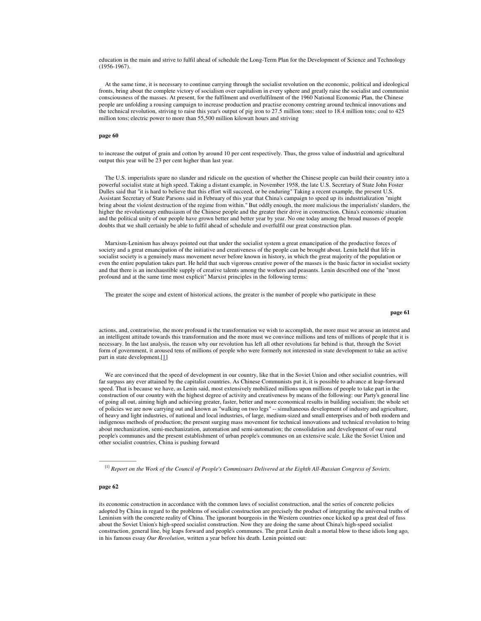education in the main and strive to fulfil ahead of schedule the Long-Term Plan for the Development of Science and Technology (1956-1967).

 At the same time, it is necessary to continue carrying through the socialist revolution on the economic, political and ideological fronts, bring about the complete victory of socialism over capitalism in every sphere and greatly raise the socialist and communist consciousness of the masses. At present, for the fulfilment and overfulfilment of the 1960 National Economic Plan, the Chinese people are unfolding a rousing campaign to increase production and practise economy centring around technical innovations and the technical revolution, striving to raise this year's output of pig iron to 27.5 million tons; steel to 18.4 million tons; coal to 425 million tons; electric power to more than 55,500 million kilowatt hours and striving

#### **page 60**

to increase the output of grain and cotton by around 10 per cent respectively. Thus, the gross value of industrial and agricultural output this year will be 23 per cent higher than last year.

 The U.S. imperialists spare no slander and ridicule on the question of whether the Chinese people can build their country into a powerful socialist state at high speed. Taking a distant example, in November 1958, the late U.S. Secretary of State John Foster Dulles said that "it is hard to believe that this effort will succeed, or be enduring" Taking a recent example, the present U.S. Assistant Secretary of State Parsons said in February of this year that China's campaign to speed up its industrialization "might bring about the violent destruction of the regime from within." But oddly enough, the more malicious the imperialists' slanders, the higher the revolutionary enthusiasm of the Chinese people and the greater their drive in construction. China's economic situation and the political unity of our people have grown better and better year by year. No one today among the broad masses of people doubts that we shall certainly be able to fulfil ahead of schedule and overfulfil our great construction plan.

 Marxism-Leninism has always pointed out that under the socialist system a great emancipation of the productive forces of society and a great emancipation of the initiative and creativeness of the people can be brought about. Lenin held that life in socialist society is a genuinely mass movement never before known in history, in which the great majority of the population or even the entire population takes part. He held that such vigorous creative power of the masses is the basic factor in socialist society and that there is an inexhaustible supply of creative talents among the workers and peasants. Lenin described one of the "most profound and at the same time most explicit" Marxist principles in the following terms:

The greater the scope and extent of historical actions, the greater is the number of people who participate in these

#### **page 61**

actions, and, contrariwise, the more profound is the transformation we wish to accomplish, the more must we arouse an interest and an intelligent attitude towards this transformation and the more must we convince millions and tens of millions of people that it is necessary. In the last analysis, the reason why our revolution has left all other revolutions far behind is that, through the Soviet form of government, it aroused tens of millions of people who were formerly not interested in state development to take an active part in state development.[1]

We are convinced that the speed of development in our country, like that in the Soviet Union and other socialist countries, will far surpass any ever attained by the capitalist countries. As Chinese Communists put it, it is possible to advance at leap-forward speed. That is because we have, as Lenin said, most extensively mobilized millions upon millions of people to take part in the construction of our country with the highest degree of activity and creativeness by means of the following: our Party's general line of going all out, aiming high and achieving greater, faster, better and more economical results in building socialism; the whole set of policies we are now carrying out and known as "walking on two legs" -- simultaneous development of industry and agriculture, of heavy and light industries, of national and local industries, of large, medium-sized and small enterprises and of both modern and indigenous methods of production; the present surging mass movement for technical innovations and technical revolution to bring about mechanization, semi-mechanization, automation and semi-automation; the consolidation and development of our rural people's communes and the present establishment of urban people's communes on an extensive scale. Like the Soviet Union and other socialist countries, China is pushing forward

[1] *Report on the Work of the Council of People's Commissars Delivered at the Eighth All-Russian Congress of Soviets.*

#### **page 62**

its economic construction in accordance with the common laws of socialist construction, anal the series of concrete policies adopted by China in regard to the problems of socialist construction are precisely the product of integrating the universal truths of Leninism with the concrete reality of China. The ignorant bourgeois in the Western countries once kicked up a great deal of fuss about the Soviet Union's high-speed socialist construction. Now they are doing the same about China's high-speed socialist construction, general line, big leaps forward and people's communes. The great Lenin dealt a mortal blow to these idiots long ago, in his famous essay *Our Revolution*, written a year before his death. Lenin pointed out: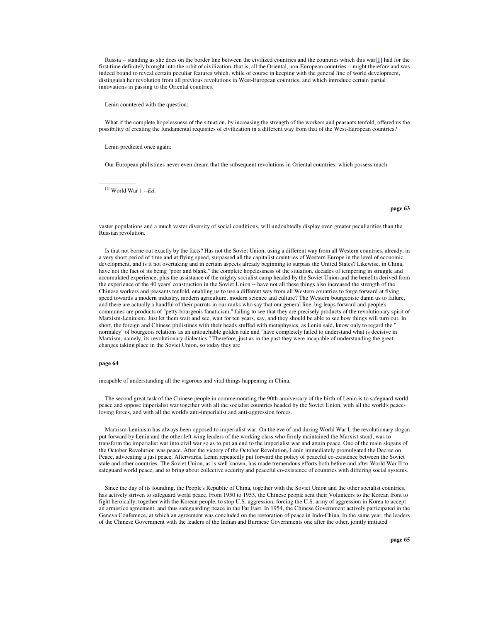Russia -- standing as she does on the border line between the civilized countries and the countries which this war[1] had for the first time definitely brought into the orbit of civilization, that is, all the Oriental, non-European countries -- might therefore and was indeed bound to reveal certain peculiar features which, while of course in keeping with the general line of world development, distinguish her revolution from all previous revolutions in West-European countries, and which introduce certain partial innovations in passing to the Oriental countries.

Lenin countered with the question:

 What if the complete hopelessness of the situation, by increasing the strength of the workers and peasants tenfold, offered us the possibility of creating the fundamental requisites of civilization in a different way from that of the West-European countries?

Lenin predicted once again:

Our European philistines never even dream that the subsequent revolutions in Oriental countries, which possess much

[1] World War 1 --*Ed*.

**page 63**

vaster populations and a much vaster diversity of social conditions, will undoubtedly display even greater peculiarities than the Russian revolution.

 Is that not borne out exactly by the facts? Has not the Soviet Union, using a different way from all Western countries, already, in a very short period of time and at flying speed, surpassed all the capitalist countries of Western Europe in the level of economic development, and is it not overtaking and in certain aspects already beginning to surpass the United States? Likewise, in China, have not the fact of its being "poor and blank," the complete hopelessness of the situation, decades of tempering in struggle and accumulated experience, plus the assistance of the mighty socialist camp headed by the Soviet Union and the benefits derived from the experience of the 40 years' construction in the Soviet Union -- have not all these things also increased the strength of the Chinese workers and peasants tenfold, enabling us to use a different way from all Western countries to forge forward at flying speed towards a modern industry, modern agriculture, modern science and culture? The Western bourgeoisie damn us to failure, and there are actually a handful of their parrots in our ranks who say that our general line, big leaps forward and people's communes are products of "petty-bourgeois fanaticism," failing to see that they are precisely products of the revolutionary spirit of Marxism-Leninism. Just let them wait and see, wait for ten years, say, and they should be able to see how things will turn out. In short, the foreign and Chinese philistines with their heads stuffed with metaphysics, as Lenin said, know only to regard the " normalcy" of bourgeois relations as an untouchable golden rule and "have completely failed to understand what is decisive in Marxism, namely, its revolutionary dialectics." Therefore, just as in the past they were incapable of understanding the great changes taking place in the Soviet Union, so today they are

#### **page 64**

incapable of understanding all the vigorous and vital things happening in China.

 The second great task of the Chinese people in commemorating the 90th anniversary of the birth of Lenin is to safeguard world peace and oppose imperialist war together with all the socialist countries headed by the Soviet Union, with all the world's peaceloving forces, and with all the world's anti-imperialist and anti-aggression forces.

 Marxism-Leninism has always been opposed to imperialist war. On the eve of and during World War I, the revolutionary slogan put forward by Lenin and the other left-wing leaders of the working class who firmly maintained the Marxist stand, was to transform the imperialist war into civil war so as to put an end to the imperialist war and attain peace. One of the main slogans of the October Revolution was peace. After the victory of the October Revolution, Lenin immediately promulgated the Decree on Peace, advocating a just peace. Afterwards, Lenin repeatedly put forward the policy of peaceful co-existence between the Soviet stale and other countries. The Soviet Union, as is well known, has made tremendous efforts both before and after World War II to safeguard world peace, and to bring about collective security and peaceful co-existence of countries with differing social systems.

 Since the day of its founding, the People's Republic of China, together with the Soviet Union and the other socialist countries, has actively striven to safeguard world peace. From 1950 to 1953, the Chinese people sent their Volunteers to the Korean front to fight heroically, together with the Korean people, to stop U.S. aggression, forcing the U.S. army of aggression in Korea to accept an armistice agreement, and thus safeguarding peace in the Far East. In 1954, the Chinese Government actively participated in the Geneva Conference, at which an agreement was concluded on the restoration of peace in Indo-China. In the same year, the leaders of the Chinese Government with the leaders of the Indian and Burmese Governments one after the other, jointly initiated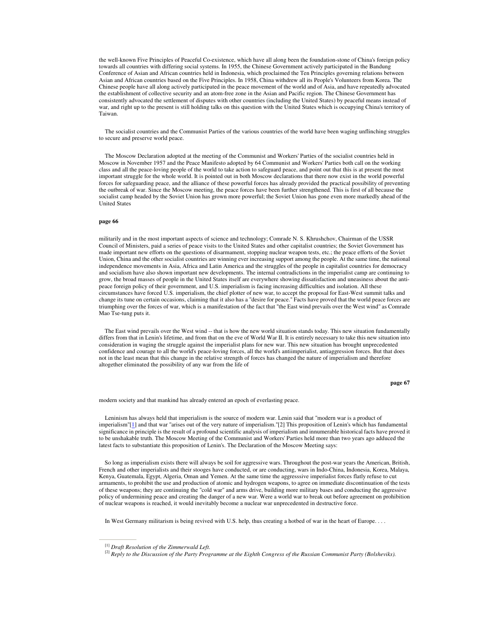the well-known Five Principles of Peaceful Co-existence, which have all along been the foundation-stone of China's foreign policy towards all countries with differing social systems. In 1955, the Chinese Government actively participated in the Bandung Conference of Asian and African countries held in Indonesia, which proclaimed the Ten Principles governing relations between Asian and African countries based on the Five Principles. In 1958, China withdrew all its People's Volunteers from Korea. The Chinese people have all along actively participated in the peace movement of the world and of Asia, and have repeatedly advocated the establishment of collective security and an atom-free zone in the Asian and Pacific region. The Chinese Government has consistently advocated the settlement of disputes with other countries (including the United States) by peaceful means instead of war, and right up to the present is still holding talks on this question with the United States which is occupying China's territory of Taiwan.

 The socialist countries and the Communist Parties of the various countries of the world have been waging unflinching struggles to secure and preserve world peace.

 The Moscow Declaration adopted at the meeting of the Communist and Workers' Parties of the socialist countries held in Moscow in November 1957 and the Peace Manifesto adopted by 64 Communist and Workers' Parties both call on the working class and all the peace-loving people of the world to take action to safeguard peace, and point out that this is at present the most important struggle for the whole world. It is pointed out in both Moscow declarations that there now exist in the world powerful forces for safeguarding peace, and the alliance of these powerful forces has already provided the practical possibility of preventing the outbreak of war. Since the Moscow meeting, the peace forces have been further strengthened. This is first of all because the socialist camp headed by the Soviet Union has grown more powerful; the Soviet Union has gone even more markedly ahead of the United States

#### **page 66**

militarily and in the most important aspects of science and technology; Comrade N. S. Khrushchov, Chairman of the USSR Council of Ministers, paid a series of peace visits to the United States and other capitalist countries; the Soviet Government has made important new efforts on the questions of disarmament, stopping nuclear weapon tests, etc.; the peace efforts of the Soviet Union, China and the other socialist countries are winning ever increasing support among the people. At the same time, the national independence movements in Asia, Africa and Latin America and the struggles of the people in capitalist countries for democracy and socialism have also shown important new developments. The internal contradictions in the imperialist camp are continuing to grow, the broad masses of people in the United States itself are everywhere showing dissatisfaction and uneasiness about the antipeace foreign policy of their government, and U.S. imperialism is facing increasing difficulties and isolation. All these circumstances have forced U.S. imperialism, the chief plotter of new war, to accept the proposal for East-West summit talks and change its tune on certain occasions, claiming that it also has a "desire for peace." Facts have proved that the world peace forces are triumphing over the forces of war, which is a manifestation of the fact that "the East wind prevails over the West wind" as Comrade Mao Tse-tung puts it.

The East wind prevails over the West wind -- that is how the new world situation stands today. This new situation fundamentally differs from that in Lenin's lifetime, and from that on the eve of World War II. It is entirely necessary to take this new situation into consideration in waging the struggle against the imperialist plans for new war. This new situation has brought unprecedented confidence and courage to all the world's peace-loving forces, all the world's antiimperialist, antiaggression forces. But that does not in the least mean that this change in the relative strength of forces has changed the nature of imperialism and therefore altogether eliminated the possibility of any war from the life of

#### **page 67**

modern society and that mankind has already entered an epoch of everlasting peace.

 Leninism has always held that imperialism is the source of modern war. Lenin said that "modern war is a product of imperialism"[1] and that war "arises out of the very nature of imperialism."[2] This proposition of Lenin's which has fundamental significance in principle is the result of a profound scientific analysis of imperialism and innumerable historical facts have proved it to be unshakable truth. The Moscow Meeting of the Communist and Workers' Parties held more than two years ago adduced the latest facts to substantiate this proposition of Lenin's. The Declaration of the Moscow Meeting says:

 So long as imperialism exists there will always be soil for aggressive wars. Throughout the post-war years the American, British, French and other imperialists and their stooges have conducted, or are conducting, wars in Indo-China, Indonesia, Korea, Malaya, Kenya, Guatemala, Egypt, Algeria, Oman and Yemen. At the same time the aggresssive imperialist forces flatly refuse to cut armaments, to prohibit the use and production of atomic and hydrogen weapons, to agree on immediate discontinuation of the tests of these weapons; they are continuing the "cold war" and arms drive, building more military bases and conducting the aggressive policy of undermining peace and creating the danger of a new war. Were a world war to break out before agreement on prohibition of nuclear weapons is reached, it would inevitably become a nuclear war unprecedented in destructive force.

In West Germany militarism is being revived with U.S. help, thus creating a hotbed of war in the heart of Europe. . . .

<sup>[1]</sup> *Draft Resolution of the Zimmerwald Left.*

<sup>[2]</sup> *Reply to the Discussion of the Party Programme at the Eighth Congress of the Russian Communist Party (Bolsheviks).*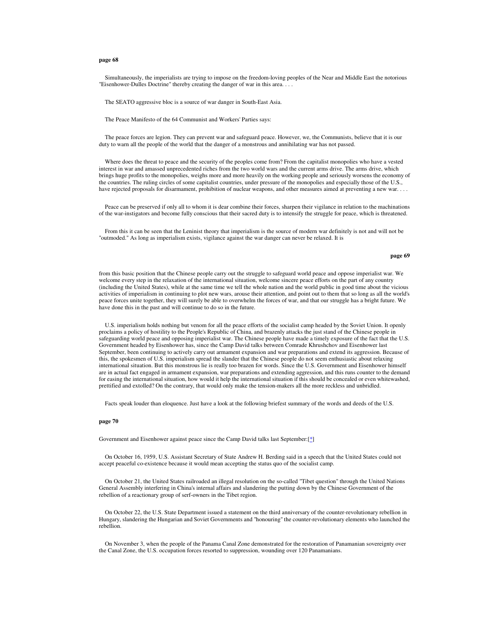#### **page 68**

 Simultaneously, the imperialists are trying to impose on the freedom-loving peoples of the Near and Middle East the notorious "Eisenhower-Dulles Doctrine" thereby creating the danger of war in this area. . . .

The SEATO aggressive bloc is a source of war danger in South-East Asia.

The Peace Manifesto of the 64 Communist and Workers' Parties says:

 The peace forces are legion. They can prevent war and safeguard peace. However, we, the Communists, believe that it is our duty to warn all the people of the world that the danger of a monstrous and annihilating war has not passed.

 Where does the threat to peace and the security of the peoples come from? From the capitalist monopolies who have a vested interest in war and amassed unprecedented riches from the two world wars and the current arms drive. The arms drive, which brings huge profits to the monopolies, weighs more and more heavily on the working people and seriously worsens the economy of the countries. The ruling circles of some capitalist countries, under pressure of the monopolies and especially those of the U.S., have rejected proposals for disarmament, prohibition of nuclear weapons, and other measures aimed at preventing a new war. . . .

 Peace can be preserved if only all to whom it is dear combine their forces, sharpen their vigilance in relation to the machinations of the war-instigators and become fully conscious that their sacred duty is to intensify the struggle for peace, which is threatened.

 From this it can be seen that the Leninist theory that imperialism is the source of modern war definitely is not and will not be "outmoded." As long as imperialism exists, vigilance against the war danger can never be relaxed. It is

#### **page 69**

from this basic position that the Chinese people carry out the struggle to safeguard world peace and oppose imperialist war. We welcome every step in the relaxation of the international situation, welcome sincere peace efforts on the part of any country (including the United States), while at the same time we tell the whole nation and the world public in good time about the vicious activities of imperialism in continuing to plot new wars, arouse their attention, and point out to them that so long as all the world's peace forces unite together, they will surely be able to overwhelm the forces of war, and that our struggle has a bright future. We have done this in the past and will continue to do so in the future.

 U.S. imperialism holds nothing but venom for all the peace efforts of the socialist camp headed by the Soviet Union. It openly proclaims a policy of hostility to the People's Republic of China, and brazenly attacks the just stand of the Chinese people in safeguarding world peace and opposing imperialist war. The Chinese people have made a timely exposure of the fact that the U.S. Government headed by Eisenhower has, since the Camp David talks between Comrade Khrushchov and Eisenhower last September, been continuing to actively carry out armament expansion and war preparations and extend its aggression. Because of this, the spokesmen of U.S. imperialism spread the slander that the Chinese people do not seem enthusiastic about relaxing international situation. But this monstrous lie is really too brazen for words. Since the U.S. Government and Eisenhower himself are in actual fact engaged in armament expansion, war preparations and extending aggression, and this runs counter to the demand for easing the international situation, how would it help the international situation if this should be concealed or even whitewashed, prettified and extolled? On the contrary, that would only make the tension-makers all the more reckless and unbridled.

Facts speak louder than eloquence. Just have a look at the following briefest summary of the words and deeds of the U.S.

#### **page 70**

Government and Eisenhower against peace since the Camp David talks last September:<sup>[\*]</sup>

 On October 16, 1959, U.S. Assistant Secretary of State Andrew H. Berding said in a speech that the United States could not accept peaceful co-existence because it would mean accepting the status quo of the socialist camp.

 On October 21, the United States railroaded an illegal resolution on the so-called "Tibet question" through the United Nations General Assembly interfering in China's internal affairs and slandering the putting down by the Chinese Government of the rebellion of a reactionary group of serf-owners in the Tibet region.

 On October 22, the U.S. State Department issued a statement on the third anniversary of the counter-revolutionary rebellion in Hungary, slandering the Hungarian and Soviet Governments and "honouring" the counter-revolutionary elements who launched the rebellion.

 On November 3, when the people of the Panama Canal Zone demonstrated for the restoration of Panamanian sovereignty over the Canal Zone, the U.S. occupation forces resorted to suppression, wounding over 120 Panamanians.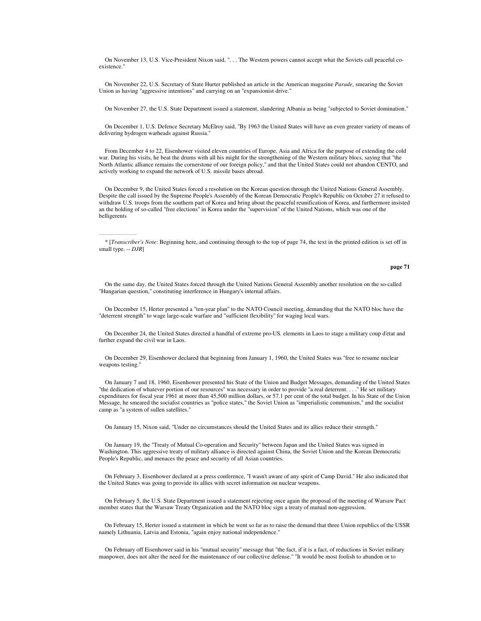On November 13, U.S. Vice-President Nixon said, ". . . The Western powers cannot accept what the Soviets call peaceful coexistence.

 On November 22, U.S. Secretary of State Hurter published an article in the American magazine *Parade*, smearing the Soviet Union as having "aggressive intentions" and carrying on an "expansionist drive."

On November 27, the U.S. State Department issued a statement, slandering Albania as being "subjected to Soviet domination."

 On December 1, U.S. Defence Secretary McElroy said, "By 1963 the United States will have an even greater variety of means of delivering hydrogen warheads against Russia."

 From December 4 to 22, Eisenhower visited eleven countries of Europe, Asia and Africa for the purpose of extending the cold war. During his visits, he beat the drums with all his might for the strengthening of the Western military blocs, saying that "the North Atlantic alliance remains the cornerstone of our foreign policy," and that the United States could not abandon CENTO, and actively working to expand the network of U.S. missile bases abroad.

 On December 9, the United States forced a resolution on the Korean question through the United Nations General Assembly. Despite the call issued by the Supreme People's Assembly of the Korean Democratic People's Republic on October 27 it refused to withdraw U.S. troops from the southern part of Korea and bring about the peaceful reunification of Korea, and furthermore insisted an the holding of so-called "free elections" in Korea under the "supervision" of the United Nations, which was one of the belligerents

 \* [*Transcriber's Note*: Beginning here, and continuing through to the top of page 74, the text in the printed edition is set off in small type. -- *DJR*]

**page 71**

 On the same day, the United States forced through the United Nations General Assembly another resolution on the so-called "Hungarian question," constituting interference in Hungary's internal affairs.

 On December 15, Herter presented a "ten-year plan" to the NATO Council meeting, demanding that the NATO bloc have the "deterrent strength" to wage large-scale warfare and "sufficient flexibility" for waging local wars.

 On December 24, the United States directed a handful of extreme pro-US. elements in Laos to stage a military coup d'etat and further expand the civil war in Laos.

 On December 29, Eisenhower declared that beginning from January 1, 1960, the United States was "free to resume nuclear weapons testing."

 On January 7 and 18, 1960, Eisenhower presented his State of the Union and Budget Messages, demanding of the United States "the dedication of whatever portion of our resources" was necessary in order to provide "a real deterrent. . . ." He set military expenditures for fiscal year 1961 at more than 45,500 million dollars, or 57.1 per cent of the total budget. In his State of the Union Message, he smeared the socialist countries as "police states," the Soviet Union as "imperialistic communism," and the socialist camp as "a system of sullen satellites."

On January 15, Nixon said, "Under no circumstances should the United States and its allies reduce their strength."

 On January 19, the "Treaty of Mutual Co-operation and Security" between Japan and the United States was signed in Washington. This aggressive treaty of military alliance is directed against China, the Soviet Union and the Korean Democratic People's Republic, and menaces the peace and security of all Asian countries.

 On February 3, Eisenhower declared at a press conference, "I wasn't aware of any spirit of Camp David." He also indicated that the United States was going to provide its allies with secret information on nuclear weapons.

 On February 5, the U.S. State Department issued a statement rejecting once again the proposal of the meeting of Warsaw Pact member states that the Warsaw Treaty Organization and the NATO bloc sign a treaty of mutual non-aggression.

 On February 15, Herter issued a statement in which he went so far as to raise the demand that three Union republics of the USSR namely Lithuania, Latvia and Estonia, "again enjoy national independence."

 On February off Eisenhower said in his "mutual security" message that "the fact, if it is a fact, of reductions in Soviet military manpower, does not alter the need for the maintenance of our collective defense." "It would be most foolish to abandon or to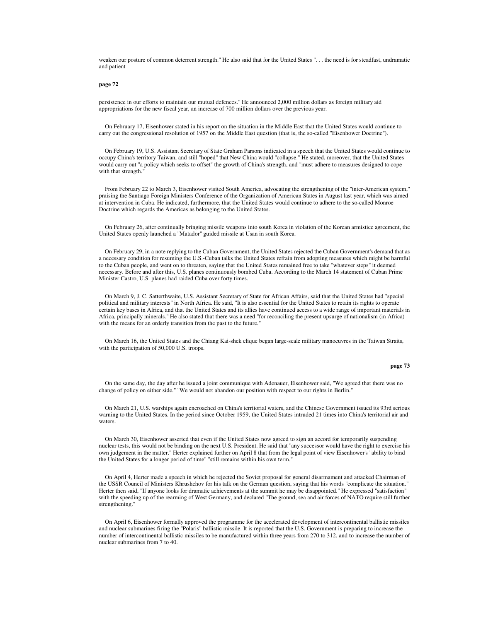weaken our posture of common deterrent strength." He also said that for the United States ". . . the need is for steadfast, undramatic and patient

#### **page 72**

persistence in our efforts to maintain our mutual defences." He announced 2,000 million dollars as foreign military aid appropriations for the new fiscal year, an increase of 700 million dollars over the previous year.

 On February 17, Eisenhower stated in his report on the situation in the Middle East that the United States would continue to carry out the congressional resolution of 1957 on the Middle East question (that is, the so-called "Eisenhower Doctrine").

 On February 19, U.S. Assistant Secretary of State Graham Parsons indicated in a speech that the United States would continue to occupy China's territory Taiwan, and still "hoped" that New China would "collapse." He stated, moreover, that the United States would carry out "a policy which seeks to offset" the growth of China's strength, and "must adhere to measures designed to cope with that strength."

 From February 22 to March 3, Eisenhower visited South America, advocating the strengthening of the "inter-American system," praising the Santiago Foreign Ministers Conference of the Organization of American States in August last year, which was aimed at intervention in Cuba. He indicated, furthermore, that the United States would continue to adhere to the so-called Monroe Doctrine which regards the Americas as belonging to the United States.

 On February 26, after continually bringing missile weapons into south Korea in violation of the Korean armistice agreement, the United States openly launched a "Matador" guided missile at Usan in south Korea.

 On February 29, in a note replying to the Cuban Government, the United States rejected the Cuban Government's demand that as a necessary condition for resuming the U.S.-Cuban talks the United States refrain from adopting measures which might be harmful to the Cuban people, and went on to threaten, saying that the United States remained free to take "whatever steps" it deemed necessary. Before and after this, U.S. planes continuously bombed Cuba. According to the March 14 statement of Cuban Prime Minister Castro, U.S. planes had raided Cuba over forty times.

 On March 9, J. C. Satterthwaite, U.S. Assistant Secretary of State for African Affairs, said that the United States had "special political and military interests" in North Africa. He said, "It is also essential for the United States to retain its rights to operate certain key bases in Africa, and that the United States and its allies have continued access to a wide range of important materials in Africa, principally minerals." He also stated that there was a need "for reconciling the present upsurge of nationalism (in Africa) with the means for an orderly transition from the past to the future."

 On March 16, the United States and the Chiang Kai-shek clique began large-scale military manoeuvres in the Taiwan Straits, with the participation of 50,000 U.S. troops.

#### **page 73**

 On the same day, the day after he issued a joint communique with Adenauer, Eisenhower said, "We agreed that there was no change of policy on either side." "We would not abandon our position with respect to our rights in Berlin."

 On March 21, U.S. warships again encroached on China's territorial waters, and the Chinese Government issued its 93rd serious warning to the United States. In the period since October 1959, the United States intruded 21 times into China's territorial air and waters.

 On March 30, Eisenhower asserted that even if the United States now agreed to sign an accord for temporarily suspending nuclear tests, this would not be binding on the next U.S. President. He said that "any successor would have the right to exercise his own judgement in the matter." Herter explained further on April 8 that from the legal point of view Eisenhower's "ability to bind the United States for a longer period of time" "still remains within his own term."

 On April 4, Herter made a speech in which he rejected the Soviet proposal for general disarmament and attacked Chairman of the USSR Council of Ministers Khrushchov for his talk on the German question, saying that his words "complicate the situation." Herter then said, "If anyone looks for dramatic achievements at the summit he may be disappointed." He expressed "satisfaction" with the speeding up of the rearming of West Germany, and declared "The ground, sea and air forces of NATO require still further strengthening."

 On April 6, Eisenhower formally approved the programme for the accelerated development of intercontinental ballistic missiles and nuclear submarines firing the "Polaris" ballistic missile. It is reported that the U.S. Government is preparing to increase the number of intercontinental ballistic missiles to be manufactured within three years from 270 to 312, and to increase the number of nuclear submarines from 7 to 40.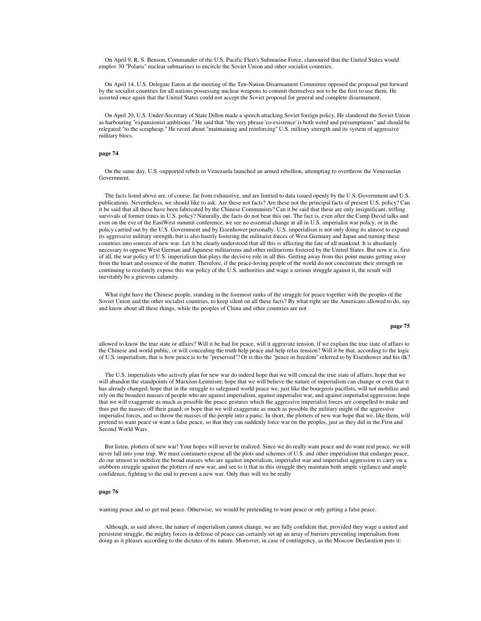On April 9, R. S. Benson, Commander of the U.S. Pacific Fleet's Submarine Force, clamoured that the United States would emplov 30 "Polaris" nuclear submarines to encircle the Soviet Union and other socialist countries.

 On April 14, U.S. Delegate Eaton at the meeting of the Ten-Nation Disarmament Committee opposed the proposal put forward by the socialist countries for all nations possessing nuclear weapons to commit themselves not to be the first to use them. He asserted once again that the United States could not accept the Soviet proposal for general and complete disarmament.

 On April 20, U.S. Under-Secretary of State Dillon made a speech attacking Soviet foreign policy. He slandered the Soviet Union as harbouring "expansionist ambitions." He said that "the very phrase 'co-existence' is both weird and presumptuous" and should be relegated "to the scrapheap." He raved about "maintaining and reinforcing" U.S. military strength and its system of aggressive military blocs.

#### **page 74**

 On the same day, U.S.-supported rebels in Venezuela launched an armed rebellion, attempting to overthrow the Venezuelan Government.

 The facts listed above are, of course, far from exhaustive, and are limited to data issued openly by the U.S. Government and U.S. publications. Nevertheless, we should like to ask: Are these not facts? Are these not the principal facts of present U.S. policy? Can it be said that all these have been fabricated by the Chinese Communists? Can it be said that these are only insignificant, trifling survivals of former times in U.S. policy? Naturally, the facts do not bear this out. The fact is, even after the Camp David talks and even on the eve of the EastWest summit conference, we see no essential change at all in U.S. imperialist war policy, or in the policy carried out by the U.S. Government and by Eisenhower personally. U.S. imperialism is not only doing its utmost to expand its aggressive military strength, but is also hastily fostering the militarist forces of West Germany and Japan and turning these countries into sources of new war. Let it be clearly understood that all this is affecting the fate of all mankind. It is absolutely necessary to oppose West German and Japanese militarisms and other militarisms fostered by the United States. But now it is, first of all, the war policy of U.S. imperialism that plays the decisive role in all this. Getting away from this point means getting away from the heart and essence of the matter. Therefore, if the peace-loving people of the world do not concentrate their strength on continuing to resolutely expose this war policy of the U.S. authorities and wage a serious struggle against it, the result will inevitably be a grievous calamity.

 What right have the Chinese people, standing in the foremost ranks of the struggle for peace together with the peoples of the Soviet Union and the other socialist countries, to keep silent on all these facts? By what right are the Americans allowed to do, say and know about all these things, while the peoples of China and other countries are not

#### **page 75**

allowed to know the true state or affairs? Will it be bad for peace, will it aggravate tension, if we explain the true state of affairs to the Chinese and world public, or will concealing the truth help peace and help relax tension? Will it be that, according to the logic of U.S. imperialism, that is how peace is to be "preserved"? Or is this the "peace in freedom" reIerred to by Eisenhower and his ilk?

 The U.S. imperialists who actively plan for new war do indeed hope that we will conceal the true state of affairs; hope that we will abandon the standpoints of Marxism-Leninism; hope that we will believe the nature of imperialism can change or even that it has already changed; hope that in the struggle to safeguard world peace we, just like the bourgeois pacifists, will not mobilize and rely on the broadest masses of people who are against imperialism, against imperialist war, and against imperialist aggression; hope that we will exaggerate as much as possible the peace gestures which the aggressive imperialist forces are compelled to make and thus put the masses off their guard; or hope that we will exaggerate as much as possible the military might of the aggressive imperialist forces, and so throw the masses of the people into a panic. In short, the plotters of new war hope that we, like them, will pretend to want peace or want a false peace, so that they can suddenly force war on the peoples, just as they did in the First and Second World Wars.

 But listen, plotters of new war! Your hopes will never be realized. Since we do really want peace and do want real peace, we will never fall into your trap. We must continueto expose all the plots and schemes of U.S. and other imperialism that endanger peace, do our utmost to mobilize the broad masses who are against imperialism, imperialist war and imperialist aggression to carry on a stubborn struggle against the plotters of new war, and see to it that in this struggle they maintain both ample vigilance and ample confidence, fighting to the end to prevent a new war. Only thus will we be really

#### **page 76**

wanting peace and so get real peace. Otherwise, we would be pretending to want peace or only getting a false peace.

 Although, as said above, the nature of imperialism cannot change, we are fully confident that, provided they wage a united and persistent struggle, the mighty forces in defense of peace can certainly set up an array of barriers preventing imperialism from doing as it pleases according to the dictates of its nature. Moreover, in case of contingency, as the Moscow Declaration puts it: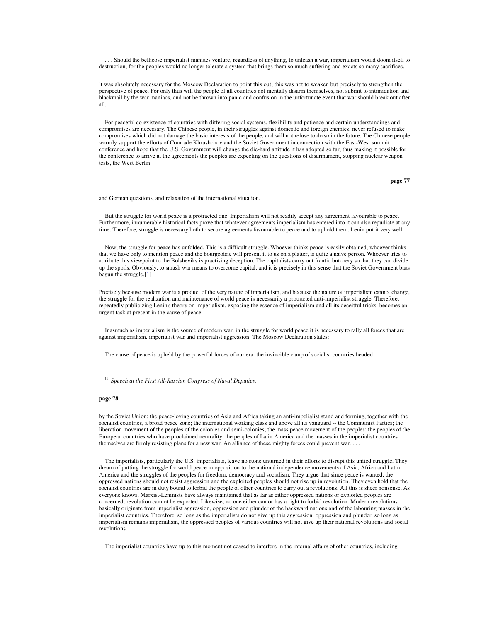. . . Should the bellicose imperialist maniacs venture, regardless of anything, to unleash a war, imperialism would doom itself to destruction, for the peoples would no longer tolerate a system that brings them so much suffering and exacts so many sacrifices.

It was absolutely necessary for the Moscow Declaration to point this out; this was not to weaken but precisely to strengthen the perspective of peace. For only thus will the people of all countries not mentally disarm themselves, not submit to intimidation and blackmail by the war maniacs, and not be thrown into panic and confusion in the unfortunate event that war should break out after all.

 For peaceful co-existence of countries with differing social systems, flexibility and patience and certain understandings and compromises are necessary. The Chinese people, in their struggles against domestic and foreign enemies, never refused to make compromises which did not damage the basic interests of the people, and will not refuse to do so in the future. The Chinese people warmly support the efforts of Comrade Khrushchov and the Soviet Government in connection with the East-West summit conference and hope that the U.S. Government will change the die-hard attitude it has adopted so far, thus making it possible for the conference to arrive at the agreements the peoples are expecting on the questions of disarmament, stopping nuclear weapon tests, the West Berlin

**page 77**

#### and German questions, and relaxation of the international situation.

 But the struggle for world peace is a protracted one. Imperialism will not readily accept any agreement favourable to peace. Furthermore, innumerable historical facts prove that whatever agreements imperialism has entered into it can also repudiate at any time. Therefore, struggle is necessary both to secure agreements favourable to peace and to uphold them. Lenin put it very well:

 Now, the struggle for peace has unfolded. This is a difficult struggle. Whoever thinks peace is easily obtained, whoever thinks that we have only to mention peace and the bourgeoisie will present it to us on a platter, is quite a naive person. Whoever tries to attribute this viewpoint to the Bolsheviks is practising deception. The capitalists carry out frantic butchery so that they can divide up the spoils. Obviously, to smash war means to overcome capital, and it is precisely in this sense that the Soviet Government baas begun the struggle.[1]

Precisely because modern war is a product of the very nature of imperialism, and because the nature of imperialism cannot change, the struggle for the realization and maintenance of world peace is necessarily a protracted anti-imperialist struggle. Therefore, repeatedly publicizing Lenin's theory on imperialism, exposing the essence of imperialism and all its deceitful tricks, becomes an urgent task at present in the cause of peace.

 Inasmuch as imperialism is the source of modern war, in the struggle for world peace it is necessary to rally all forces that are against imperialism, imperialist war and imperialist aggression. The Moscow Declaration states:

The cause of peace is upheld by the powerful forces of our era: the invincible camp of socialist countries headed

#### **page 78**

by the Soviet Union; the peace-loving countries of Asia and Africa taking an anti-impelialist stand and forming, together with the socialist countries, a broad peace zone; the international working class and above all its vanguard -- the Communist Parties; the liberation movement of the peoples of the colonies and semi-colonies; the mass peace movement of the peoples; the peoples of the European countries who have proclaimed neutrality, the peoples of Latin America and the masses in the imperialist countries themselves are firmly resisting plans for a new war. An alliance of these mighty forces could prevent war. . . .

 The imperialists, particularly the U.S. imperialists, leave no stone unturned in their efforts to disrupt this united struggIe. They dream of putting the struggle for world peace in opposition to the national independence movements of Asia, Africa and Latin America and the struggles of the peoples for freedom, democracy and socialism. They argue that since peace is wanted, the oppressed nations should not resist aggression and the exploited peoples should not rise up in revolution. They even hold that the socialist countries are in duty bound to forbid the people of other countries to carry out a revolutions. All this is sheer nonsense. As everyone knows, Marxist-Leninists have always maintained that as far as either oppressed nations or exploited peoples are concerned, revolution cannot be exported. Likewise, no one either can or has a right to forbid revolution. Modern revolutions basically originate from imperialist aggression, oppression and plunder of the backward nations and of the labouring masses in the imperialist countries. Therefore, so long as the imperialists do not give up this aggression, oppression and plunder, so long as imperialism remains imperialism, the oppressed peoples of various countries will not give up their national revolutions and social revolutions.

The imperialist countries have up to this moment not ceased to interfere in the internal affairs of other countries, including

<sup>[1]</sup> *Speech at the First All-Russian Congress of Naval Deputies.*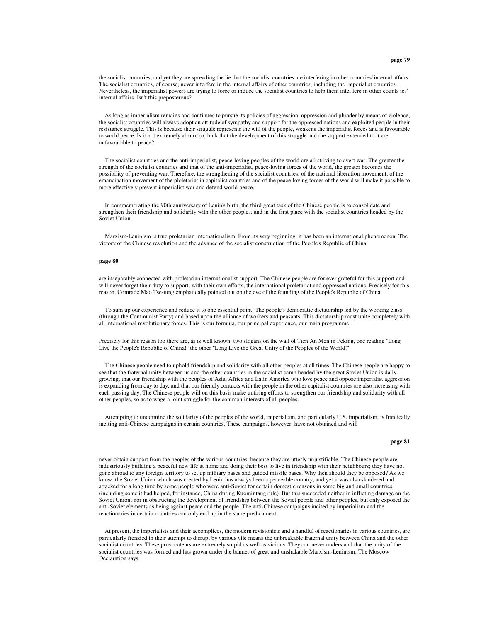the socialist countries, and yet they are spreading the lie that the socialist countries are interfering in other countries' internal affairs. The socialist countries, of course, never interfere in the internal affairs of other countries, including the imperialist countries. Nevertheless, the imperialist powers are trying to force or induce the socialist countries to help them intel fere in other counts ies' internal affairs. Isn't this preposterous?

 As long as imperialism remains and continues to pursue its policies of aggression, oppression and plunder by means of violence, the socialist countries will always adopt an attitude of sympathy and support for the oppressed nations and exploited people in their resistance struggle. This is because their struggle represents the will of the people, weakens the imperialist forces and is favourable to world peace. Is it not extremely absurd to think that the development of this struggle and the support extended to it are unfavourable to peace?

 The socialist countries and the anti-imperialist, peace-loving peoples of the world are all striving to avert war. The greater the strength of the socialist countries and that of the anti-imperialist, peace-loving forces of the world, the greater becomes the possibility of preventing war. Therefore, the strengthening of the socialist countries, of the national liberation movement, of the emancipation movement of the ploletariat in capitalist countries and of the peace-loving forces of the world will make it possible to more effectively prevent imperialist war and defend world peace.

 In commemorating the 90th anniversary of Lenin's birth, the third great task of the Chinese people is to consolidate and strengthen their friendship and solidarity with the other peoples, and in the first place with the socialist countries headed by the Soviet Union.

 Marxism-Leninism is true proletarian internationalism. From its very beginning, it has been an international phenomenon. The victory of the Chinese revolution and the advance of the socialist construction of the People's Republic of China

#### **page 80**

are inseparably connected with proletarian internationalist support. The Chinese people are for ever grateful for this support and will never forget their duty to support, with their own efforts, the international proletariat and oppressed nations. Precisely for this reason, Comrade Mao Tse-tung emphatically pointed out on the eve of the founding of the People's Republic of China:

 To sum up our experience and reduce it to one essential point: The people's democratic dictatorship led by the working class (through the Communist Party) and based upon the alliance of workers and peasants. This dictatorship must unite completely with all international revolutionary forces. This is our formula, our principal experience, our main programme.

Precisely for this reason too there are, as is well known, two slogans on the wall of Tien An Men in Peking, one reading "Long Live the People's Republic of China!" the other "Long Live the Great Unity of the Peoples of the World!"

 The Chinese people need to uphold friendship and solidarity with all other peoples at all times. The Chinese people are happy to see that the fraternal unity between us and the other countries in the socialist camp headed by the great Soviet Union is daily growing, that our friendship with the peoples of Asia, Africa and Latin America who love peace and oppose imperialist aggression is expanding from day to day, and that our friendly contacts with the people in the other capitalist countries are also increasing with each passing day. The Chinese people will on this basis make untiring efforts to strengthen our friendship and solidarity with all other peoples, so as to wage a joint struggle for the common interests of all peoples.

 Attempting to undermine the solidarity of the peoples of the world, imperialism, and particularly U.S. imperialism, is frantically inciting anti-Chinese campaigns in certain countries. These campaigns, however, have not obtained and will

#### **page 81**

never obtain support from the peoples of the various countries, because they are utterly unjustifiable. The Chinese people are industriously building a peaceful new life at home and doing their best to live in friendship with their neighbours; they have not gone abroad to any foreign territory to set up military bases and guided missile bases. Why then should they be opposed? As we know, the Soviet Union which was created by Lenin has always been a peaceable country, and yet it was also slandered and attacked for a long time by some people who were anti-Soviet for certain domestic reasons in some big and small countries (including some it had helped, for instance, China during Kuomintang rule). But this succeeded neither in inflicting damage on the Soviet Union, nor in obstructing the development of friendship between the Soviet people and other peoples, but only exposed the anti-Soviet elements as being against peace and the people. The anti-Chinese campaigns incited by imperialism and the reactionaries in certain countries can only end up in the same predicament.

 At present, the imperialists and their accomplices, the modern revisionists and a handful of reactionaries in various countries, are particularly frenzied in their attempt to disrupt by various vile means the unbreakable fraternal unity between China and the other socialist countries. These provocateurs are extremely stupid as well as vicious. They can never understand that the unity of the socialist countries was formed and has grown under the banner of great and unshakable Marxism-Leninism. The Moscow Declaration says:

#### **page 79**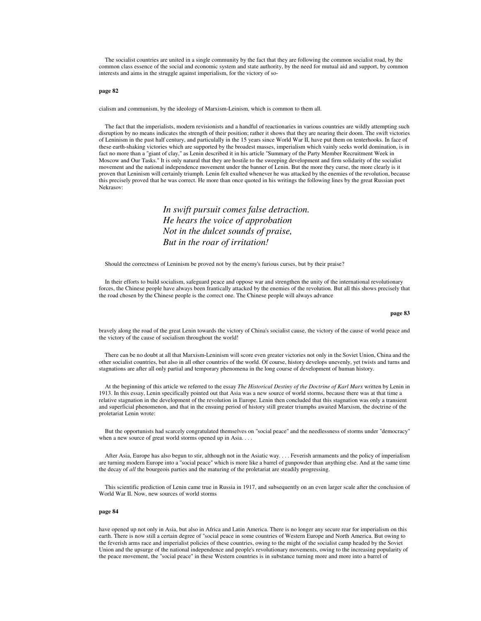The socialist countries are united in a single community by the fact that they are following the common socialist road, by the common class essence of the social and economic system and state authority, by the need for mutual aid and support, by common interests and aims in the struggle against imperialism, for the victory of so-

#### **page 82**

cialism and communism, by the ideology of Marxism-Leinism, which is common to them all.

The fact that the imperialists, modern revisionists and a handful of reactionaries in various countries are wildly attempting such disruption by no means indicates the strength of their position; rather it shows that they are nearing their doom. The swift victories of Leninism in the past half century, and particulally in the 15 years since World War II, have put them on tenterhooks. In face of these earth-shaking victories which are supported by the broadest masses, imperialism which vainly seeks world domination, is in fact no more than a "giant of clay," as Lenin described it in his article "Summary of the Party Member Recruitment Week in Moscow and Our Tasks." It is only natural that they are hostile to the sweeping development and firm solidarity of the socialist movement and the national independence movement under the banner of Lenin. But the more they curse, the more clearly is it proven that Leninism will certainly triumph. Lenin felt exulted whenever he was attacked by the enemies of the revolution, because this precisely proved that he was correct. He more than once quoted in his writings the following lines by the great Russian poet Nekrasov:

## *In swift pursuit comes false detraction. He hears the voice of approbation Not in the dulcet sounds of praise, But in the roar of irritation!*

Should the correctness of Leninism be proved not by the enemy's furious curses, but by their praise?

 In their efforts to build socialism, safeguard peace and oppose war and strengthen the unity of the international revolutionary forces, the Chinese people have always been frantically attacked by the enemies of the revolution. But all this shows precisely that the road chosen by the Chinese people is the correct one. The Chinese people will always advance

#### **page 83**

bravely along the road of the great Lenin towards the victory of China's socialist cause, the victory of the cause of world peace and the victory of the cause of socialism throughout the world!

 There can be no doubt at all that Marxism-Leninism will score even greater victories not only in the Soviet Union, China and the other socialist countries, but also in all other countries of the world. Of course, history develops unevenly, yet twists and turns and stagnations are after all only partial and temporary phenomena in the long course of development of human history.

 At the beginning of this article we referred to the essay *The Historical Destiny of the Doctrine of Karl Marx* written by Lenin in 1913. In this essay, Lenin specifically pointed out that Asia was a new source of world storms, because there was at that time a relative stagnation in the development of the revolution in Europe. Lenin then concluded that this stagnation was only a transient and superficial phenomenon, and that in the ensuing period of history still greater triumphs awaited Marxism, the doctrine of the proletariat Lenin wrote:

 But the opportunists had scarcely congratulated themselves on "social peace" and the needlessness of storms under "democracy" when a new source of great world storms opened up in Asia. . . .

 After Asia, Europe has also begun to stir, although not in the Asiatic way. . . . Feverish armaments and the policy of imperialism are turning modern Europe into a "social peace" which is more like a barrel of gunpowder than anything else. And at the same time the decay of *all* the bourgeois parties and the maturing of the proletariat are steadily progressing.

 This scientific prediction of Lenin came true in Russia in 1917, and subsequently on an even larger scale after the conclusion of World War II. Now, new sources of world storms

#### **page 84**

have opened up not only in Asia, but also in Africa and Latin America. There is no longer any secure rear for imperialism on this earth. There is now still a certain degree of "social peace in some countries of Western Europe and North America. But owing to the feverish arms race and imperialist policies of these countries, owing to the might of the socialist camp headed by the Soviet Union and the upsurge of the national independence and people's revolutionary movements, owing to the increasing popularity of the peace movement, the "social peace" in these Western countries is in substance turning more and more into a barrel of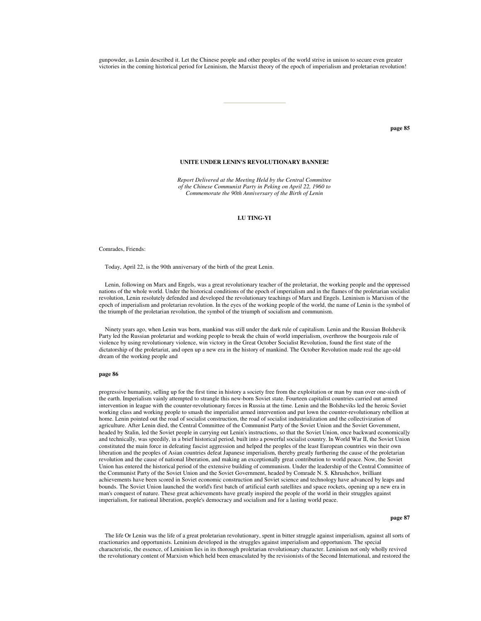gunpowder, as Lenin described it. Let the Chinese people and other peoples of the world strive in unison to secure even greater victories in the coming historical period for Leninism, the Marxist theory of the epoch of imperialism and proletarian revolution!

**page 85**

#### **UNITE UNDER LENlN'S REVOLUTIONARY BANNER!**

*Report Delivered at the Meeting Held by the Central Committee of the Chinese Communist Party in Peking on April 22, 1960 to Commemorate the 90th Anniversary of the Birth of Lenin*

**LU TING-YI** 

Comrades, Friends:

Today, April 22, is the 90th anniversary of the birth of the great Lenin.

 Lenin, following on Marx and Engels, was a great revolutionary teacher of the proletariat, the working people and the oppressed nations of the whole world. Under the historical conditions of the epoch of imperialism and in the flames of the proletarian socialist revolution, Lenin resolutely defended and developed the revolutionary teachings of Marx and Engels. Leninism is Marxism of the epoch of imperialism and proletarian revolution. In the eyes of the working people of the world, the name of Lenin is the symbol of the triumph of the proletarian revolution, the symbol of the triumph of socialism and communism.

 Ninety years ago, when Lenin was born, mankind was still under the dark rule of capitalism. Lenin and the Russian Bolshevik Party led the Russian proletariat and working people to break the chain of world imperialism, overthrow the bourgeois rule of violence by using revolutionary violence, win victory in the Great October Socialist Revolution, found the first state of the dictatorship of the proletariat, and open up a new era in the history of mankind. The October Revolution made real the age-old dream of the working people and

#### **page 86**

progressive humanity, selling up for the first time in history a society free from the exploitation or man by man over one-sixth of the earth. Imperialism vainly attempted to strangle this new-born Soviet state. Fourteen capitalist countries carried out armed intervention in league with the counter-revolutionary forces in Russia at the time. Lenin and the Bolsheviks led the heroic Soviet working class and working people to smash the imperialist armed intervention and put lown the counter-revolutionary rebellion at home. Lenin pointed out the road of socialist construction, the road of socialist industrialization and the collectivization of agriculture. After Lenin died, the Central Committee of the Communist Party of the Soviet Union and the Soviet Government, headed by Stalin, led the Soviet people in carrying out Lenin's instructions, so that the Soviet Union, once backward economical]y and technically, was speedily, in a brief historical period, built into a powerful socialist country. In World War II, the Soviet Union constituted the main force in defeating fascist aggression and helped the peoples of the least European countries win their own liberation and the peoples of Asian countries defeat Japanese imperialism, thereby greatly furthering the cause of the proletarian revolution and the cause of national liberation, and making an exceptionally great contribution to world peace. Now, the Soviet Union has entered the historical period of the extensive building of communism. Under the leadership of the Central Committee of the Communist Party of the Soviet Union and the Soviet Government, headed by Comrade N. S. Khrushchov, brilliant achievements have been scored in Soviet economic construction and Soviet science and technology have advanced by leaps and bounds. The Soviet Union launched the world's first batch of artificial earth satellites and space rockets, opening up a new era in man's conquest of nature. These great achievements have greatly inspired the people of the world in their struggles against imperialism, for national liberation, people's democracy and socialism and for a lasting world peace.

#### **page 87**

 The life Or Lenin was the life of a great proletarian revolutionary, spent in bitter struggle against imperialism, against all sorts of reactionaries and opportunists. Leninism developed in the struggles against imperialism and opportunism. The special characteristic, the essence, of Leninism lies in its thorough proletarian revolutionary character. Leninism not only wholly revived the revolutionary content of Marxism which held been emasculated by the revisionists of the Second International, and restored the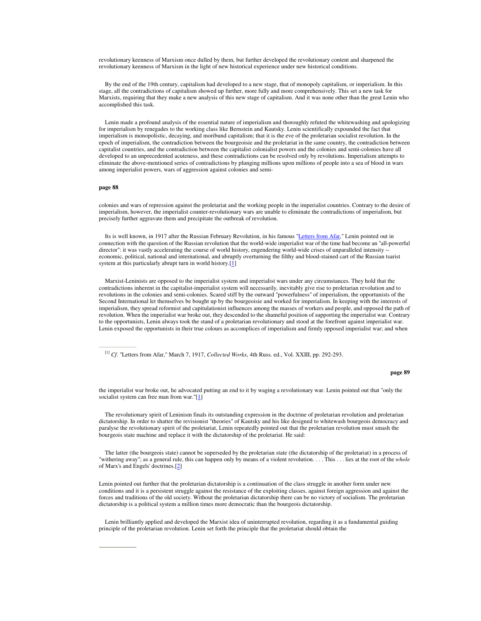revolutionary keenness of Marxism once dulled by them, but further developed the revolutionary content and sharpened the revolutionary keenness of Marxism in the light of new historical experience under new historical conditions.

 By the end of the 19th century, capitalism had developed to a new stage, that of monopoly capitalism, or imperialism. In this stage, all the contradictions of capitalism showed up further, more fully and more comprehensively. This set a new task for Marxists, requiring that they make a new analysis of this new stage of capitalism. And it was none other than the great Lenin who accomplished this task.

 Lenin made a profound analysis of the essential nature of imperialism and thoroughly refuted the whitewashing and apologizing for imperialism by renegades to the working class like Bernstein and Kautsky. Lenin scientifically expounded the fact that imperialism is monopolistic, decaying, and moribund capitalism; that it is the eve of the proletarian socialist revolution. In the epoch of imperialism, the contradiction between the bourgeoisie and the proletariat in the same country, the contradiction between capitalist countries, and the contradiction between the capitalist colonialist powers and the colonies and semi-colonies have all developed to an unprecedented acuteness, and these contradictions can be resolved only by revolutions. Imperialism attempts to eliminate the above-mentioned series of contradictions by plunging millions upon millions of people into a sea of blood in wars among imperialist powers, wars of aggression against colonies and semi-

#### **page 88**

colonies and wars of repression against the proletariat and the working people in the imperialist countries. Contrary to the desire of imperialism, however, the imperialist counter-revolutionary wars are unable to eliminate the contradictions of imperialism, but precisely further aggravate them and precipitate the outbreak of revolution.

 Its is well known, in 1917 after the Russian February Revolution, in his famous "Letters from Afar," Lenin pointed out in connection with the question of the Russian revolution that the world-wide imperialist war of the time had become an "all-powerful director": it was vastly accelerating the course of world history, engendering world-wide crises of unparalleled intensity economic, political, national and international, and abruptly overturning the filthy and blood-stained cart of the Russian tsarist system at this particularly abrupt turn in world history.[ $1$ ]

 Marxist-Leninists are opposed to the imperialist system and imperialist wars under any circumstances. They hold that the contradictions inherent in the capitalist-imperialist system will necessarily, inevitably give rise to proletarian revolution and to revolutions in the colonies and semi-colonies. Scared stiff by the outward "powerfulness" of imperialism, the opportunists of the Second International let themselves be bought up by the bourgeoisie and worked for imperialism. In keeping with the interests of imperialism, they spread reformist and capitulationist influences among the masses of workers and people, and opposed the path of revolution. When the imperialist war broke out, they descended to the shameful position of supporting the imperialist war. Contrary to the opportunists, Lenin always took the stand of a proletarian revolutionary and stood at the forefront against imperialist war. Lenin exposed the opportunists in their true colours as accomplices of imperialism and firmly opposed imperialist war; and when

[1] *Cf.* "Letters from Afar," March 7, 1917, *Collected Works*, 4th Russ. ed., Vol. XXIII, pp. 292-293.

#### **page 89**

the imperialist war broke out, he advocated putting an end to it by waging a revolutionary war. Lenin pointed out that "only the socialist system can free man from war."[1]

 The revolutionary spirit of Leninism finals its outstanding expression in the doctrine of proletarian revolution and proletarian dictatorship. In order to shatter the revisionist "theories" of Kautsky and his like designed to whitewash bourgeois democracy and paralyse the revolutionary spirit of the proletariat, Lenin repeatedly pointed out that the proletarian revolution must smash the bourgeois state machine and replace it with the dictatorship of the proletariat. He said:

 The latter (the bourgeois state) cannot be superseded by the proletarian state (the dictatorship of the proletariat) in a process of "withering away"; as a general rule, this can happen only by means of a violent revolution. . . . This . . . lies at the root of the *whole* of Marx's and Engels' doctrines.[2]

Lenin pointed out further that the proletarian dictatorship is a continuation of the class struggle in another form under new conditions and it is a persistent struggle against the resistance of the exploiting classes, against foreign aggression and against the forces and traditions of the old society. Without the proletarian dictatorship there can be no victory of socialism. The proletarian dictatorship is a political system a million times more democratic than the bourgeois dictatorship.

 Lenin brilliantly applied and developed the Marxist idea of uninterrupted revolution, regarding it as a fundamental guiding principle of the proletarian revolution. Lenin set forth the principle that the proletariat should obtain the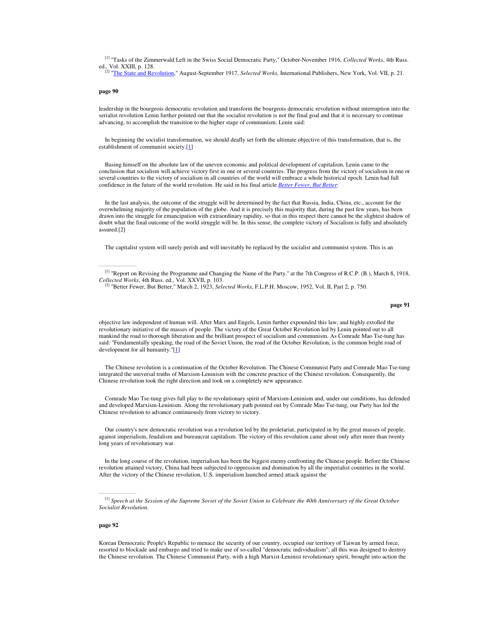[1] "Tasks of the Zimmerwald Left in the Swiss Social Democratic Party," October-November 1916, *Collected Works*, 4th Russ. ed., Vol. XXIII, p. 128.

<sup>[2]</sup> "The State and Revolution," August-September 1917, *Selected Works*, International Publishers, New York, Vol. VII, p. 21.

#### **page 90**

leadership in the bourgeois democratic revolution and transform the bourgeois democratic revolution without interruption into the serialist revolution Lenin further pointed out that the socialist revolution is not the final goal and that it is necessary to continue advancing, to accomplish the transition to the higher stage of communism. Lenin said:

 In beginning the socialist transformation, we should deafly set forth the ultimate objective of this transformation, that is, the establishment of communist society.[1]

 Basing himself on the absolute law of the uneven economic and political development of capitalism, Lenin came to the conclusion that socialism will achieve victory first in one or several countries. The progress from the victory of socialism in one or several countries to the victory of socialism in all countries of the world will embrace a whole historical epoch. Lenin had full confidence in the future of the world revolution. He said in his final article *Better Fewer*, *But Better*:

 In the last analysis, the outcome of the struggle will be determined by the fact that Russia, India, China, etc., account for the overwhelming majority of the population of the globe. And it is precisely this majority that, during the past few years, has been drawn into the struggle for emancipation with extraordinary rapidity, so that in this respect there cannot be the slightest shadow of doubt what the final outcome of the world struggle will be. In this sense, the complete victory of Socialism is fully and absolutely assured.[2]

The capitalist system will surely perish and will inevitably be replaced by the socialist and communist system. This is an

#### **page 91**

objective law independent of human will. After Marx and Engels, Lenin further expounded this law, and highly extolled the revolutionary initiative of the masses of people. The victory of the Great October Revolution led by Lenin pointed out to all mankind the road to thorough liberation and the brilliant prospect of socialism and communism. As Comrade Mao Tse-tung has said: "Fundamentally speaking, the road of the Soviet Union, the road of the October Revolution, is the common bright road of development for all humanity."[1]

 The Chinese revolution is a continuation of the October Revolution. The Chinese Communist Party and Comrade Mao Tse-tung integrated the universal truths of Marxism-Leninism with the concrete practice of the Chinese revolution. Consequently, the Chinese revolution took the right direction and took on a completely new appearance.

 Comrade Mao Tse-tung gives full play to the revolutionary spirit of Marxism-Leninism and, under our conditions, has defended and developed Marxism-Leninism. Along the revolutionary path pointed out by Comrade Mao Tse-tung, our Party has led the Chinese revolution to advance continuously from victory to victory.

 Our country's new democratic revolution was a revolution led by the proletariat, participated in by the great masses of people, against imperialism, feudalism and bureaucrat capitalism. The victory of this revolution came about only after more than twenty long years of revolutionary war.

 In the long course of the revolution, imperialism has been the biggest enemy confronting the Chinese people. Before the Chinese revolution attained victory, China had been subjected to oppression and domination by all the imperialist countries in the world. After the victory of the Chinese revolution, U.S. imperialism launched armed attack against the

#### **page 92**

<sup>[1]</sup> "Report on Revising the Programme and Changing the Name of the Party." at the 7th Congress of R.C.P. (B.), March 8, 1918, *Collected Works*, 4th Russ. ed., Vol. XXVII, p. 103.

<sup>[2]</sup> "Better Fewer, But Better," March 2, 1923, *Selected Works*, F.L.P.H. Moscow, 1952, Vol. II, Part 2, p. 750.

<sup>[1]</sup> *Speech at the Session of the Supreme Soviet of the Soviet Union to Celebrate the 40th Anniversary of the Great October Socialist Revolution.*

Korean Democratic People's Republic to menace the security of our country, occupied our territory of Taiwan by armed force, resorted to blockade and embargo and tried to make use of so-called "democratic individualism"; all this was designed to destroy the Chinese revolution. The Chinese Communist Party, with a high Marxist-Leninist revolutionary spirit, brought into action the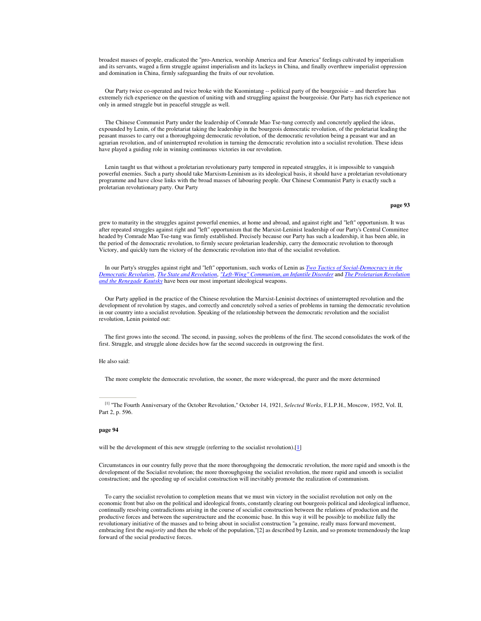broadest masses of people, eradicated the "pro-America, worship America and fear America" feelings cultivated by imperialism and its servants, waged a firm struggle against imperialism and its lackeys in China, and finally overthrew imperialist oppression and domination in China, firmly safeguarding the fruits of our revolution.

 Our Party twice co-operated and twice broke with the Kuomintang -- political party of the bourgeoisie -- and therefore has extremely rich experience on the question of uniting with and struggling against the bourgeoisie. Our Party has rich experience not only in armed struggle but in peaceful struggle as well.

 The Chinese Communist Party under the leadership of Comrade Mao Tse-tung correctly and concretely applied the ideas, expounded by Lenin, of the proletariat taking the leadership in the bourgeois democratic revolution, of the proletariat leading the peasant masses to carry out a thoroughgoing democratic revolution, of the democratic revolution being a peasant war and an agrarian revolution, and of uninterrupted revolution in turning the democratic revolution into a socialist revolution. These ideas have played a guiding role in winning continuous victories in our revolution.

 Lenin taught us that without a proletarian revolutionary party tempered in repeated struggles, it is impossible to vanquish powerful enemies. Such a party should take Marxism-Leninism as its ideological basis, it should have a proletarian revolutionary programme and have close links with the broad masses of labouring people. Our Chinese Communist Party is exactly such a proletarian revolutionary party. Our Party

#### **page 93**

grew to maturity in the struggles against powerful enemies, at home and abroad, and against right and "left" opportunism. It was after repeated struggles against right and "left" opportunism that the Marxist-Leninist leadership of our Party's Central Committee headed by Comrade Mao Tse-tung was firmly established. Precisely because our Party has such a leadership, it has been able, in the period of the democratic revolution, to firmly secure proletarian leadership, carry the democratic revolution to thorough Victory, and quickly turn the victory of the democratic revolution into that of the socialist revolution.

 In our Party's struggles against right and "left" opportunism, such works of Lenin as *Two Tactics of Social-Democracy in the Democratic Revolution*, *The State and Revolution*, *"Left-Wing" Communism*, *an Infantile Disorder* and *The Proletarian Revolution and the Renegade Kautsky* have been our most important ideological weapons.

 Our Party applied in the practice of the Chinese revolution the Marxist-Leninist doctrines of uninterrupted revolution and the development of revolution by stages, and correctly and concretely solved a series of problems in turning the democratic revolution in our country into a socialist revolution. Speaking of the relationship between the democratic revolution and the socialist revolution, Lenin pointed out:

 The first grows into the second. The second, in passing, solves the problems of the first. The second consolidates the work of the first. Struggle, and struggle alone decides how far the second succeeds in outgrowing the first.

#### He also said:

The more complete the democratic revolution, the sooner, the more widespread, the purer and the more determined

#### **page 94**

will be the development of this new struggle (referring to the socialist revolution).[1]

Circumstances in our country fully prove that the more thoroughgoing the democratic revolution, the more rapid and smooth is the development of the Socialist revolution; the more thoroughgoing the socialist revolution, the more rapid and smooth is socialist construction; and the speeding up of socialist construction will inevitably promote the realization of communism.

 To carry the socialist revolution to completion means that we must win victory in the socialist revolution not only on the economic front but also on the political and ideological fronts, constantly clearing out bourgeois political and ideological influence, continually resolving contradictions arising in the course of socialist construction between the relations of production and the productive forces and between the superstructure and the economic base. In this way it will be possib]e to mobilize fully the revolutionary initiative of the masses and to bring about in socialist construction "a genuine, really mass forward movement, embracing first the *majority* and then the whole of the population,"[2] as described by Lenin, and so promote tremendously the leap forward of the social productive forces.

<sup>[1]</sup> "The Fourth Anniversary of the October Revolution," October 14, 1921, *Selected Works*, F.L.P.H., Moscow, 1952, Vol. II, Part 2, p. 596.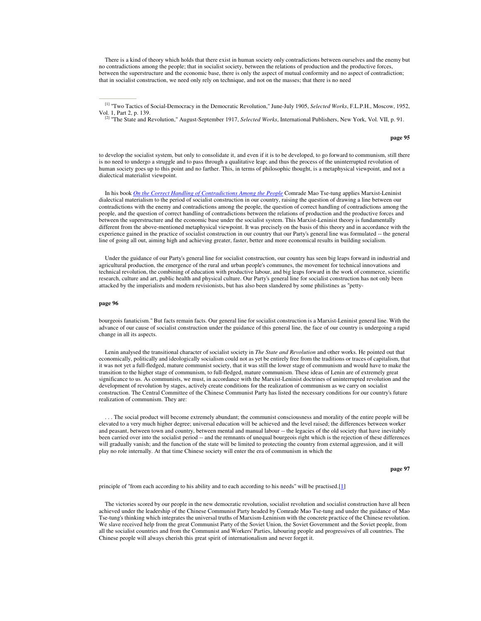There is a kind of theory which holds that there exist in human society only contradictions between ourselves and the enemy but no contradictions among the people; that in socialist society, between the relations of production and the productive forces, between the superstructure and the economic base, there is only the aspect of mutual conformity and no aspect of contradiction; that in socialist construction, we need only rely on technique, and not on the masses; that there is no need

#### **page 95**

to develop the socialist system, but only to consolidate it, and even if it is to be developed, to go forward to communism, still there is no need to undergo a struggle and to pass through a qualitative leap; and thus the process of the uninterrupted revolution of human society goes up to this point and no farther. This, in terms of philosophic thought, is a metaphysical viewpoint, and not a dialectical materialist viewpoint.

 In his book *On the Correct Handling of Contradictions Among the People* Comrade Mao Tse-tung applies Marxist-Leninist dialectical materialism to the period of socialist construction in our country, raising the question of drawing a line between our contradictions with the enemy and contradictions among the people, the question of correct handling of contradictions among the people, and the question of correct handling of contradictions between the relations of production and the productive forces and between the superstructure and the economic base under the socialist system. This Marxist-Leninist theory is fundamentally different from the above-mentioned metaphysical viewpoint. It was precisely on the basis of this theory and in accordance with the experience gained in the practice of socialist construction in our country that our Party's general line was formulated -- the general line of going all out, aiming high and achieving greater, faster, better and more economical results in building socialism.

 Under the guidance of our Party's general line for socialist construction, our country has seen big leaps forward in industrial and agricultural production, the emergence of the rural and urban people's communes, the movement for technical innovations and technical revolution, the combining of education with productive labour, and big leaps forward in the work of commerce, scientific research, culture and art, public health and physical culture. Our Party's general line for socialist construction has not only been attacked by the imperialists and modern revisionists, but has also been slandered by some philistines as "petty-

#### **page 96**

bourgeois fanaticism." But facts remain facts. Our general line for socialist construction is a Marxist-Leninist general line. With the advance of our cause of socialist construction under the guidance of this general line, the face of our country is undergoing a rapid change in all its aspects.

 Lenin analysed the transitional character of socialist society in *The State and Revolution* and other works. He pointed out that economically, politically and ideologically socialism could not as yet be entirely free from the traditions or traces of capitalism, that it was not yet a full-fledged, mature communist society, that it was still the lower stage of communism and would have to make the transition to the higher stage of communism, to full-fledged, mature communism. These ideas of Lenin are of extremely great significance to us. As communists, we must, in accordance with the Marxist-Leninist doctrines of uninterrupted revolution and the development of revolution by stages, actively create conditions for the realization of communism as we carry on socialist construction. The Central Committee of the Chinese Communist Party has listed the necessary conditions for our country's future realization of communism. They are:

 . . . The social product will become extremely abundant; the communist consciousness and morality of the entire people will be elevated to a very much higher degree; universal education will be achieved and the level raised; the differences between worker and peasant, between town and country, between mental and manual labour -- the legacies of the old society that have inevitably been carried over into the socialist period -- and the remnants of unequal bourgeois right which is the rejection of these differences will gradually vanish; and the function of the state will be limited to protecting the country from external aggression, and it will play no role internally. At that time Chinese society will enter the era of communism in which the

**page 97**

principle of "from each according to his ability and to each according to his needs" will be practised.[1]

 The victories scored by our people in the new democratic revolution, socialist revolution and socialist construction have all been achieved under the leadership of the Chinese Communist Party headed by Comrade Mao Tse-tung and under the guidance of Mao Tse-tung's thinking which integrates the universal truths of Marxism-Leninism with the concrete practice of the Chinese revolution. We slave received help from the great Communist Party of the Soviet Union, the Soviet Government and the Soviet people, from all the socialist countries and from the Communist and Workers' Parties, labouring people and progressives of all countries. The Chinese people will always cherish this great spirit of internationalism and never forget it.

<sup>[1]</sup> "Two Tactics of Social-Democracy in the Democratic Revolution," June-July 1905, *Selected Works*, F.L.P.H., Moscow, 1952, Vol. 1, Part 2, p. 139.

<sup>[2]</sup> "The State and Revolution," August-September 1917, *Selected Works*, International Publishers, New York, Vol. VII, p. 91.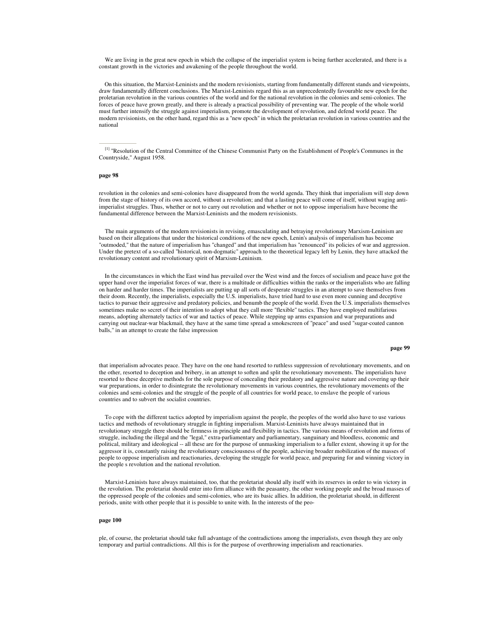We are living in the great new epoch in which the collapse of the imperialist system is being further accelerated, and there is a constant growth in the victories and awakening of the people throughout the world.

 On this situation, the Marxist-Leninists and the modern revisionists, starting from fundamentally different stands and viewpoints, draw fundamentally different conclusions. The Marxist-Leninists regard this as an unprecedentedly favourable new epoch for the proletarian revolution in the various countries of the world and for the national revolution in the colonies and semi-colonies. The forces of peace have grown greatly, and there is already a practical possibility of preventing war. The people of the whole world must further intensify the struggle against imperialism, promote the development of revolution, and defend world peace. The modern revisionists, on the other hand, regard this as a "new epoch" in which the proletarian revolution in various countries and the national

[1] "Resolution of the Central Committee of the Chinese Communist Party on the Establishment of People's Communes in the Countryside," August 1958.

#### **page 98**

revolution in the colonies and semi-colonies have disappeared from the world agenda. They think that imperialism will step down from the stage of history of its own accord, without a revolution; and that a lasting peace will come of itself, without waging antiimperialist struggles. Thus, whether or not to carry out revolution and whether or not to oppose imperialism have become the fundamental difference between the Marxist-Leninists and the modern revisionists.

 The main arguments of the modern revisionists in revising, emasculating and betraying revolutionary Marxism-Leninism are based on their allegations that under the historical conditions of the new epoch, Lenin's analysis of imperialism has become "outmoded," that the nature of imperialism has "changed" and that imperialism has "renounced" its policies of war and aggression. Under the pretext of a so-called "historical, non-dogmatic" approach to the theoretical legacy left by Lenin, they have attacked the revolutionary content and revolutionary spirit of Marxism-Leninism.

 In the circumstances in which the East wind has prevailed over the West wind and the forces of socialism and peace have got the upper hand over the imperialist forces of war, there is a multitude or difficulties within the ranks or the imperialists who are falling on harder and harder times. The imperialists are putting up all sorts of desperate struggles in an attempt to save themselves from their doom. Recently, the imperialists, especially the U.S. imperialists, have tried hard to use even more cunning and deceptive tactics to pursue their aggressive and predatory policies, and benumb the people of the world. Even the U.S. imperialists themselves sometimes make no secret of their intention to adopt what they call more "flexible" tactics. They have employed multifarious means, adopting alternately tactics of war and tactics of peace. While stepping up arms expansion and war preparations and carrying out nuclear-war blackmail, they have at the same time spread a smokescreen of "peace" and used "sugar-coated cannon balls," in an attempt to create the false impression

#### **page 99**

that imperialism advocates peace. They have on the one hand resorted to ruthless suppression of revolutionary movements, and on the other, resorted to deception and bribery, in an attempt to soften and split the revolutionary movements. The imperialists have resorted to these deceptive methods for the sole purpose of concealing their predatory and aggressive nature and covering up their war preparations, in order to disintegrate the revolutionary movements in various countries, the revolutionary movements of the colonies and semi-colonies and the struggle of the people of all countries for world peace, to enslave the people of various countries and to subvert the socialist countries.

 To cope with the different tactics adopted by imperialism against the people, the peoples of the world also have to use various tactics and methods of revolutionary struggle in fighting imperialism. Marxist-Leninists have always maintained that in revolutionary struggle there should be firmness in principle and flexibility in tactics. The various means of revolution and forms of struggle, including the illegal and the "legal," extra-parliamentary and parliamentary, sanguinary and bloodless, economic and political, military and ideological -- all these are for the purpose of unmasking imperialism to a fuller extent, showing it up for the aggressor it is, constantly raising the revolutionary consciousness of the people, achieving broader mobilization of the masses of people to oppose imperialism and reactionaries, developing the struggle for world peace, and preparing for and winning victory in the people s revolution and the national revolution.

 Marxist-Leninists have always maintained, too, that the proletariat should ally itself with its reserves in order to win victory in the revolution. The proletariat should enter into firm alliance with the peasantry, the other working people and the broad masses of the oppressed people of the colonies and semi-colonies, who are its basic allies. In addition, the proletariat should, in different periods, unite with other people that it is possible to unite with. In the interests of the peo-

#### **page 100**

ple, of course, the proletariat should take full advantage of the contradictions among the imperialists, even though they are only temporary and partial contradictions. All this is for the purpose of overthrowing imperialism and reactionaries.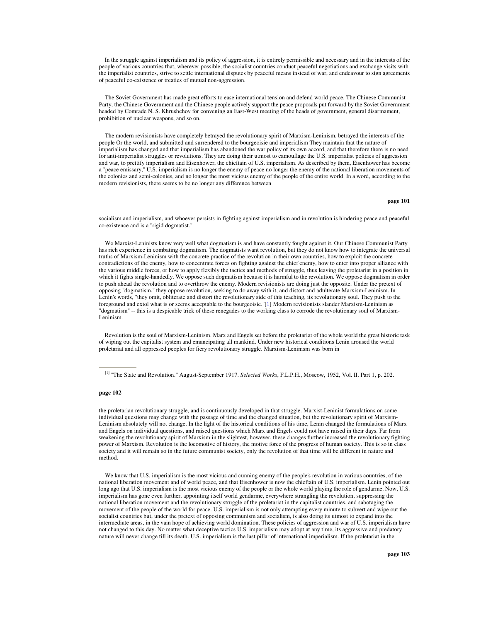In the struggle against imperialism and its policy of aggression, it is entirely permissible and necessary and in the interests of the people of various countries that, wherever possible, the socialist countries conduct peaceful negotiations and exchange visits with the imperialist countries, strive to settle international disputes by peaceful means instead of war, and endeavour to sign agreements of peaceful co-existence or treaties of mutual non-aggression.

 The Soviet Government has made great efforts to ease international tension and defend world peace. The Chinese Communist Party, the Chinese Government and the Chinese people actively support the peace proposals put forward by the Soviet Government headed by Comrade N. S. Khrushchov for convening an East-West meeting of the heads of government, general disarmament, prohibition of nuclear weapons, and so on.

 The modern revisionists have completely betrayed the revolutionary spirit of Marxism-Leninism, betrayed the interests of the people Or the world, and submitted and surrendered to the bourgeoisie and imperialism They maintain that the nature of imperialism has changed and that imperialism has abandoned the war policy of its own accord, and that therefore there is no need for anti-imperialist struggles or revolutions. They are doing their utmost to camouflage the U.S. imperialist policies of aggression and war, to prettify imperialism and Eisenhower, the chieftain of U.S. imperialism. As described by them, Eisenhower has become a "peace emissary," U.S. imperialism is no longer the enemy of peace no longer the enemy of the national liberation movements of the colonies and semi-colonies, and no longer the most vicious enemy of the people of the entire world. In a word, according to the modern revisionists, there seems to be no longer any difference between

**page 101**

socialism and imperialism, and whoever persists in fighting against imperialism and in revolution is hindering peace and peaceful co-existence and is a "rigid dogmatist."

 We Marxist-Leninists know very well what dogmatism is and have constantly fought against it. Our Chinese Communist Party has rich experience in combating dogmatism. The dogmatists want revolution, but they do not know how to integrate the universal truths of Marxism-Leninism with the concrete practice of the revolution in their own countries, how to exploit the concrete contradictions of the enemy, how to concentrate forces on fighting against the chief enemy, how to enter into proper alliance with the various middle forces, or how to apply flexibly the tactics and methods of struggle, thus leaving the proletariat in a position in which it fights single-handedly. We oppose such dogmatism because it is harmful to the revolution. We oppose dogmatism in order to push ahead the revolution and to overthrow the enemy. Modern revisionists are doing just the opposite. Under the pretext of opposing "dogmatism," they oppose revolution, seeking to do away with it, and distort and adulterate Marxism-Leninism. In Lenin's words, "they omit, obliterate and distort the revolutionary side of this teaching, its revolutionary soul. They push to the foreground and extol what is or seems acceptable to the bourgeoisie."[1] Modern revisionists slander Marxism-Leninism as "dogmatism" -- this is a despicable trick of these renegades to the working class to corrode the revolutionary soul of Marxism-Leninism.

 Revolution is the soul of Marxism-Leninism. Marx and Engels set before the proletariat of the whole world the great historic task of wiping out the capitalist system and emancipating all mankind. Under new historical conditions Lenin aroused the world proletariat and all oppressed peoples for fiery revolutionary struggle. Marxism-Leninism was born in

#### **page 102**

the proletarian revolutionary struggle, and is continuously developed in that struggle. Marxist-Leninist formulations on some individual questions may change with the passage of time and the changed situation, but the revolutionary spirit of Marxism-Leninism absolutely will not change. In the light of the historical conditions of his time, Lenin changed the formulations of Marx and Engels on individual questions, and raised questions which Marx and Engels could not have raised in their days. Far from weakening the revolutionary spirit of Marxism in the slightest, however, these changes further increased the revolutionary fighting power of Marxism. Revolution is the locomotive of history, the motive force of the progress of human society. This is so in class society and it will remain so in the future communist society, only the revolution of that time will be different in nature and method.

 We know that U.S. imperialism is the most vicious and cunning enemy of the people's revolution in various countries, of the national liberation movement and of world peace, and that Eisenhower is now the chieftain of U.S. imperialism. Lenin pointed out long ago that U.S. imperialism is the most vicious enemy of the people or the whole world playing the role of gendarme. Now, U.S. imperialism has gone even further, appointing itself world gendarme, everywhere strangling the revolution, suppressing the national liberation movement and the revolutionary struggle of the proletariat in the capitalist countries, and sabotaging the movement of the people of the world for peace. U.S. imperialism is not only attempting every minute to subvert and wipe out the socialist countries but, under the pretext of opposing communism and socialism, is also doing its utmost to expand into the intermediate areas, in the vain hope of achieving world domination. These policies of aggression and war of U.S. imperialism have not changed to this day. No matter what deceptive tactics U.S. imperialism may adopt at any time, its aggressive and predatory nature will never change till its death. U.S. imperialism is the last pillar of international imperialism. If the proletariat in the

<sup>[1]</sup> "The State and Revolution." August-September 1917. *Selected Works*, F.L.P.H., Moscow, 1952, Vol. II. Part 1, p. 202.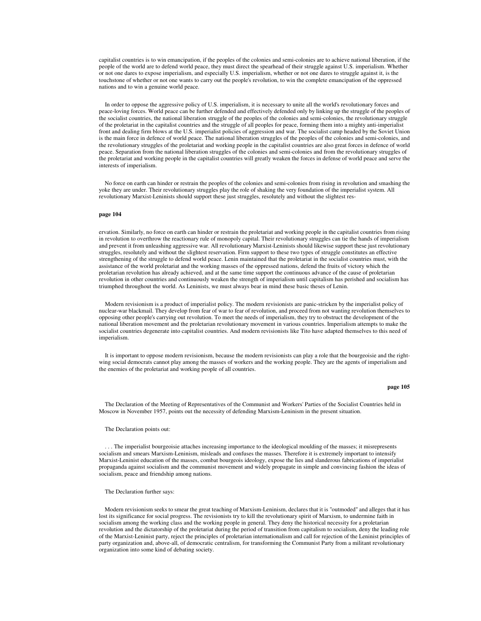capitalist countries is to win emancipation, if the peoples of the colonies and semi-colonies are to achieve national liberation, if the people of the world are to defend world peace, they must direct the spearhead of their struggle against U.S. imperialism. Whether or not one dares to expose imperialism, and especially U.S. imperialism, whether or not one dares to struggle against it, is the touchstone of whether or not one wants to carry out the people's revolution, to win the complete emancipation of the oppressed nations and to win a genuine world peace.

 In order to oppose the aggressive policy of U.S. imperialism, it is necessary to unite all the world's revolutionary forces and peace-loving forces. World peace can be further defended and effectively defended only by linking up the struggle of the peoples of the socialist countries, the national liberation struggle of the peoples of the colonies and semi-colonies, the revolutionary struggle of the proletariat in the capitalist countries and the struggle of all peoples for peace, forming them into a mighty anti-imperialist front and dealing firm blows at the U.S. imperialist policies of aggression and war. The socialist camp headed by the Soviet Union is the main force in defence of world peace. The national liberation struggles of the peoples of the colonies and semi-colonies, and the revolutionary struggles of the proletariat and working people in the capitalist countries are also great forces in defence of world peace. Separation from the national liberation struggles of the colonies and semi-colonies and from the revolutionary struggles of the proletariat and working people in the capitalist countries will greatly weaken the forces in defense of world peace and serve the interests of imperialism.

 No force on earth can hinder or restrain the peoples of the colonies and semi-colonies from rising in revolution and smashing the yoke they are under. Their revolutionary struggles play the role of shaking the very foundation of the imperialist system. All revolutionary Marxist-Leninists should support these just struggles, resolutely and without the slightest res-

#### **page 104**

ervation. Similarly, no force on earth can hinder or restrain the proletariat and working people in the capitalist countries from rising in revolution to overthrow the reactionary rule of monopoly capital. Their revolutionary struggles can tie the hands of imperialism and prevent it from unleashing aggressive war. All revolutionary Marxist-Leninists should likewise support these just revolutionary struggles, resolutely and without the slightest reservation. Firm support to these two types of struggle constitutes an effective strengthening of the struggle to defend world peace. Lenin maintained that the proletariat in the socialist countries must, with the assistance of the world proletariat and the working masses of the oppressed nations, defend the fruits of victory which the proletarian revolution has already achieved, and at the same time support the continuous advance of the cause of proletarian revolution in other countries and continuously weaken the strength of imperialism until capitalism has perished and socialism has triumphed throughout the world. As Leninists, we must always bear in mind these basic theses of Lenin.

 Modern revisionism is a product of imperialist policy. The modern revisionists are panic-stricken by the imperialist policy of nuclear-war blackmail. They develop from fear of war to fear of revolution, and proceed from not wanting revolution themselves to opposing other people's carrying out revolution. To meet the needs of imperialism, they try to obstruct the development of the national liberation movement and the proletarian revolutionary movement in various countries. Imperialism attempts to make the socialist countries degenerate into capitalist countries. And modern revisionists like Tito have adapted themselves to this need of imperialism.

 It is important to oppose modern revisionism, because the modern revisionists can play a role that the bourgeoisie and the rightwing social democrats cannot play among the masses of workers and the working people. They are the agents of imperialism and the enemies of the proletariat and working people of all countries.

#### **page 105**

 The Declaration of the Meeting of Representatives of the Communist and Workers' Parties of the Socialist Countries held in Moscow in November 1957, points out the necessity of defending Marxism-Leninism in the present situation.

#### The Declaration points out:

 . . . The imperialist bourgeoisie attaches increasing importance to the ideological moulding of the masses; it misrepresents socialism and smears Marxism-Leninism, misleads and confuses the masses. Therefore it is extremely important to intensify Marxist-Leninist education of the masses, combat bourgeois ideology, expose the lies and slanderous fabrications of imperialist propaganda against socialism and the communist movement and widely propagate in simple and convincing fashion the ideas of socialism, peace and friendship among nations.

#### The Declaration further says:

 Modern revisionism seeks to smear the great teaching of Marxism-Leninism, declares that it is "outmoded" and alleges that it has lost its significance for social progress. The revisionists try to kill the revolutionary spirit of Marxism, to undermine faith in socialism among the working class and the working people in general. They deny the historical necessity for a proletarian revolution and the dictatorship of the proletariat during the period of transition from capitalism to socialism, deny the leading role of the Marxist-Leninist party, reject the principles of proletarian internationalism and call for rejection of the Leninist principles of party organization and, above-all, of democratic centralism, for transforming the Communist Party from a militant revolutionary organization into some kind of debating society.